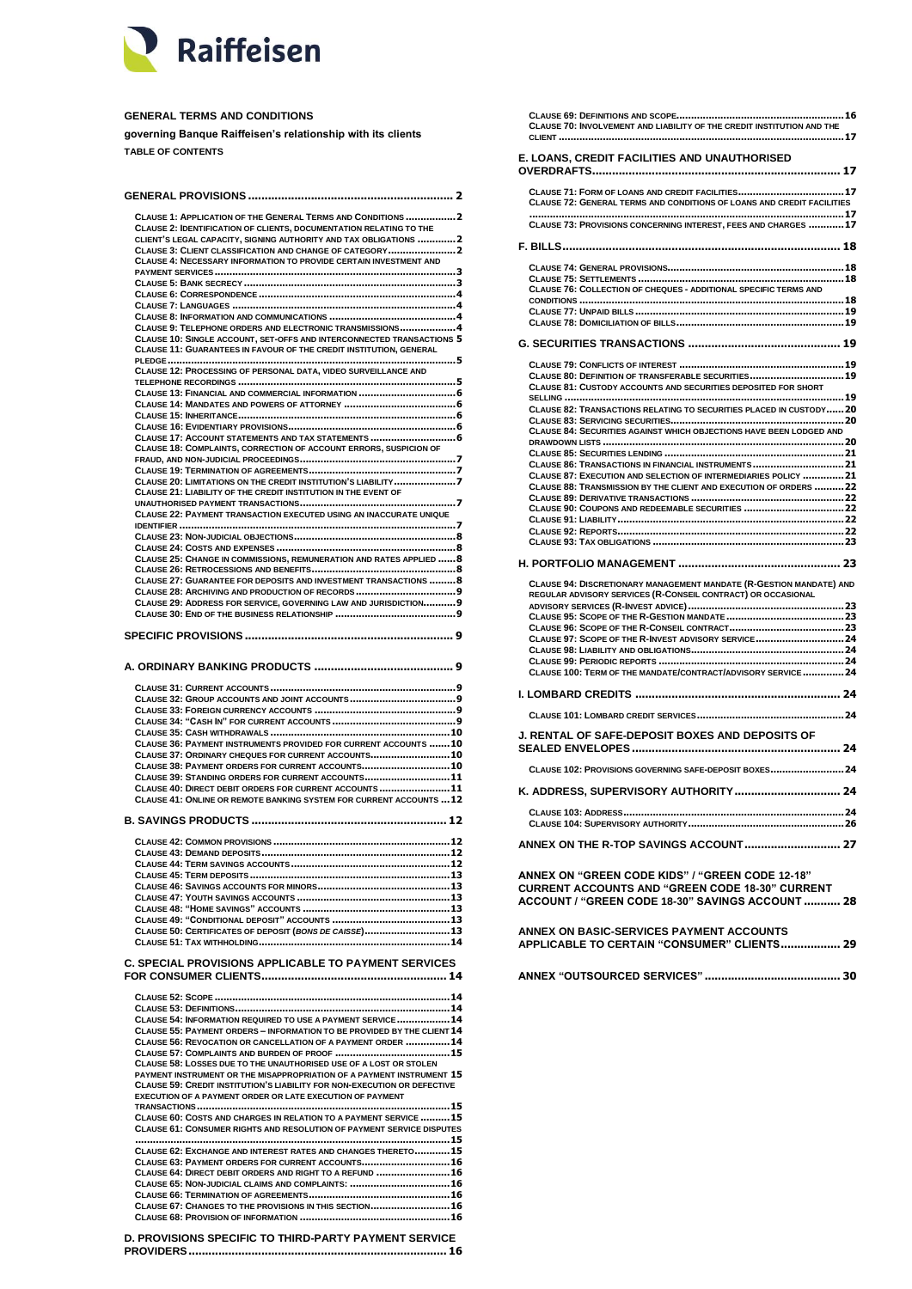

# **GENERAL TERMS AND CONDITIONS**

**governing Banque Raiffeisen's relationship with its clients TABLE OF CONTENTS**

| CLAUSE 1: APPLICATION OF THE GENERAL TERMS AND CONDITIONS 2<br>CLAUSE 2: IDENTIFICATION OF CLIENTS, DOCUMENTATION RELATING TO THE<br>CLIENT'S LEGAL CAPACITY, SIGNING AUTHORITY AND TAX OBLIGATIONS 2 |      |
|-------------------------------------------------------------------------------------------------------------------------------------------------------------------------------------------------------|------|
| CLAUSE 3: CLIENT CLASSIFICATION AND CHANGE OF CATEGORY 2<br>CLAUSE 4: NECESSARY INFORMATION TO PROVIDE CERTAIN INVESTMENT AND                                                                         |      |
|                                                                                                                                                                                                       |      |
|                                                                                                                                                                                                       |      |
| CLAUSE 9: TELEPHONE ORDERS AND ELECTRONIC TRANSMISSIONS 4                                                                                                                                             |      |
| CLAUSE 10: SINGLE ACCOUNT, SET-OFFS AND INTERCONNECTED TRANSACTIONS 5<br>CLAUSE 11: GUARANTEES IN FAVOUR OF THE CREDIT INSTITUTION, GENERAL                                                           |      |
| CLAUSE 12: PROCESSING OF PERSONAL DATA, VIDEO SURVEILLANCE AND                                                                                                                                        |      |
|                                                                                                                                                                                                       |      |
|                                                                                                                                                                                                       |      |
|                                                                                                                                                                                                       |      |
| CLAUSE 17: ACCOUNT STATEMENTS AND TAX STATEMENTS  6<br>CLAUSE 18: COMPLAINTS, CORRECTION OF ACCOUNT ERRORS, SUSPICION OF                                                                              |      |
|                                                                                                                                                                                                       |      |
|                                                                                                                                                                                                       |      |
| CLAUSE 20: LIMITATIONS ON THE CREDIT INSTITUTION'S LIABILITY 7<br>CLAUSE 21: LIABILITY OF THE CREDIT INSTITUTION IN THE EVENT OF                                                                      |      |
|                                                                                                                                                                                                       |      |
| CLAUSE 22: PAYMENT TRANSACTION EXECUTED USING AN INACCURATE UNIQUE                                                                                                                                    |      |
|                                                                                                                                                                                                       |      |
|                                                                                                                                                                                                       |      |
| CLAUSE 25: CHANGE IN COMMISSIONS, REMUNERATION AND RATES APPLIED  8                                                                                                                                   |      |
| CLAUSE 27: GUARANTEE FOR DEPOSITS AND INVESTMENT TRANSACTIONS 8                                                                                                                                       |      |
| CLAUSE 29: ADDRESS FOR SERVICE, GOVERNING LAW AND JURISDICTION 9                                                                                                                                      |      |
|                                                                                                                                                                                                       |      |
|                                                                                                                                                                                                       |      |
|                                                                                                                                                                                                       |      |
|                                                                                                                                                                                                       |      |
|                                                                                                                                                                                                       |      |
|                                                                                                                                                                                                       |      |
|                                                                                                                                                                                                       |      |
|                                                                                                                                                                                                       |      |
| CLAUSE 36: PAYMENT INSTRUMENTS PROVIDED FOR CURRENT ACCOUNTS  10<br>CLAUSE 37: ORDINARY CHEQUES FOR CURRENT ACCOUNTS 10                                                                               |      |
| CLAUSE 38: PAYMENT ORDERS FOR CURRENT ACCOUNTS 10                                                                                                                                                     |      |
| CLAUSE 39: STANDING ORDERS FOR CURRENT ACCOUNTS 11                                                                                                                                                    |      |
| CLAUSE 40: DIRECT DEBIT ORDERS FOR CURRENT ACCOUNTS 11<br>CLAUSE 41: ONLINE OR REMOTE BANKING SYSTEM FOR CURRENT ACCOUNTS  12                                                                         |      |
|                                                                                                                                                                                                       |      |
|                                                                                                                                                                                                       |      |
|                                                                                                                                                                                                       |      |
|                                                                                                                                                                                                       | . 13 |
|                                                                                                                                                                                                       |      |
|                                                                                                                                                                                                       |      |
|                                                                                                                                                                                                       |      |
| CLAUSE 50: CERTIFICATES OF DEPOSIT (BONS DE CAISSE) 13                                                                                                                                                |      |
|                                                                                                                                                                                                       |      |
|                                                                                                                                                                                                       |      |
|                                                                                                                                                                                                       |      |
| CLAUSE 54: INFORMATION REQUIRED TO USE A PAYMENT SERVICE  14                                                                                                                                          |      |
| CLAUSE 55: PAYMENT ORDERS - INFORMATION TO BE PROVIDED BY THE CLIENT 14<br>CLAUSE 56: REVOCATION OR CANCELLATION OF A PAYMENT ORDER  14                                                               |      |
|                                                                                                                                                                                                       |      |
| CLAUSE 58: LOSSES DUE TO THE UNAUTHORISED USE OF A LOST OR STOLEN                                                                                                                                     |      |
| PAYMENT INSTRUMENT OR THE MISAPPROPRIATION OF A PAYMENT INSTRUMENT 15<br>CLAUSE 59: CREDIT INSTITUTION'S LIABILITY FOR NON-EXECUTION OR DEFECTIVE                                                     |      |
| EXECUTION OF A PAYMENT ORDER OR LATE EXECUTION OF PAYMENT                                                                                                                                             |      |
| CLAUSE 60: COSTS AND CHARGES IN RELATION TO A PAYMENT SERVICE  15                                                                                                                                     |      |
| CLAUSE 61: CONSUMER RIGHTS AND RESOLUTION OF PAYMENT SERVICE DISPUTES                                                                                                                                 |      |
| CLAUSE 62: EXCHANGE AND INTEREST RATES AND CHANGES THERETO 15                                                                                                                                         |      |
| CLAUSE 63: PAYMENT ORDERS FOR CURRENT ACCOUNTS 16                                                                                                                                                     |      |
| C. SPECIAL PROVISIONS APPLICABLE TO PAYMENT SERVICES<br>CLAUSE 64: DIRECT DEBIT ORDERS AND RIGHT TO A REFUND  16<br>CLAUSE 65: NON-JUDICIAL CLAIMS AND COMPLAINTS:  16                                |      |

**CLAUSE 67: C[HANGES TO THE PROVISIONS IN THIS SECTION](#page-15-4)...........................16 CLAUSE 68: PROVISION OF INFORMATION [...................................................16](#page-15-5) [D. PROVISIONS SPECIFIC TO THIRD-PARTY PAYMENT SERVICE](#page-15-6)  PROVIDERS[..............................................................................](#page-15-6) 16**

| CLAUSE 70: INVOLVEMENT AND LIABILITY OF THE CREDIT INSTITUTION AND THE                                                                                                                     |
|--------------------------------------------------------------------------------------------------------------------------------------------------------------------------------------------|
| E. LOANS, CREDIT FACILITIES AND UNAUTHORISED                                                                                                                                               |
| CLAUSE 71: FORM OF LOANS AND CREDIT FACILITIES17<br>CLAUSE 72: GENERAL TERMS AND CONDITIONS OF LOANS AND CREDIT FACILITIES                                                                 |
| CLAUSE 73: PROVISIONS CONCERNING INTEREST, FEES AND CHARGES 17                                                                                                                             |
|                                                                                                                                                                                            |
| CLAUSE 76: COLLECTION OF CHEQUES - ADDITIONAL SPECIFIC TERMS AND                                                                                                                           |
|                                                                                                                                                                                            |
| CLAUSE 80: DEFINITION OF TRANSFERABLE SECURITIES19<br><b>CLAUSE 81: CUSTODY ACCOUNTS AND SECURITIES DEPOSITED FOR SHORT</b>                                                                |
| CLAUSE 82: TRANSACTIONS RELATING TO SECURITIES PLACED IN CUSTODY 20<br>CLAUSE 84: SECURITIES AGAINST WHICH OBJECTIONS HAVE BEEN LODGED AND                                                 |
| CLAUSE 86: TRANSACTIONS IN FINANCIAL INSTRUMENTS  21<br>CLAUSE 87: EXECUTION AND SELECTION OF INTERMEDIARIES POLICY 21                                                                     |
| CLAUSE 88: TRANSMISSION BY THE CLIENT AND EXECUTION OF ORDERS  22                                                                                                                          |
|                                                                                                                                                                                            |
| CLAUSE 94: DISCRETIONARY MANAGEMENT MANDATE (R-GESTION MANDATE) AND<br>REGULAR ADVISORY SERVICES (R-CONSEIL CONTRACT) OR OCCASIONAL<br>CLAUSE 97: SCOPE OF THE R-INVEST ADVISORY SERVICE24 |
| CLAUSE 100: TERM OF THE MANDATE/CONTRACT/ADVISORY SERVICE 24                                                                                                                               |
|                                                                                                                                                                                            |
|                                                                                                                                                                                            |
| <b>J. RENTAL OF SAFE-DEPOSIT BOXES AND DEPOSITS OF</b>                                                                                                                                     |
| CLAUSE 102: PROVISIONS GOVERNING SAFE-DEPOSIT BOXES24                                                                                                                                      |
| K. ADDRESS, SUPERVISORY AUTHORITY  24                                                                                                                                                      |
|                                                                                                                                                                                            |
|                                                                                                                                                                                            |
| ANNEX ON "GREEN CODE KIDS" / "GREEN CODE 12-18"<br><b>CURRENT ACCOUNTS AND "GREEN CODE 18-30" CURRENT</b><br>ACCOUNT / "GREEN CODE 18-30" SAVINGS ACCOUNT  28                              |
| <b>ANNEX ON BASIC-SERVICES PAYMENT ACCOUNTS</b><br><b>APPLICABLE TO CERTAIN "CONSUMER" CLIENTS 29</b>                                                                                      |
|                                                                                                                                                                                            |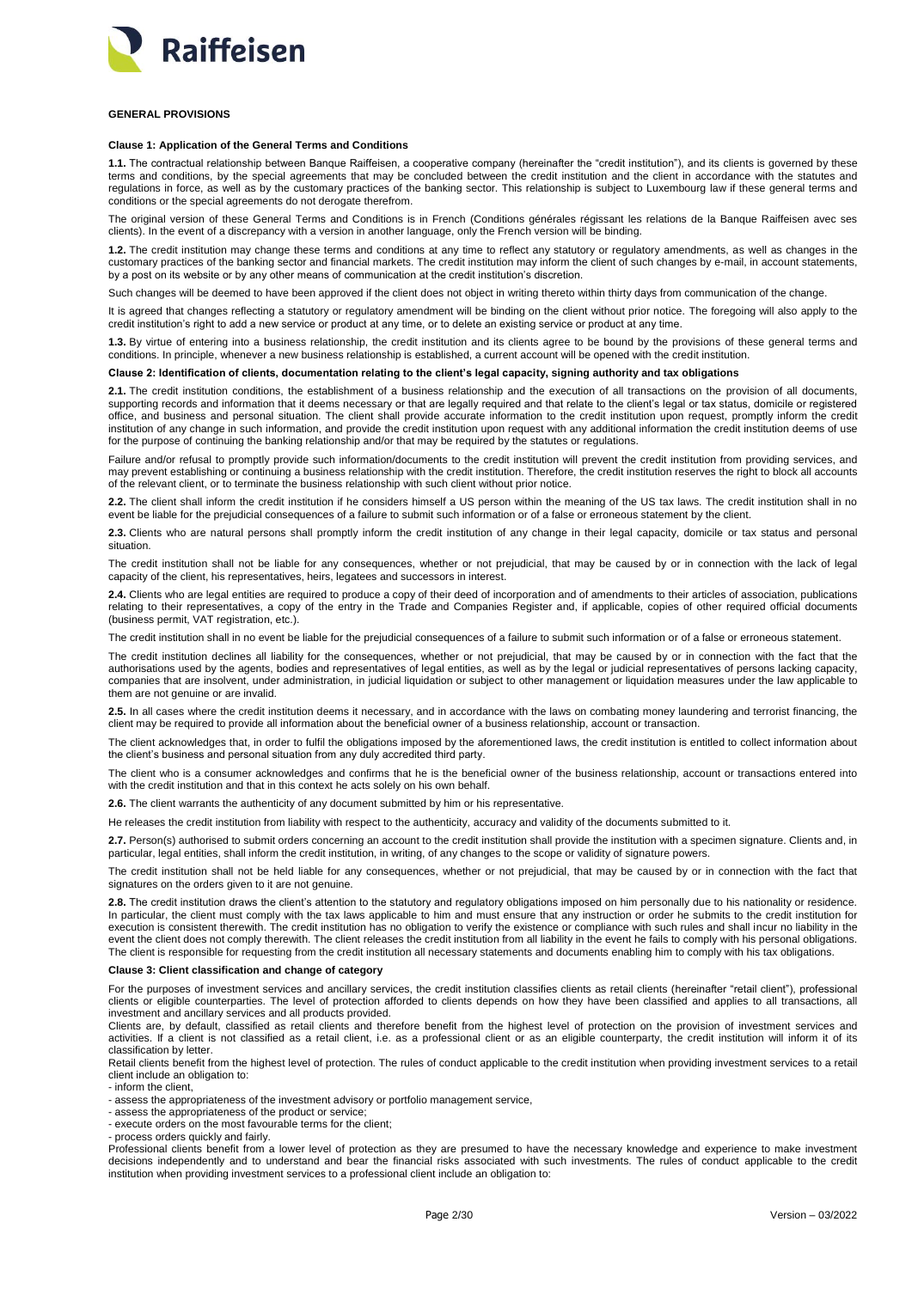

## <span id="page-1-0"></span>**GENERAL PROVISIONS**

# <span id="page-1-1"></span>**Clause 1: Application of the General Terms and Conditions**

**1.1.** The contractual relationship between Banque Raiffeisen, a cooperative company (hereinafter the "credit institution"), and its clients is governed by these terms and conditions, by the special agreements that may be concluded between the credit institution and the client in accordance with the statutes and regulations in force, as well as by the customary practices of the banking sector. This relationship is subject to Luxembourg law if these general terms and conditions or the special agreements do not derogate therefrom.

The original version of these General Terms and Conditions is in French (Conditions générales régissant les relations de la Banque Raiffeisen avec ses clients). In the event of a discrepancy with a version in another language, only the French version will be binding.

**1.2.** The credit institution may change these terms and conditions at any time to reflect any statutory or regulatory amendments, as well as changes in the customary practices of the banking sector and financial markets. The credit institution may inform the client of such changes by e-mail, in account statements, by a post on its website or by any other means of communication at the credit institution's discretion.

Such changes will be deemed to have been approved if the client does not object in writing thereto within thirty days from communication of the change.

It is agreed that changes reflecting a statutory or regulatory amendment will be binding on the client without prior notice. The foregoing will also apply to the credit institution's right to add a new service or product at any time, or to delete an existing service or product at any time.

**1.3.** By virtue of entering into a business relationship, the credit institution and its clients agree to be bound by the provisions of these general terms and conditions. In principle, whenever a new business relationship is established, a current account will be opened with the credit institution.

### <span id="page-1-2"></span>**Clause 2: Identification of clients, documentation relating to the client's legal capacity, signing authority and tax obligations**

2.1. The credit institution conditions, the establishment of a business relationship and the execution of all transactions on the provision of all documents, supporting records and information that it deems necessary or that are legally required and that relate to the client's legal or tax status, domicile or registered office, and business and personal situation. The client shall provide accurate information to the credit institution upon request, promptly inform the credit institution of any change in such information, and provide the credit institution upon request with any additional information the credit institution deems of use for the purpose of continuing the banking relationship and/or that may be required by the statutes or regulations.

Failure and/or refusal to promptly provide such information/documents to the credit institution will prevent the credit institution from providing services, and may prevent establishing or continuing a business relationship with the credit institution. Therefore, the credit institution reserves the right to block all accounts of the relevant client, or to terminate the business relationship with such client without prior notice.

**2.2.** The client shall inform the credit institution if he considers himself a US person within the meaning of the US tax laws. The credit institution shall in no event be liable for the prejudicial consequences of a failure to submit such information or of a false or erroneous statement by the client.

**2.3.** Clients who are natural persons shall promptly inform the credit institution of any change in their legal capacity, domicile or tax status and personal situation.

The credit institution shall not be liable for any consequences, whether or not prejudicial, that may be caused by or in connection with the lack of legal capacity of the client, his representatives, heirs, legatees and successors in interest.

**2.4.** Clients who are legal entities are required to produce a copy of their deed of incorporation and of amendments to their articles of association, publications relating to their representatives, a copy of the entry in the Trade and Companies Register and, if applicable, copies of other required official documents (business permit, VAT registration, etc.).

The credit institution shall in no event be liable for the prejudicial consequences of a failure to submit such information or of a false or erroneous statement.

The credit institution declines all liability for the consequences, whether or not prejudicial, that may be caused by or in connection with the fact that the authorisations used by the agents, bodies and representatives of legal entities, as well as by the legal or judicial representatives of persons lacking capacity, companies that are insolvent, under administration, in judicial liquidation or subject to other management or liquidation measures under the law applicable to them are not genuine or are invalid.

**2.5.** In all cases where the credit institution deems it necessary, and in accordance with the laws on combating money laundering and terrorist financing, the client may be required to provide all information about the beneficial owner of a business relationship, account or transaction.

The client acknowledges that, in order to fulfil the obligations imposed by the aforementioned laws, the credit institution is entitled to collect information about the client's business and personal situation from any duly accredited third party.

The client who is a consumer acknowledges and confirms that he is the beneficial owner of the business relationship, account or transactions entered into with the credit institution and that in this context he acts solely on his own behalf.

**2.6.** The client warrants the authenticity of any document submitted by him or his representative.

He releases the credit institution from liability with respect to the authenticity, accuracy and validity of the documents submitted to it.

**2.7.** Person(s) authorised to submit orders concerning an account to the credit institution shall provide the institution with a specimen signature. Clients and, in particular, legal entities, shall inform the credit institution, in writing, of any changes to the scope or validity of signature powers.

The credit institution shall not be held liable for any consequences, whether or not prejudicial, that may be caused by or in connection with the fact that signatures on the orders given to it are not genuine.

**2.8.** The credit institution draws the client's attention to the statutory and regulatory obligations imposed on him personally due to his nationality or residence. In particular, the client must comply with the tax laws applicable to him and must ensure that any instruction or order he submits to the credit institution for execution is consistent therewith. The credit institution has no obligation to verify the existence or compliance with such rules and shall incur no liability in the event the client does not comply therewith. The client releases the credit institution from all liability in the event he fails to comply with his personal obligations. The client is responsible for requesting from the credit institution all necessary statements and documents enabling him to comply with his tax obligations.

### <span id="page-1-3"></span>**Clause 3: Client classification and change of category**

For the purposes of investment services and ancillary services, the credit institution classifies clients as retail clients (hereinafter "retail client"), professional clients or eligible counterparties. The level of protection afforded to clients depends on how they have been classified and applies to all transactions, all investment and ancillary services and all products provided.

Clients are, by default, classified as retail clients and therefore benefit from the highest level of protection on the provision of investment services and activities. If a client is not classified as a retail client, i.e. as a professional client or as an eligible counterparty, the credit institution will inform it of its classification by letter.

Retail clients benefit from the highest level of protection. The rules of conduct applicable to the credit institution when providing investment services to a retail client include an obligation to:

- inform the client,

- assess the appropriateness of the investment advisory or portfolio management service,

- assess the appropriateness of the product or service;

- execute orders on the most favourable terms for the client;

- process orders quickly and fairly.

Professional clients benefit from a lower level of protection as they are presumed to have the necessary knowledge and experience to make investment decisions independently and to understand and bear the financial risks associated with such investments. The rules of conduct applicable to the credit institution when providing investment services to a professional client include an obligation to: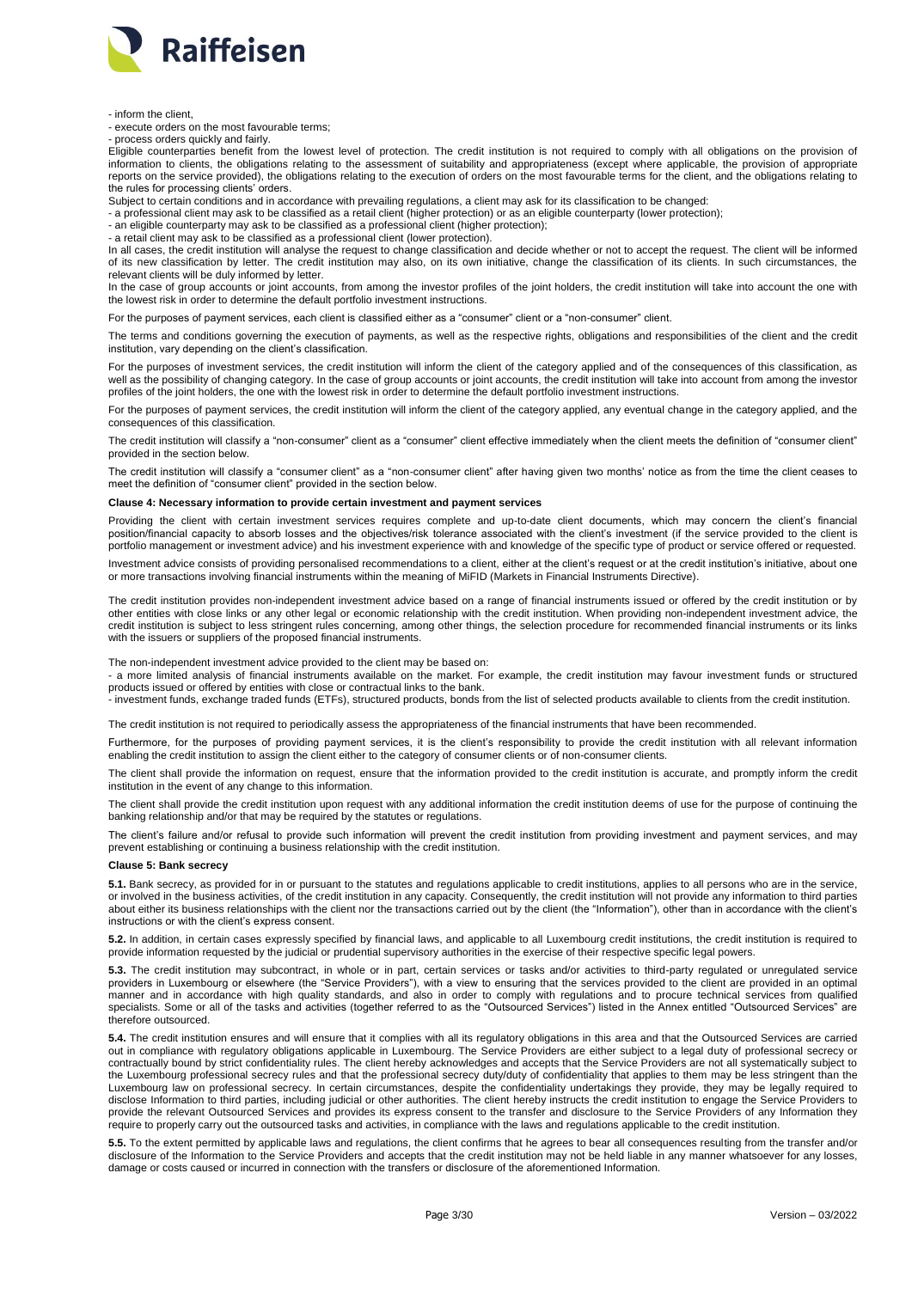

- inform the client,

- execute orders on the most favourable terms;

- process orders quickly and fairly.

Eligible counterparties benefit from the lowest level of protection. The credit institution is not required to comply with all obligations on the provision of information to clients, the obligations relating to the assessment of suitability and appropriateness (except where applicable, the provision of appropriate reports on the service provided), the obligations relating to the execution of orders on the most favourable terms for the client, and the obligations relating to the rules for processing clients' orders.

Subject to certain conditions and in accordance with prevailing regulations, a client may ask for its classification to be changed:

- a professional client may ask to be classified as a retail client (higher protection) or as an eligible counterparty (lower protection);

- an eligible counterparty may ask to be classified as a professional client (higher protection);

- a retail client may ask to be classified as a professional client (lower protection).

In all cases, the credit institution will analyse the request to change classification and decide whether or not to accept the request. The client will be informed of its new classification by letter. The credit institution may also, on its own initiative, change the classification of its clients. In such circumstances, the relevant clients will be duly informed by letter.

In the case of group accounts or joint accounts, from among the investor profiles of the joint holders, the credit institution will take into account the one with the lowest risk in order to determine the default portfolio investment instructions.

For the purposes of payment services, each client is classified either as a "consumer" client or a "non-consumer" client.

The terms and conditions governing the execution of payments, as well as the respective rights, obligations and responsibilities of the client and the credit institution, vary depending on the client's classification.

For the purposes of investment services, the credit institution will inform the client of the category applied and of the consequences of this classification, as well as the possibility of changing category. In the case of group accounts or joint accounts, the credit institution will take into account from among the investor profiles of the joint holders, the one with the lowest risk in order to determine the default portfolio investment instructions.

For the purposes of payment services, the credit institution will inform the client of the category applied, any eventual change in the category applied, and the consequences of this classification.

The credit institution will classify a "non-consumer" client as a "consumer" client effective immediately when the client meets the definition of "consumer client" provided in the section below.

The credit institution will classify a "consumer client" as a "non-consumer client" after having given two months' notice as from the time the client ceases to meet the definition of "consumer client" provided in the section below.

# <span id="page-2-0"></span>**Clause 4: Necessary information to provide certain investment and payment services**

Providing the client with certain investment services requires complete and up-to-date client documents, which may concern the client's financial position/financial capacity to absorb losses and the objectives/risk tolerance associated with the client's investment (if the service provided to the client is portfolio management or investment advice) and his investment experience with and knowledge of the specific type of product or service offered or requested.

Investment advice consists of providing personalised recommendations to a client, either at the client's request or at the credit institution's initiative, about one or more transactions involving financial instruments within the meaning of MiFID (Markets in Financial Instruments Directive).

The credit institution provides non-independent investment advice based on a range of financial instruments issued or offered by the credit institution or by other entities with close links or any other legal or economic relationship with the credit institution. When providing non-independent investment advice, the credit institution is subject to less stringent rules concerning, among other things, the selection procedure for recommended financial instruments or its links with the issuers or suppliers of the proposed financial instruments.

The non-independent investment advice provided to the client may be based on:

- a more limited analysis of financial instruments available on the market. For example, the credit institution may favour investment funds or structured products issued or offered by entities with close or contractual links to the bank.

- investment funds, exchange traded funds (ETFs), structured products, bonds from the list of selected products available to clients from the credit institution.

The credit institution is not required to periodically assess the appropriateness of the financial instruments that have been recommended.

Furthermore, for the purposes of providing payment services, it is the client's responsibility to provide the credit institution with all relevant information enabling the credit institution to assign the client either to the category of consumer clients or of non-consumer clients.

The client shall provide the information on request, ensure that the information provided to the credit institution is accurate, and promptly inform the credit institution in the event of any change to this information.

The client shall provide the credit institution upon request with any additional information the credit institution deems of use for the purpose of continuing the banking relationship and/or that may be required by the statutes or regulations.

The client's failure and/or refusal to provide such information will prevent the credit institution from providing investment and payment services, and may prevent establishing or continuing a business relationship with the credit institution.

# <span id="page-2-1"></span>**Clause 5: Bank secrecy**

**5.1.** Bank secrecy, as provided for in or pursuant to the statutes and regulations applicable to credit institutions, applies to all persons who are in the service, or involved in the business activities, of the credit institution in any capacity. Consequently, the credit institution will not provide any information to third parties about either its business relationships with the client nor the transactions carried out by the client (the "Information"), other than in accordance with the client's instructions or with the client's express consent.

**5.2.** In addition, in certain cases expressly specified by financial laws, and applicable to all Luxembourg credit institutions, the credit institution is required to provide information requested by the judicial or prudential supervisory authorities in the exercise of their respective specific legal powers.

**5.3.** The credit institution may subcontract, in whole or in part, certain services or tasks and/or activities to third-party regulated or unregulated service providers in Luxembourg or elsewhere (the "Service Providers"), with a view to ensuring that the services provided to the client are provided in an optimal manner and in accordance with high quality standards, and also in order to comply with regulations and to procure technical services from qualified specialists. Some or all of the tasks and activities (together referred to as the "Outsourced Services") listed in the Annex entitled "Outsourced Services" are therefore outsourced.

**5.4.** The credit institution ensures and will ensure that it complies with all its regulatory obligations in this area and that the Outsourced Services are carried out in compliance with regulatory obligations applicable in Luxembourg. The Service Providers are either subject to a legal duty of professional secrecy or contractually bound by strict confidentiality rules. The client hereby acknowledges and accepts that the Service Providers are not all systematically subject to the Luxembourg professional secrecy rules and that the professional secrecy duty/duty of confidentiality that applies to them may be less stringent than the Luxembourg law on professional secrecy. In certain circumstances, despite the confidentiality undertakings they provide, they may be legally required to disclose Information to third parties, including judicial or other authorities. The client hereby instructs the credit institution to engage the Service Providers to provide the relevant Outsourced Services and provides its express consent to the transfer and disclosure to the Service Providers of any Information they require to properly carry out the outsourced tasks and activities, in compliance with the laws and regulations applicable to the credit institution.

**5.5.** To the extent permitted by applicable laws and regulations, the client confirms that he agrees to bear all consequences resulting from the transfer and/or disclosure of the Information to the Service Providers and accepts that the credit institution may not be held liable in any manner whatsoever for any losses, damage or costs caused or incurred in connection with the transfers or disclosure of the aforementioned Information.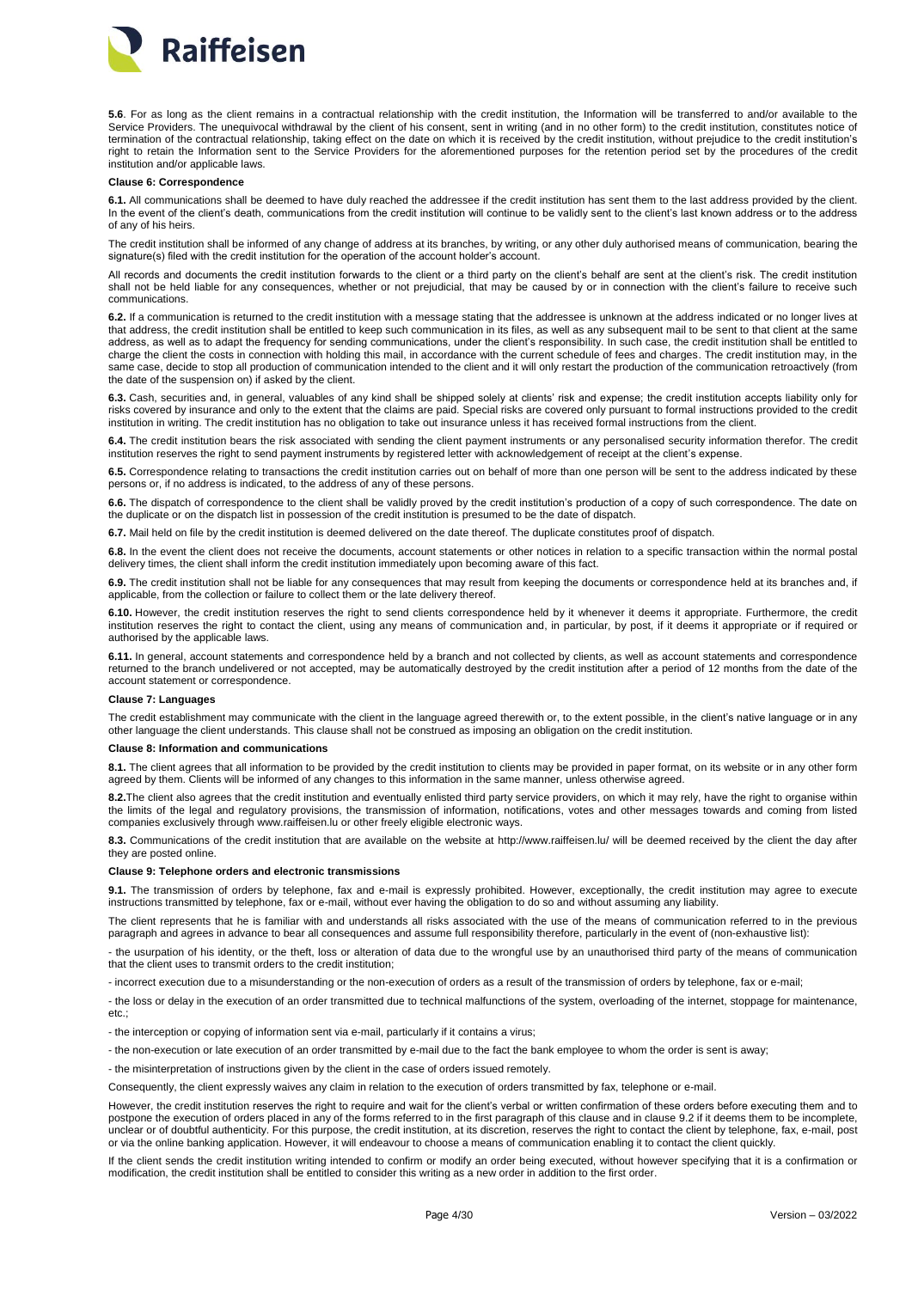

5.6. For as long as the client remains in a contractual relationship with the credit institution, the Information will be transferred to and/or available to the Service Providers. The unequivocal withdrawal by the client of his consent, sent in writing (and in no other form) to the credit institution, constitutes notice of termination of the contractual relationship, taking effect on the date on which it is received by the credit institution, without prejudice to the credit institution's right to retain the Information sent to the Service Providers for the aforementioned purposes for the retention period set by the procedures of the credit institution and/or applicable laws.

#### <span id="page-3-0"></span>**Clause 6: Correspondence**

**6.1.** All communications shall be deemed to have duly reached the addressee if the credit institution has sent them to the last address provided by the client. In the event of the client's death, communications from the credit institution will continue to be validly sent to the client's last known address or to the address of any of his heirs.

The credit institution shall be informed of any change of address at its branches, by writing, or any other duly authorised means of communication, bearing the signature(s) filed with the credit institution for the operation of the account holder's account.

All records and documents the credit institution forwards to the client or a third party on the client's behalf are sent at the client's risk. The credit institution shall not be held liable for any consequences, whether or not prejudicial, that may be caused by or in connection with the client's failure to receive such communications.

**6.2.** If a communication is returned to the credit institution with a message stating that the addressee is unknown at the address indicated or no longer lives at that address, the credit institution shall be entitled to keep such communication in its files, as well as any subsequent mail to be sent to that client at the same address, as well as to adapt the frequency for sending communications, under the client's responsibility. In such case, the credit institution shall be entitled to charge the client the costs in connection with holding this mail, in accordance with the current schedule of fees and charges. The credit institution may, in the same case, decide to stop all production of communication intended to the client and it will only restart the production of the communication retroactively (from the date of the suspension on) if asked by the client.

**6.3.** Cash, securities and, in general, valuables of any kind shall be shipped solely at clients' risk and expense; the credit institution accepts liability only for risks covered by insurance and only to the extent that the claims are paid. Special risks are covered only pursuant to formal instructions provided to the credit institution in writing. The credit institution has no obligation to take out insurance unless it has received formal instructions from the client.

**6.4.** The credit institution bears the risk associated with sending the client payment instruments or any personalised security information therefor. The credit institution reserves the right to send payment instruments by registered letter with acknowledgement of receipt at the client's expense.

**6.5.** Correspondence relating to transactions the credit institution carries out on behalf of more than one person will be sent to the address indicated by these persons or, if no address is indicated, to the address of any of these persons.

**6.6.** The dispatch of correspondence to the client shall be validly proved by the credit institution's production of a copy of such correspondence. The date on the duplicate or on the dispatch list in possession of the credit institution is presumed to be the date of dispatch.

**6.7.** Mail held on file by the credit institution is deemed delivered on the date thereof. The duplicate constitutes proof of dispatch.

**6.8.** In the event the client does not receive the documents, account statements or other notices in relation to a specific transaction within the normal postal delivery times, the client shall inform the credit institution immediately upon becoming aware of this fact.

**6.9.** The credit institution shall not be liable for any consequences that may result from keeping the documents or correspondence held at its branches and, if applicable, from the collection or failure to collect them or the late delivery thereof.

**6.10.** However, the credit institution reserves the right to send clients correspondence held by it whenever it deems it appropriate. Furthermore, the credit institution reserves the right to contact the client, using any means of communication and, in particular, by post, if it deems it appropriate or if required or authorised by the applicable laws.

**6.11.** In general, account statements and correspondence held by a branch and not collected by clients, as well as account statements and correspondence returned to the branch undelivered or not accepted, may be automatically destroyed by the credit institution after a period of 12 months from the date of the account statement or correspondence.

# <span id="page-3-1"></span>**Clause 7: Languages**

The credit establishment may communicate with the client in the language agreed therewith or, to the extent possible, in the client's native language or in any other language the client understands. This clause shall not be construed as imposing an obligation on the credit institution.

#### <span id="page-3-2"></span>**Clause 8: Information and communications**

**8.1.** The client agrees that all information to be provided by the credit institution to clients may be provided in paper format, on its website or in any other form agreed by them. Clients will be informed of any changes to this information in the same manner, unless otherwise agreed.

**8.2.**The client also agrees that the credit institution and eventually enlisted third party service providers, on which it may rely, have the right to organise within the limits of the legal and regulatory provisions, the transmission of information, notifications, votes and other messages towards and coming from listed companies exclusively through www.raiffeisen.lu or other freely eligible electronic ways.

**8.3.** Communications of the credit institution that are available on the website at http://www.raiffeisen.lu/ will be deemed received by the client the day after they are posted online.

#### <span id="page-3-3"></span>**Clause 9: Telephone orders and electronic transmissions**

**9.1.** The transmission of orders by telephone, fax and e-mail is expressly prohibited. However, exceptionally, the credit institution may agree to execute instructions transmitted by telephone, fax or e-mail, without ever having the obligation to do so and without assuming any liability.

The client represents that he is familiar with and understands all risks associated with the use of the means of communication referred to in the previous paragraph and agrees in advance to bear all consequences and assume full responsibility therefore, particularly in the event of (non-exhaustive list):

- the usurpation of his identity, or the theft, loss or alteration of data due to the wrongful use by an unauthorised third party of the means of communication that the client uses to transmit orders to the credit institution;

- incorrect execution due to a misunderstanding or the non-execution of orders as a result of the transmission of orders by telephone, fax or e-mail;

- the loss or delay in the execution of an order transmitted due to technical malfunctions of the system, overloading of the internet, stoppage for maintenance, etc.;

- the interception or copying of information sent via e-mail, particularly if it contains a virus;

- the non-execution or late execution of an order transmitted by e-mail due to the fact the bank employee to whom the order is sent is away;

- the misinterpretation of instructions given by the client in the case of orders issued remotely.

Consequently, the client expressly waives any claim in relation to the execution of orders transmitted by fax, telephone or e-mail.

However, the credit institution reserves the right to require and wait for the client's verbal or written confirmation of these orders before executing them and to postpone the execution of orders placed in any of the forms referred to in the first paragraph of this clause and in clause 9.2 if it deems them to be incomplete, unclear or of doubtful authenticity. For this purpose, the credit institution, at its discretion, reserves the right to contact the client by telephone, fax, e-mail, post or via the online banking application. However, it will endeavour to choose a means of communication enabling it to contact the client quickly.

If the client sends the credit institution writing intended to confirm or modify an order being executed, without however specifying that it is a confirmation or modification, the credit institution shall be entitled to consider this writing as a new order in addition to the first order.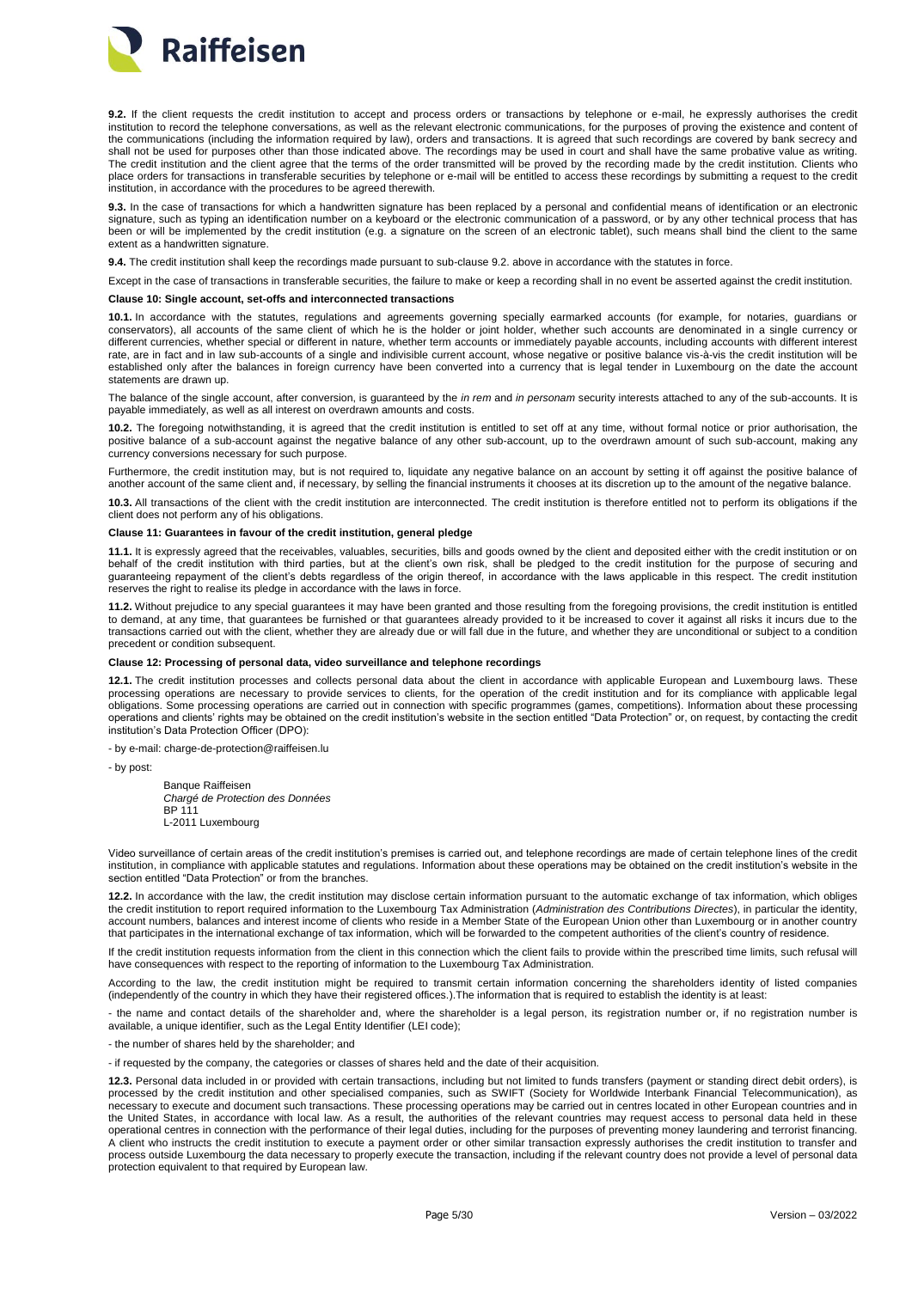

**9.2.** If the client requests the credit institution to accept and process orders or transactions by telephone or e-mail, he expressly authorises the credit institution to record the telephone conversations, as well as the relevant electronic communications, for the purposes of proving the existence and content of the communications (including the information required by law), orders and transactions. It is agreed that such recordings are covered by bank secrecy and shall not be used for purposes other than those indicated above. The recordings may be used in court and shall have the same probative value as writing. The credit institution and the client agree that the terms of the order transmitted will be proved by the recording made by the credit institution. Clients who place orders for transactions in transferable securities by telephone or e-mail will be entitled to access these recordings by submitting a request to the credit institution, in accordance with the procedures to be agreed therewith.

**9.3.** In the case of transactions for which a handwritten signature has been replaced by a personal and confidential means of identification or an electronic signature, such as typing an identification number on a keyboard or the electronic communication of a password, or by any other technical process that has been or will be implemented by the credit institution (e.g. a signature on the screen of an electronic tablet), such means shall bind the client to the same extent as a handwritten signature.

**9.4.** The credit institution shall keep the recordings made pursuant to sub-clause 9.2. above in accordance with the statutes in force.

Except in the case of transactions in transferable securities, the failure to make or keep a recording shall in no event be asserted against the credit institution.

#### <span id="page-4-0"></span>**Clause 10: Single account, set-offs and interconnected transactions**

**10.1.** In accordance with the statutes, regulations and agreements governing specially earmarked accounts (for example, for notaries, guardians or conservators), all accounts of the same client of which he is the holder or joint holder, whether such accounts are denominated in a single currency or different currencies, whether special or different in nature, whether term accounts or immediately payable accounts, including accounts with different interest rate, are in fact and in law sub-accounts of a single and indivisible current account, whose negative or positive balance vis-à-vis the credit institution will be established only after the balances in foreign currency have been converted into a currency that is legal tender in Luxembourg on the date the account statements are drawn up.

The balance of the single account, after conversion, is guaranteed by the *in rem* and *in personam* security interests attached to any of the sub-accounts. It is payable immediately, as well as all interest on overdrawn amounts and costs.

**10.2.** The foregoing notwithstanding, it is agreed that the credit institution is entitled to set off at any time, without formal notice or prior authorisation, the positive balance of a sub-account against the negative balance of any other sub-account, up to the overdrawn amount of such sub-account, making any currency conversions necessary for such purpose.

Furthermore, the credit institution may, but is not required to, liquidate any negative balance on an account by setting it off against the positive balance of another account of the same client and, if necessary, by selling the financial instruments it chooses at its discretion up to the amount of the negative balance.

**10.3.** All transactions of the client with the credit institution are interconnected. The credit institution is therefore entitled not to perform its obligations if the client does not perform any of his obligations.

# <span id="page-4-1"></span>**Clause 11: Guarantees in favour of the credit institution, general pledge**

**11.1.** It is expressly agreed that the receivables, valuables, securities, bills and goods owned by the client and deposited either with the credit institution or on behalf of the credit institution with third parties, but at the client's own risk, shall be pledged to the credit institution for the purpose of securing and guaranteeing repayment of the client's debts regardless of the origin thereof, in accordance with the laws applicable in this respect. The credit institution reserves the right to realise its pledge in accordance with the laws in force.

**11.2.** Without prejudice to any special guarantees it may have been granted and those resulting from the foregoing provisions, the credit institution is entitled to demand, at any time, that guarantees be furnished or that guarantees already provided to it be increased to cover it against all risks it incurs due to the transactions carried out with the client, whether they are already due or will fall due in the future, and whether they are unconditional or subject to a condition precedent or condition subsequent.

# <span id="page-4-2"></span>**Clause 12: Processing of personal data, video surveillance and telephone recordings**

**12.1.** The credit institution processes and collects personal data about the client in accordance with applicable European and Luxembourg laws. These processing operations are necessary to provide services to clients, for the operation of the credit institution and for its compliance with applicable legal obligations. Some processing operations are carried out in connection with specific programmes (games, competitions). Information about these processing operations and clients' rights may be obtained on the credit institution's website in the section entitled "Data Protection" or, on request, by contacting the credit institution's Data Protection Officer (DPO):

- by e-mail: charge-de-protection@raiffeisen.lu

- by post:

Banque Raiffeisen *Chargé de Protection des Données* BP 111 L-2011 Luxembourg

Video surveillance of certain areas of the credit institution's premises is carried out, and telephone recordings are made of certain telephone lines of the credit institution, in compliance with applicable statutes and regulations. Information about these operations may be obtained on the credit institution's website in the section entitled "Data Protection" or from the branches.

**12.2.** In accordance with the law, the credit institution may disclose certain information pursuant to the automatic exchange of tax information, which obliges the credit institution to report required information to the Luxembourg Tax Administration (*Administration des Contributions Directes*), in particular the identity, account numbers, balances and interest income of clients who reside in a Member State of the European Union other than Luxembourg or in another country that participates in the international exchange of tax information, which will be forwarded to the competent authorities of the client's country of residence.

If the credit institution requests information from the client in this connection which the client fails to provide within the prescribed time limits, such refusal will have consequences with respect to the reporting of information to the Luxembourg Tax Administration.

According to the law, the credit institution might be required to transmit certain information concerning the shareholders identity of listed companies (independently of the country in which they have their registered offices.).The information that is required to establish the identity is at least:

- the name and contact details of the shareholder and, where the shareholder is a legal person, its registration number or, if no registration number is available, a unique identifier, such as the Legal Entity Identifier (LEI code);

- the number of shares held by the shareholder; and

- if requested by the company, the categories or classes of shares held and the date of their acquisition.

**12.3.** Personal data included in or provided with certain transactions, including but not limited to funds transfers (payment or standing direct debit orders), is processed by the credit institution and other specialised companies, such as SWIFT (Society for Worldwide Interbank Financial Telecommunication), as necessary to execute and document such transactions. These processing operations may be carried out in centres located in other European countries and in the United States, in accordance with local law. As a result, the authorities of the relevant countries may request access to personal data held in these operational centres in connection with the performance of their legal duties, including for the purposes of preventing money laundering and terrorist financing. A client who instructs the credit institution to execute a payment order or other similar transaction expressly authorises the credit institution to transfer and process outside Luxembourg the data necessary to properly execute the transaction, including if the relevant country does not provide a level of personal data protection equivalent to that required by European law.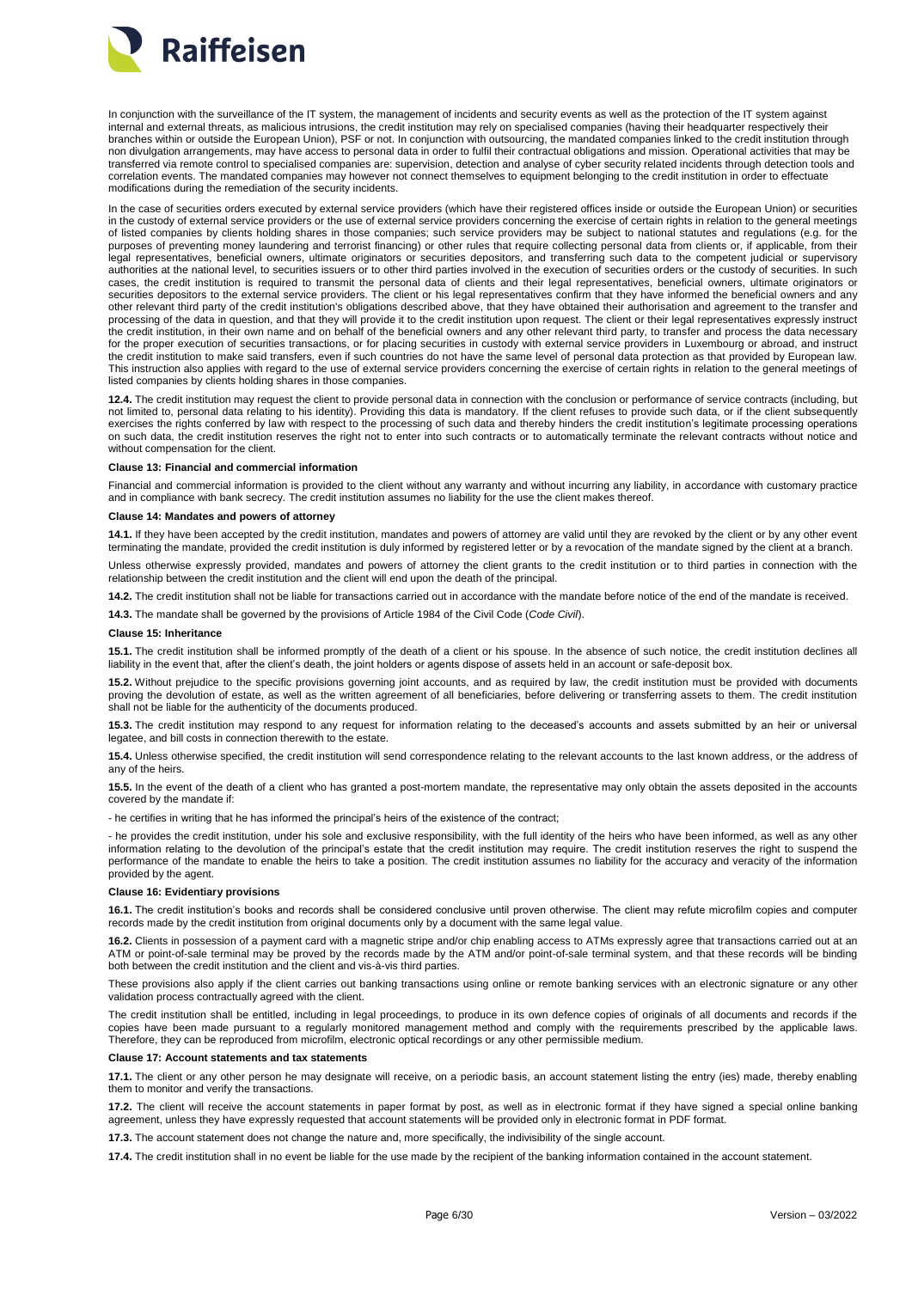

In conjunction with the surveillance of the IT system, the management of incidents and security events as well as the protection of the IT system against internal and external threats, as malicious intrusions, the credit institution may rely on specialised companies (having their headquarter respectively their branches within or outside the European Union), PSF or not. In conjunction with outsourcing, the mandated companies linked to the credit institution through non divulgation arrangements, may have access to personal data in order to fulfil their contractual obligations and mission. Operational activities that may be transferred via remote control to specialised companies are: supervision, detection and analyse of cyber security related incidents through detection tools and correlation events. The mandated companies may however not connect themselves to equipment belonging to the credit institution in order to effectuate modifications during the remediation of the security incidents.

In the case of securities orders executed by external service providers (which have their registered offices inside or outside the European Union) or securities in the custody of external service providers or the use of external service providers concerning the exercise of certain rights in relation to the general meetings of listed companies by clients holding shares in those companies; such service providers may be subject to national statutes and regulations (e.g. for the purposes of preventing money laundering and terrorist financing) or other rules that require collecting personal data from clients or, if applicable, from their legal representatives, beneficial owners, ultimate originators or securities depositors, and transferring such data to the competent judicial or supervisory authorities at the national level, to securities issuers or to other third parties involved in the execution of securities orders or the custody of securities. In such cases, the credit institution is required to transmit the personal data of clients and their legal representatives, beneficial owners, ultimate originators or securities depositors to the external service providers. The client or his legal representatives confirm that they have informed the beneficial owners and any other relevant third party of the credit institution's obligations described above, that they have obtained their authorisation and agreement to the transfer and processing of the data in question, and that they will provide it to the credit institution upon request. The client or their legal representatives expressly instruct the credit institution, in their own name and on behalf of the beneficial owners and any other relevant third party, to transfer and process the data necessary for the proper execution of securities transactions, or for placing securities in custody with external service providers in Luxembourg or abroad, and instruct the credit institution to make said transfers, even if such countries do not have the same level of personal data protection as that provided by European law. This instruction also applies with regard to the use of external service providers concerning the exercise of certain rights in relation to the general meetings of listed companies by clients holding shares in those companies.

**12.4.** The credit institution may request the client to provide personal data in connection with the conclusion or performance of service contracts (including, but not limited to, personal data relating to his identity). Providing this data is mandatory. If the client refuses to provide such data, or if the client subsequently exercises the rights conferred by law with respect to the processing of such data and thereby hinders the credit institution's legitimate processing operations on such data, the credit institution reserves the right not to enter into such contracts or to automatically terminate the relevant contracts without notice and without compensation for the client.

#### <span id="page-5-0"></span>**Clause 13: Financial and commercial information**

Financial and commercial information is provided to the client without any warranty and without incurring any liability, in accordance with customary practice and in compliance with bank secrecy. The credit institution assumes no liability for the use the client makes thereof.

# <span id="page-5-1"></span>**Clause 14: Mandates and powers of attorney**

**14.1.** If they have been accepted by the credit institution, mandates and powers of attorney are valid until they are revoked by the client or by any other event terminating the mandate, provided the credit institution is duly informed by registered letter or by a revocation of the mandate signed by the client at a branch.

Unless otherwise expressly provided, mandates and powers of attorney the client grants to the credit institution or to third parties in connection with the relationship between the credit institution and the client will end upon the death of the principal.

**14.2.** The credit institution shall not be liable for transactions carried out in accordance with the mandate before notice of the end of the mandate is received.

**14.3.** The mandate shall be governed by the provisions of Article 1984 of the Civil Code (*Code Civil*).

#### <span id="page-5-2"></span>**Clause 15: Inheritance**

**15.1.** The credit institution shall be informed promptly of the death of a client or his spouse. In the absence of such notice, the credit institution declines all liability in the event that, after the client's death, the joint holders or agents dispose of assets held in an account or safe-deposit box.

**15.2.** Without prejudice to the specific provisions governing joint accounts, and as required by law, the credit institution must be provided with documents proving the devolution of estate, as well as the written agreement of all beneficiaries, before delivering or transferring assets to them. The credit institution shall not be liable for the authenticity of the documents produced.

**15.3.** The credit institution may respond to any request for information relating to the deceased's accounts and assets submitted by an heir or universal legatee, and bill costs in connection therewith to the estate.

**15.4.** Unless otherwise specified, the credit institution will send correspondence relating to the relevant accounts to the last known address, or the address of any of the heirs.

**15.5.** In the event of the death of a client who has granted a post-mortem mandate, the representative may only obtain the assets deposited in the accounts covered by the mandate if:

- he certifies in writing that he has informed the principal's heirs of the existence of the contract;

- he provides the credit institution, under his sole and exclusive responsibility, with the full identity of the heirs who have been informed, as well as any other information relating to the devolution of the principal's estate that the credit institution may require. The credit institution reserves the right to suspend the performance of the mandate to enable the heirs to take a position. The credit institution assumes no liability for the accuracy and veracity of the information provided by the agent.

### <span id="page-5-3"></span>**Clause 16: Evidentiary provisions**

**16.1.** The credit institution's books and records shall be considered conclusive until proven otherwise. The client may refute microfilm copies and computer records made by the credit institution from original documents only by a document with the same legal value.

**16.2.** Clients in possession of a payment card with a magnetic stripe and/or chip enabling access to ATMs expressly agree that transactions carried out at an ATM or point-of-sale terminal may be proved by the records made by the ATM and/or point-of-sale terminal system, and that these records will be binding both between the credit institution and the client and vis-à-vis third parties.

These provisions also apply if the client carries out banking transactions using online or remote banking services with an electronic signature or any other validation process contractually agreed with the client.

The credit institution shall be entitled, including in legal proceedings, to produce in its own defence copies of originals of all documents and records if the copies have been made pursuant to a regularly monitored management method and comply with the requirements prescribed by the applicable laws. Therefore, they can be reproduced from microfilm, electronic optical recordings or any other permissible medium.

#### <span id="page-5-4"></span>**Clause 17: Account statements and tax statements**

**17.1.** The client or any other person he may designate will receive, on a periodic basis, an account statement listing the entry (ies) made, thereby enabling them to monitor and verify the transactions.

**17.2.** The client will receive the account statements in paper format by post, as well as in electronic format if they have signed a special online banking agreement, unless they have expressly requested that account statements will be provided only in electronic format in PDF format.

**17.3.** The account statement does not change the nature and, more specifically, the indivisibility of the single account.

**17.4.** The credit institution shall in no event be liable for the use made by the recipient of the banking information contained in the account statement.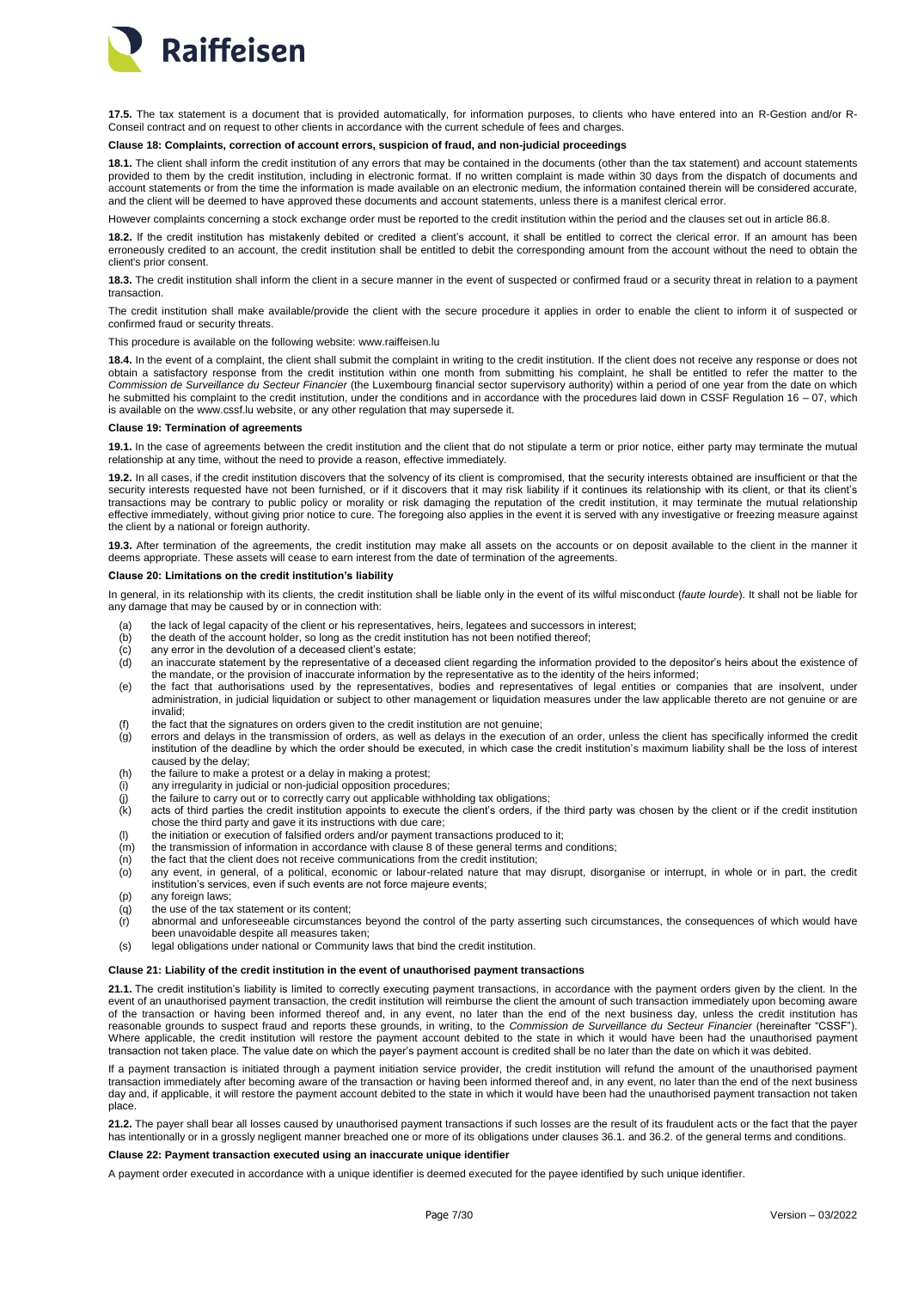

**17.5.** The tax statement is a document that is provided automatically, for information purposes, to clients who have entered into an R-Gestion and/or R-Conseil contract and on request to other clients in accordance with the current schedule of fees and charges.

# <span id="page-6-0"></span>**Clause 18: Complaints, correction of account errors, suspicion of fraud, and non-judicial proceedings**

**18.1.** The client shall inform the credit institution of any errors that may be contained in the documents (other than the tax statement) and account statements provided to them by the credit institution, including in electronic format. If no written complaint is made within 30 days from the dispatch of documents and account statements or from the time the information is made available on an electronic medium, the information contained therein will be considered accurate, and the client will be deemed to have approved these documents and account statements, unless there is a manifest clerical error.

However complaints concerning a stock exchange order must be reported to the credit institution within the period and the clauses set out in article 86.8.

**18.2.** If the credit institution has mistakenly debited or credited a client's account, it shall be entitled to correct the clerical error. If an amount has been erroneously credited to an account, the credit institution shall be entitled to debit the corresponding amount from the account without the need to obtain the client's prior consent.

**18.3.** The credit institution shall inform the client in a secure manner in the event of suspected or confirmed fraud or a security threat in relation to a payment transaction.

The credit institution shall make available/provide the client with the secure procedure it applies in order to enable the client to inform it of suspected or confirmed fraud or security threats.

### This procedure is available on the following website: www.raiffeisen.lu

18.4. In the event of a complaint, the client shall submit the complaint in writing to the credit institution. If the client does not receive any response or does not obtain a satisfactory response from the credit institution within one month from submitting his complaint, he shall be entitled to refer the matter to the *Commission de Surveillance du Secteur Financier* (the Luxembourg financial sector supervisory authority) within a period of one year from the date on which he submitted his complaint to the credit institution, under the conditions and in accordance with the procedures laid down in CSSF Regulation 16 - 07, which is available on the www.cssf.lu website, or any other regulation that may supersede it.

#### <span id="page-6-1"></span>**Clause 19: Termination of agreements**

**19.1.** In the case of agreements between the credit institution and the client that do not stipulate a term or prior notice, either party may terminate the mutual relationship at any time, without the need to provide a reason, effective immediately.

**19.2.** In all cases, if the credit institution discovers that the solvency of its client is compromised, that the security interests obtained are insufficient or that the security interests requested have not been furnished, or if it discovers that it may risk liability if it continues its relationship with its client, or that its client's transactions may be contrary to public policy or morality or risk damaging the reputation of the credit institution, it may terminate the mutual relationship effective immediately, without giving prior notice to cure. The foregoing also applies in the event it is served with any investigative or freezing measure against the client by a national or foreign authority.

**19.3.** After termination of the agreements, the credit institution may make all assets on the accounts or on deposit available to the client in the manner it deems appropriate. These assets will cease to earn interest from the date of termination of the agreements.

## <span id="page-6-2"></span>**Clause 20: Limitations on the credit institution's liability**

In general, in its relationship with its clients, the credit institution shall be liable only in the event of its wilful misconduct (*faute lourde*). It shall not be liable for any damage that may be caused by or in connection with:

- (a) the lack of legal capacity of the client or his representatives, heirs, legatees and successors in interest;
- (b) the death of the account holder, so long as the credit institution has not been notified thereof;
- 
- (c) any error in the devolution of a deceased client's estate;<br>(d) an inaccurate statement by the representative of a dece existent and the representative of a deceased client regarding the information provided to the depositor's heirs about the existence of the mandate, or the provision of inaccurate information by the representative as to the identity of the heirs informed;
- (e) the fact that authorisations used by the representatives, bodies and representatives of legal entities or companies that are insolvent, under administration, in judicial liquidation or subject to other management or liquidation measures under the law applicable thereto are not genuine or are invalid;
- (f) the fact that the signatures on orders given to the credit institution are not genuine;
- (g) errors and delays in the transmission of orders, as well as delays in the execution of an order, unless the client has specifically informed the credit institution of the deadline by which the order should be executed, in which case the credit institution's maximum liability shall be the loss of interest caused by the delay;
- (h) the failure to make a protest or a delay in making a protest;
- (i) any irregularity in judicial or non-judicial opposition procedures;
- 
- $j$  the failure to carry out or to correctly carry out applicable withholding tax obligations;<br>(k) acts of third parties the credit institution appoints to execute the client's orders, if the acts of third parties the credit institution appoints to execute the client's orders, if the third party was chosen by the client or if the credit institution chose the third party and gave it its instructions with due care;
- (l) the initiation or execution of falsified orders and/or payment transactions produced to it;
- $(n)$  the transmission of information in accordance with clause 8 of these general terms and conditions;<br> $(n)$  the fact that the client does not receive communications from the credit institution;
- $\overrightarrow{(n)}$  the fact that the client does not receive communications from the credit institution;<br>(o) any event, in general, of a political, economic or labour-related nature that ma
- any event, in general, of a political, economic or labour-related nature that may disrupt, disorganise or interrupt, in whole or in part, the credit institution's services, even if such events are not force majeure events;
- (p) any foreign laws;<br>(g) the use of the tax
- the use of the tax statement or its content:
- (r) abnormal and unforeseeable circumstances beyond the control of the party asserting such circumstances, the consequences of which would have been unavoidable despite all measures taken;
- (s) legal obligations under national or Community laws that bind the credit institution.

### <span id="page-6-3"></span>**Clause 21: Liability of the credit institution in the event of unauthorised payment transactions**

**21.1.** The credit institution's liability is limited to correctly executing payment transactions, in accordance with the payment orders given by the client. In the event of an unauthorised payment transaction, the credit institution will reimburse the client the amount of such transaction immediately upon becoming aware of the transaction or having been informed thereof and, in any event, no later than the end of the next business day, unless the credit institution has reasonable grounds to suspect fraud and reports these grounds, in writing, to the *Commission de Surveillance du Secteur Financier* (hereinafter "CSSF"). Where applicable, the credit institution will restore the payment account debited to the state in which it would have been had the unauthorised payment transaction not taken place. The value date on which the payer's payment account is credited shall be no later than the date on which it was debited.

If a payment transaction is initiated through a payment initiation service provider, the credit institution will refund the amount of the unauthorised payment transaction immediately after becoming aware of the transaction or having been informed thereof and, in any event, no later than the end of the next business day and, if applicable, it will restore the payment account debited to the state in which it would have been had the unauthorised payment transaction not taken place.

**21.2.** The payer shall bear all losses caused by unauthorised payment transactions if such losses are the result of its fraudulent acts or the fact that the payer has intentionally or in a grossly negligent manner breached one or more of its obligations under clauses 36.1. and 36.2. of the general terms and conditions.

### <span id="page-6-4"></span>**Clause 22: Payment transaction executed using an inaccurate unique identifier**

A payment order executed in accordance with a unique identifier is deemed executed for the payee identified by such unique identifier.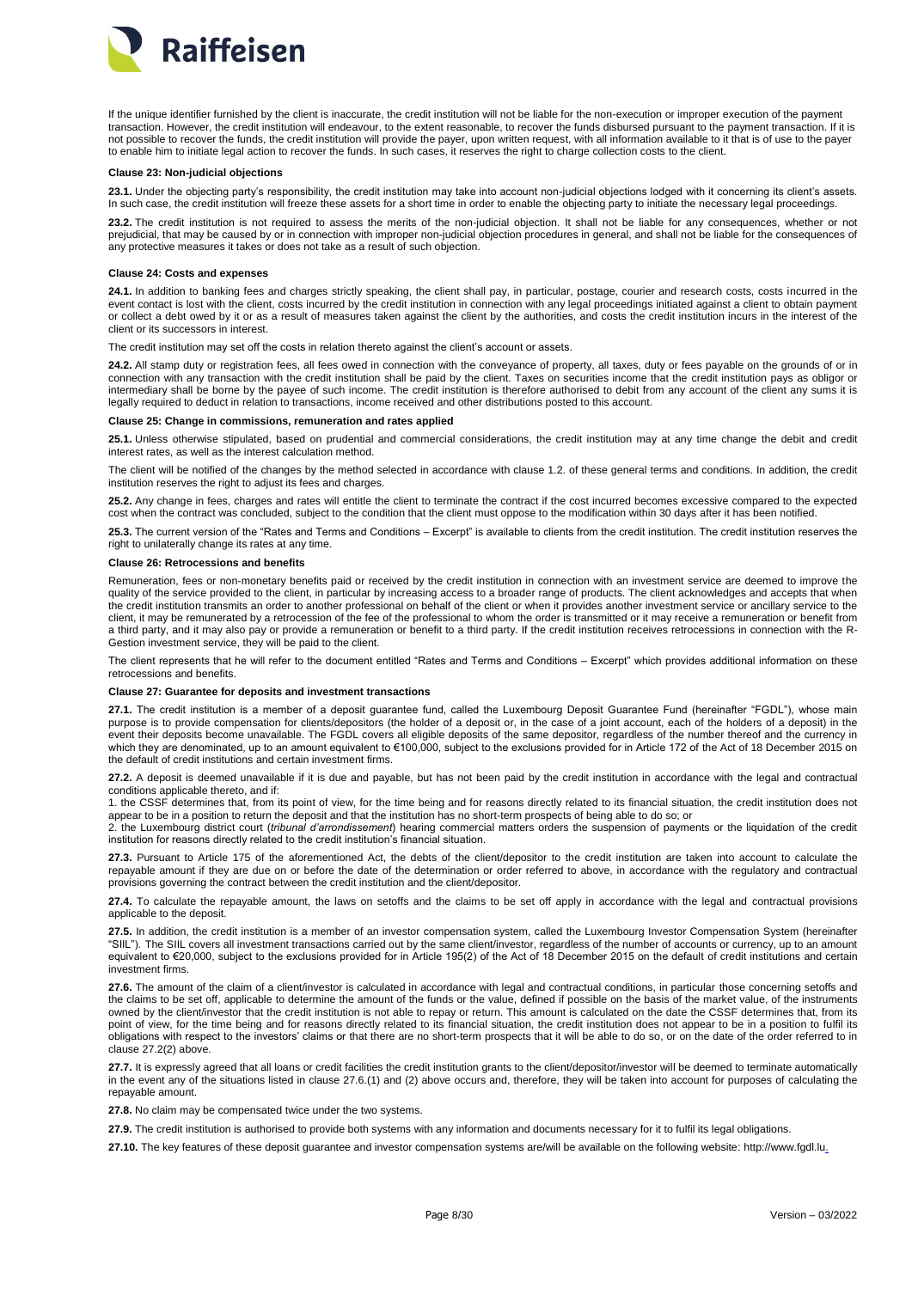

If the unique identifier furnished by the client is inaccurate, the credit institution will not be liable for the non-execution or improper execution of the payment transaction. However, the credit institution will endeavour, to the extent reasonable, to recover the funds disbursed pursuant to the payment transaction. If it is not possible to recover the funds, the credit institution will provide the payer, upon written request, with all information available to it that is of use to the payer to enable him to initiate legal action to recover the funds. In such cases, it reserves the right to charge collection costs to the client.

#### <span id="page-7-0"></span>**Clause 23: Non-judicial objections**

**23.1.** Under the objecting party's responsibility, the credit institution may take into account non-judicial objections lodged with it concerning its client's assets. In such case, the credit institution will freeze these assets for a short time in order to enable the objecting party to initiate the necessary legal proceedings

**23.2.** The credit institution is not required to assess the merits of the non-judicial objection. It shall not be liable for any consequences, whether or not prejudicial, that may be caused by or in connection with improper non-judicial objection procedures in general, and shall not be liable for the consequences of any protective measures it takes or does not take as a result of such objection.

### <span id="page-7-1"></span>**Clause 24: Costs and expenses**

**24.1.** In addition to banking fees and charges strictly speaking, the client shall pay, in particular, postage, courier and research costs, costs incurred in the event contact is lost with the client, costs incurred by the credit institution in connection with any legal proceedings initiated against a client to obtain payment or collect a debt owed by it or as a result of measures taken against the client by the authorities, and costs the credit institution incurs in the interest of the client or its successors in interest.

The credit institution may set off the costs in relation thereto against the client's account or assets.

**24.2.** All stamp duty or registration fees, all fees owed in connection with the conveyance of property, all taxes, duty or fees payable on the grounds of or in connection with any transaction with the credit institution shall be paid by the client. Taxes on securities income that the credit institution pays as obligor or intermediary shall be borne by the payee of such income. The credit institution is therefore authorised to debit from any account of the client any sums it is legally required to deduct in relation to transactions, income received and other distributions posted to this account.

#### <span id="page-7-2"></span>**Clause 25: Change in commissions, remuneration and rates applied**

**25.1.** Unless otherwise stipulated, based on prudential and commercial considerations, the credit institution may at any time change the debit and credit interest rates, as well as the interest calculation method.

The client will be notified of the changes by the method selected in accordance with clause 1.2. of these general terms and conditions. In addition, the credit institution reserves the right to adjust its fees and charges.

**25.2.** Any change in fees, charges and rates will entitle the client to terminate the contract if the cost incurred becomes excessive compared to the expected cost when the contract was concluded, subject to the condition that the client must oppose to the modification within 30 days after it has been notified.

**25.3.** The current version of the "Rates and Terms and Conditions – Excerpt" is available to clients from the credit institution. The credit institution reserves the right to unilaterally change its rates at any time.

### <span id="page-7-3"></span>**Clause 26: Retrocessions and benefits**

Remuneration, fees or non-monetary benefits paid or received by the credit institution in connection with an investment service are deemed to improve the quality of the service provided to the client, in particular by increasing access to a broader range of products. The client acknowledges and accepts that when the credit institution transmits an order to another professional on behalf of the client or when it provides another investment service or ancillary service to the client, it may be remunerated by a retrocession of the fee of the professional to whom the order is transmitted or it may receive a remuneration or benefit from a third party, and it may also pay or provide a remuneration or benefit to a third party. If the credit institution receives retrocessions in connection with the R-Gestion investment service, they will be paid to the client.

The client represents that he will refer to the document entitled "Rates and Terms and Conditions – Excerpt" which provides additional information on these retrocessions and benefits.

# <span id="page-7-4"></span>**Clause 27: Guarantee for deposits and investment transactions**

**27.1.** The credit institution is a member of a deposit guarantee fund, called the Luxembourg Deposit Guarantee Fund (hereinafter "FGDL"), whose main purpose is to provide compensation for clients/depositors (the holder of a deposit or, in the case of a joint account, each of the holders of a deposit) in the event their deposits become unavailable. The FGDL covers all eligible deposits of the same depositor, regardless of the number thereof and the currency in which they are denominated, up to an amount equivalent to €100,000, subject to the exclusions provided for in Article 172 of the Act of 18 December 2015 on the default of credit institutions and certain investment firms.

**27.2.** A deposit is deemed unavailable if it is due and payable, but has not been paid by the credit institution in accordance with the legal and contractual conditions applicable thereto, and if:

1. the CSSF determines that, from its point of view, for the time being and for reasons directly related to its financial situation, the credit institution does not appear to be in a position to return the deposit and that the institution has no short-term prospects of being able to do so; or

2. the Luxembourg district court (*tribunal d'arrondissement*) hearing commercial matters orders the suspension of payments or the liquidation of the credit institution for reasons directly related to the credit institution's financial situation.

**27.3.** Pursuant to Article 175 of the aforementioned Act, the debts of the client/depositor to the credit institution are taken into account to calculate the repayable amount if they are due on or before the date of the determination or order referred to above, in accordance with the regulatory and contractual provisions governing the contract between the credit institution and the client/depositor.

**27.4.** To calculate the repayable amount, the laws on setoffs and the claims to be set off apply in accordance with the legal and contractual provisions applicable to the deposit.

**27.5.** In addition, the credit institution is a member of an investor compensation system, called the Luxembourg Investor Compensation System (hereinafter "SIIL"). The SIIL covers all investment transactions carried out by the same client/investor, regardless of the number of accounts or currency, up to an amount equivalent to €20,000, subject to the exclusions provided for in Article 195(2) of the Act of 18 December 2015 on the default of credit institutions and certain investment firms.

27.6. The amount of the claim of a client/investor is calculated in accordance with legal and contractual conditions, in particular those concerning setoffs and the claims to be set off, applicable to determine the amount of the funds or the value, defined if possible on the basis of the market value, of the instruments owned by the client/investor that the credit institution is not able to repay or return. This amount is calculated on the date the CSSF determines that, from its point of view, for the time being and for reasons directly related to its financial situation, the credit institution does not appear to be in a position to fulfil its obligations with respect to the investors' claims or that there are no short-term prospects that it will be able to do so, or on the date of the order referred to in clause 27.2(2) above.

**27.7.** It is expressly agreed that all loans or credit facilities the credit institution grants to the client/depositor/investor will be deemed to terminate automatically in the event any of the situations listed in clause 27.6.(1) and (2) above occurs and, therefore, they will be taken into account for purposes of calculating the repayable amount.

**27.8.** No claim may be compensated twice under the two systems.

**27.9.** The credit institution is authorised to provide both systems with any information and documents necessary for it to fulfil its legal obligations.

**27.10.** The key features of these deposit guarantee and investor compensation systems are/will be available on the following website: http://www.fgdl.lu.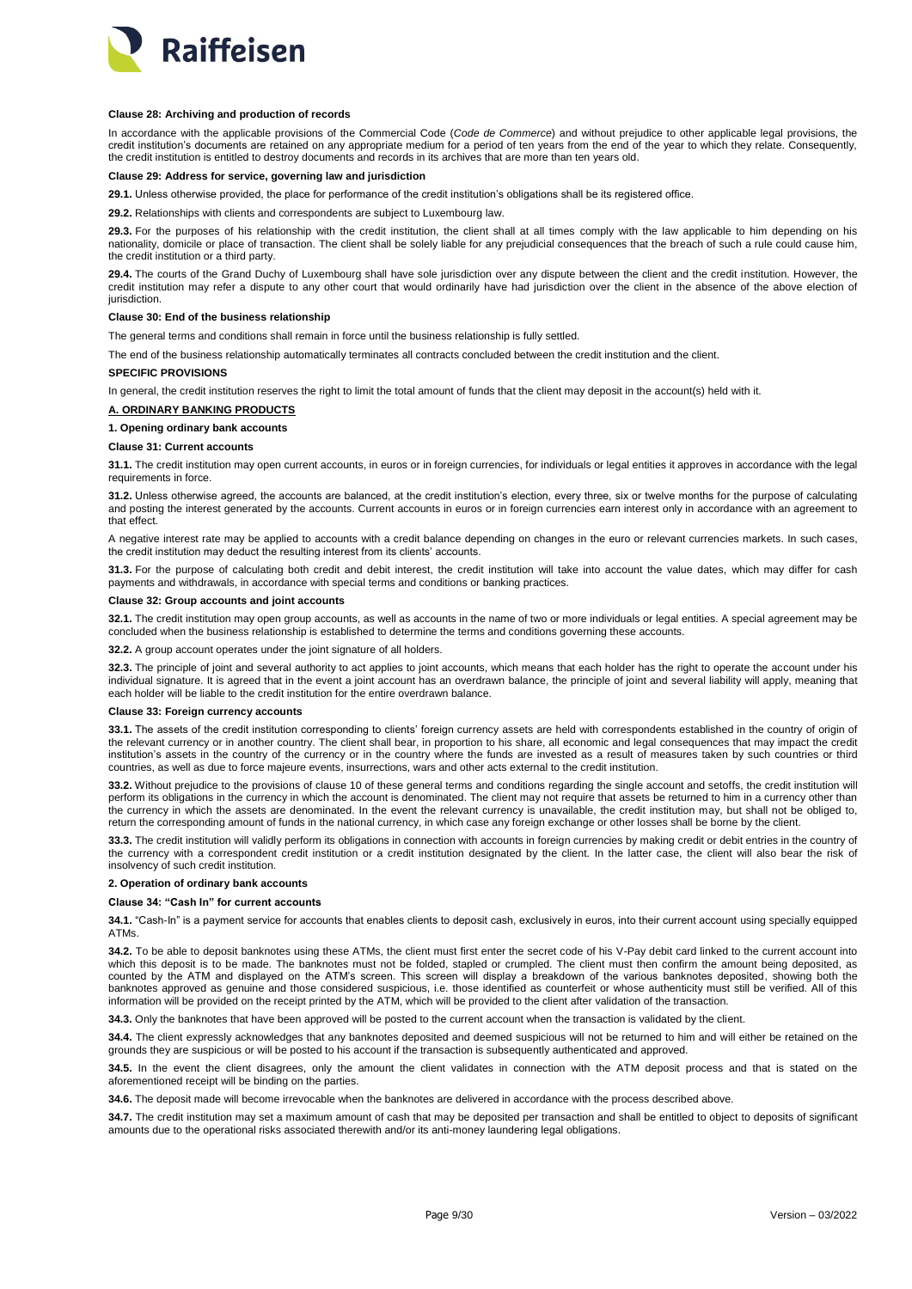

## <span id="page-8-0"></span>**Clause 28: Archiving and production of records**

In accordance with the applicable provisions of the Commercial Code (*Code de Commerce*) and without prejudice to other applicable legal provisions, the credit institution's documents are retained on any appropriate medium for a period of ten years from the end of the year to which they relate. Consequently, the credit institution is entitled to destroy documents and records in its archives that are more than ten years old.

# <span id="page-8-1"></span>**Clause 29: Address for service, governing law and jurisdiction**

**29.1.** Unless otherwise provided, the place for performance of the credit institution's obligations shall be its registered office.

**29.2.** Relationships with clients and correspondents are subject to Luxembourg law.

**29.3.** For the purposes of his relationship with the credit institution, the client shall at all times comply with the law applicable to him depending on his nationality, domicile or place of transaction. The client shall be solely liable for any prejudicial consequences that the breach of such a rule could cause him, the credit institution or a third party.

**29.4.** The courts of the Grand Duchy of Luxembourg shall have sole jurisdiction over any dispute between the client and the credit institution. However, the credit institution may refer a dispute to any other court that would ordinarily have had jurisdiction over the client in the absence of the above election of iurisdiction

# <span id="page-8-2"></span>**Clause 30: End of the business relationship**

The general terms and conditions shall remain in force until the business relationship is fully settled.

The end of the business relationship automatically terminates all contracts concluded between the credit institution and the client.

#### <span id="page-8-3"></span>**SPECIFIC PROVISIONS**

In general, the credit institution reserves the right to limit the total amount of funds that the client may deposit in the account(s) held with it.

# <span id="page-8-4"></span>**A. ORDINARY BANKING PRODUCTS**

**1. Opening ordinary bank accounts**

# <span id="page-8-5"></span>**Clause 31: Current accounts**

**31.1.** The credit institution may open current accounts, in euros or in foreign currencies, for individuals or legal entities it approves in accordance with the legal requirements in force.

**31.2.** Unless otherwise agreed, the accounts are balanced, at the credit institution's election, every three, six or twelve months for the purpose of calculating and posting the interest generated by the accounts. Current accounts in euros or in foreign currencies earn interest only in accordance with an agreement to that effect.

A negative interest rate may be applied to accounts with a credit balance depending on changes in the euro or relevant currencies markets. In such cases, the credit institution may deduct the resulting interest from its clients' accounts.

**31.3.** For the purpose of calculating both credit and debit interest, the credit institution will take into account the value dates, which may differ for cash payments and withdrawals, in accordance with special terms and conditions or banking practices.

### <span id="page-8-6"></span>**Clause 32: Group accounts and joint accounts**

**32.1.** The credit institution may open group accounts, as well as accounts in the name of two or more individuals or legal entities. A special agreement may be concluded when the business relationship is established to determine the terms and conditions governing these accounts.

**32.2.** A group account operates under the joint signature of all holders.

**32.3.** The principle of joint and several authority to act applies to joint accounts, which means that each holder has the right to operate the account under his individual signature. It is agreed that in the event a joint account has an overdrawn balance, the principle of joint and several liability will apply, meaning that each holder will be liable to the credit institution for the entire overdrawn balance.

# <span id="page-8-7"></span>**Clause 33: Foreign currency accounts**

**33.1.** The assets of the credit institution corresponding to clients' foreign currency assets are held with correspondents established in the country of origin of the relevant currency or in another country. The client shall bear, in proportion to his share, all economic and legal consequences that may impact the credit institution's assets in the country of the currency or in the country where the funds are invested as a result of measures taken by such countries or third countries, as well as due to force majeure events, insurrections, wars and other acts external to the credit institution.

**33.2.** Without prejudice to the provisions of clause 10 of these general terms and conditions regarding the single account and setoffs, the credit institution will perform its obligations in the currency in which the account is denominated. The client may not require that assets be returned to him in a currency other than the currency in which the assets are denominated. In the event the relevant currency is unavailable, the credit institution may, but shall not be obliged to, return the corresponding amount of funds in the national currency, in which case any foreign exchange or other losses shall be borne by the client.

**33.3.** The credit institution will validly perform its obligations in connection with accounts in foreign currencies by making credit or debit entries in the country of the currency with a correspondent credit institution or a credit institution designated by the client. In the latter case, the client will also bear the risk of insolvency of such credit institution.

# **2. Operation of ordinary bank accounts**

#### <span id="page-8-8"></span>**Clause 34: "Cash In" for current accounts**

**34.1.** "Cash-In" is a payment service for accounts that enables clients to deposit cash, exclusively in euros, into their current account using specially equipped ATMs.

**34.2.** To be able to deposit banknotes using these ATMs, the client must first enter the secret code of his V-Pay debit card linked to the current account into which this deposit is to be made. The banknotes must not be folded, stapled or crumpled. The client must then confirm the amount being deposited, as counted by the ATM and displayed on the ATM's screen. This screen will display a breakdown of the various banknotes deposited, showing both the banknotes approved as genuine and those considered suspicious, i.e. those identified as counterfeit or whose authenticity must still be verified. All of this information will be provided on the receipt printed by the ATM, which will be provided to the client after validation of the transaction.

**34.3.** Only the banknotes that have been approved will be posted to the current account when the transaction is validated by the client.

**34.4.** The client expressly acknowledges that any banknotes deposited and deemed suspicious will not be returned to him and will either be retained on the grounds they are suspicious or will be posted to his account if the transaction is subsequently authenticated and approved.

**34.5.** In the event the client disagrees, only the amount the client validates in connection with the ATM deposit process and that is stated on the aforementioned receipt will be binding on the parties.

**34.6.** The deposit made will become irrevocable when the banknotes are delivered in accordance with the process described above.

**34.7.** The credit institution may set a maximum amount of cash that may be deposited per transaction and shall be entitled to object to deposits of significant amounts due to the operational risks associated therewith and/or its anti-money laundering legal obligations.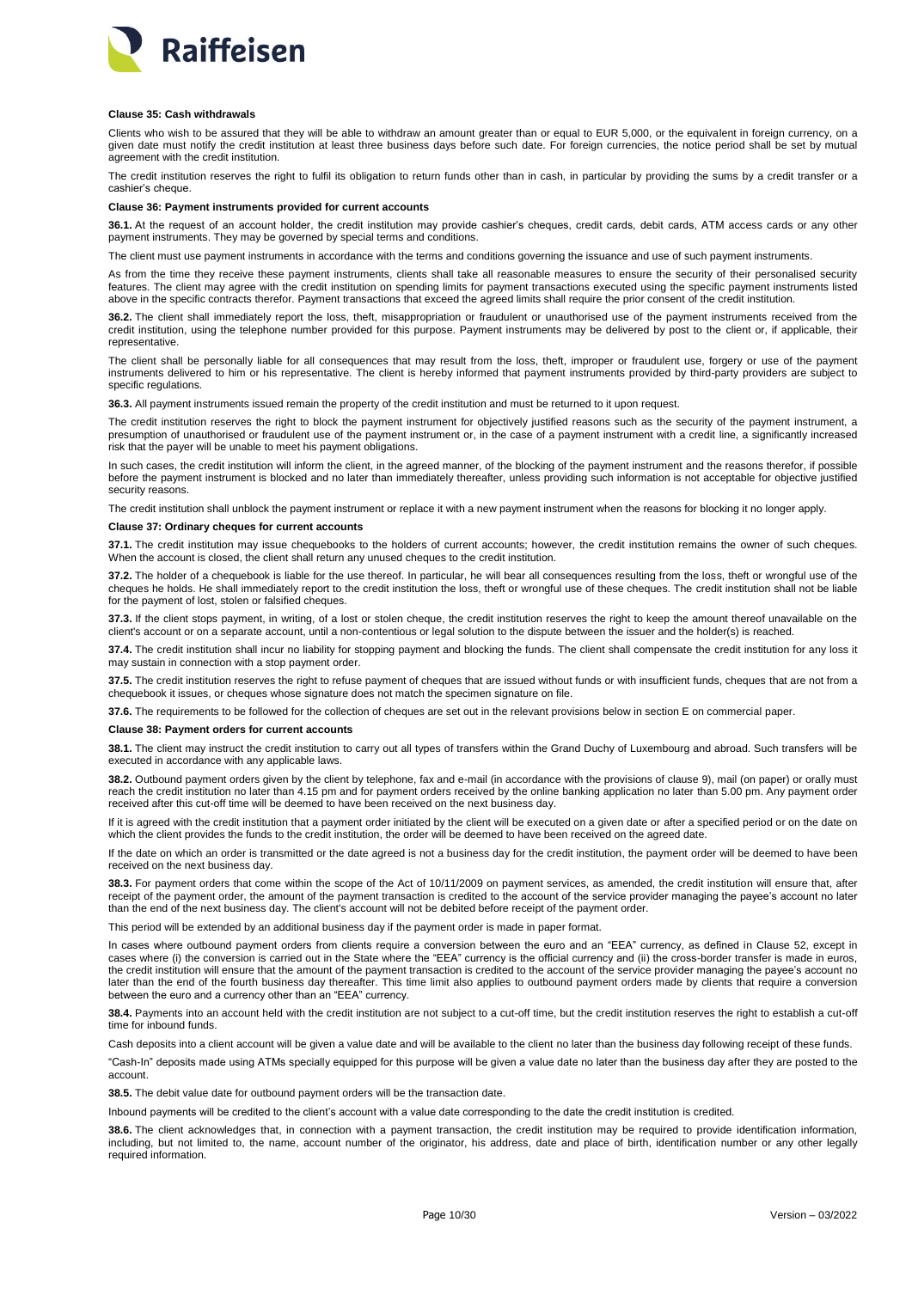

### <span id="page-9-0"></span>**Clause 35: Cash withdrawals**

Clients who wish to be assured that they will be able to withdraw an amount greater than or equal to EUR 5,000, or the equivalent in foreign currency, on a given date must notify the credit institution at least three business days before such date. For foreign currencies, the notice period shall be set by mutual agreement with the credit institution.

The credit institution reserves the right to fulfil its obligation to return funds other than in cash, in particular by providing the sums by a credit transfer or a cashier's cheque.

## <span id="page-9-1"></span>**Clause 36: Payment instruments provided for current accounts**

**36.1.** At the request of an account holder, the credit institution may provide cashier's cheques, credit cards, debit cards, ATM access cards or any other payment instruments. They may be governed by special terms and conditions.

The client must use payment instruments in accordance with the terms and conditions governing the issuance and use of such payment instruments.

As from the time they receive these payment instruments, clients shall take all reasonable measures to ensure the security of their personalised security features. The client may agree with the credit institution on spending limits for payment transactions executed using the specific payment instruments listed above in the specific contracts therefor. Payment transactions that exceed the agreed limits shall require the prior consent of the credit institution.

**36.2.** The client shall immediately report the loss, theft, misappropriation or fraudulent or unauthorised use of the payment instruments received from the credit institution, using the telephone number provided for this purpose. Payment instruments may be delivered by post to the client or, if applicable, their representative.

The client shall be personally liable for all consequences that may result from the loss, theft, improper or fraudulent use, forgery or use of the payment instruments delivered to him or his representative. The client is hereby informed that payment instruments provided by third-party providers are subject to specific regulations.

**36.3.** All payment instruments issued remain the property of the credit institution and must be returned to it upon request.

The credit institution reserves the right to block the payment instrument for objectively justified reasons such as the security of the payment instrument, a presumption of unauthorised or fraudulent use of the payment instrument or, in the case of a payment instrument with a credit line, a significantly increased risk that the payer will be unable to meet his payment obligations.

In such cases, the credit institution will inform the client, in the agreed manner, of the blocking of the payment instrument and the reasons therefor, if possible before the payment instrument is blocked and no later than immediately thereafter, unless providing such information is not acceptable for objective justified security reasons.

The credit institution shall unblock the payment instrument or replace it with a new payment instrument when the reasons for blocking it no longer apply.

# <span id="page-9-2"></span>**Clause 37: Ordinary cheques for current accounts**

**37.1.** The credit institution may issue chequebooks to the holders of current accounts; however, the credit institution remains the owner of such cheques. When the account is closed, the client shall return any unused cheques to the credit institution.

**37.2.** The holder of a chequebook is liable for the use thereof. In particular, he will bear all consequences resulting from the loss, theft or wrongful use of the cheques he holds. He shall immediately report to the credit institution the loss, theft or wrongful use of these cheques. The credit institution shall not be liable for the payment of lost, stolen or falsified cheques.

**37.3.** If the client stops payment, in writing, of a lost or stolen cheque, the credit institution reserves the right to keep the amount thereof unavailable on the client's account or on a separate account, until a non-contentious or legal solution to the dispute between the issuer and the holder(s) is reached.

**37.4.** The credit institution shall incur no liability for stopping payment and blocking the funds. The client shall compensate the credit institution for any loss it may sustain in connection with a stop payment order.

**37.5.** The credit institution reserves the right to refuse payment of cheques that are issued without funds or with insufficient funds, cheques that are not from a chequebook it issues, or cheques whose signature does not match the specimen signature on file.

**37.6.** The requirements to be followed for the collection of cheques are set out in the relevant provisions below in section E on commercial paper.

#### <span id="page-9-3"></span>**Clause 38: Payment orders for current accounts**

**38.1.** The client may instruct the credit institution to carry out all types of transfers within the Grand Duchy of Luxembourg and abroad. Such transfers will be executed in accordance with any applicable laws.

**38.2.** Outbound payment orders given by the client by telephone, fax and e-mail (in accordance with the provisions of clause 9), mail (on paper) or orally must reach the credit institution no later than 4.15 pm and for payment orders received by the online banking application no later than 5.00 pm. Any payment order received after this cut-off time will be deemed to have been received on the next business day.

If it is agreed with the credit institution that a payment order initiated by the client will be executed on a given date or after a specified period or on the date on which the client provides the funds to the credit institution, the order will be deemed to have been received on the agreed date.

If the date on which an order is transmitted or the date agreed is not a business day for the credit institution, the payment order will be deemed to have been received on the next business day.

**38.3.** For payment orders that come within the scope of the Act of 10/11/2009 on payment services, as amended, the credit institution will ensure that, after receipt of the payment order, the amount of the payment transaction is credited to the account of the service provider managing the payee's account no later than the end of the next business day. The client's account will not be debited before receipt of the payment order.

This period will be extended by an additional business day if the payment order is made in paper format.

In cases where outbound payment orders from clients require a conversion between the euro and an "EEA" currency, as defined in Clause 52, except in cases where (i) the conversion is carried out in the State where the "EEA" currency is the official currency and (ii) the cross-border transfer is made in euros, the credit institution will ensure that the amount of the payment transaction is credited to the account of the service provider managing the payee's account no later than the end of the fourth business day thereafter. This time limit also applies to outbound payment orders made by clients that require a conversion between the euro and a currency other than an "EEA" currency.

**38.4.** Payments into an account held with the credit institution are not subject to a cut-off time, but the credit institution reserves the right to establish a cut-off time for inbound funds.

Cash deposits into a client account will be given a value date and will be available to the client no later than the business day following receipt of these funds.

"Cash-In" deposits made using ATMs specially equipped for this purpose will be given a value date no later than the business day after they are posted to the account.

**38.5.** The debit value date for outbound payment orders will be the transaction date.

Inbound payments will be credited to the client's account with a value date corresponding to the date the credit institution is credited.

**38.6.** The client acknowledges that, in connection with a payment transaction, the credit institution may be required to provide identification information, including, but not limited to, the name, account number of the originator, his address, date and place of birth, identification number or any other legally required information.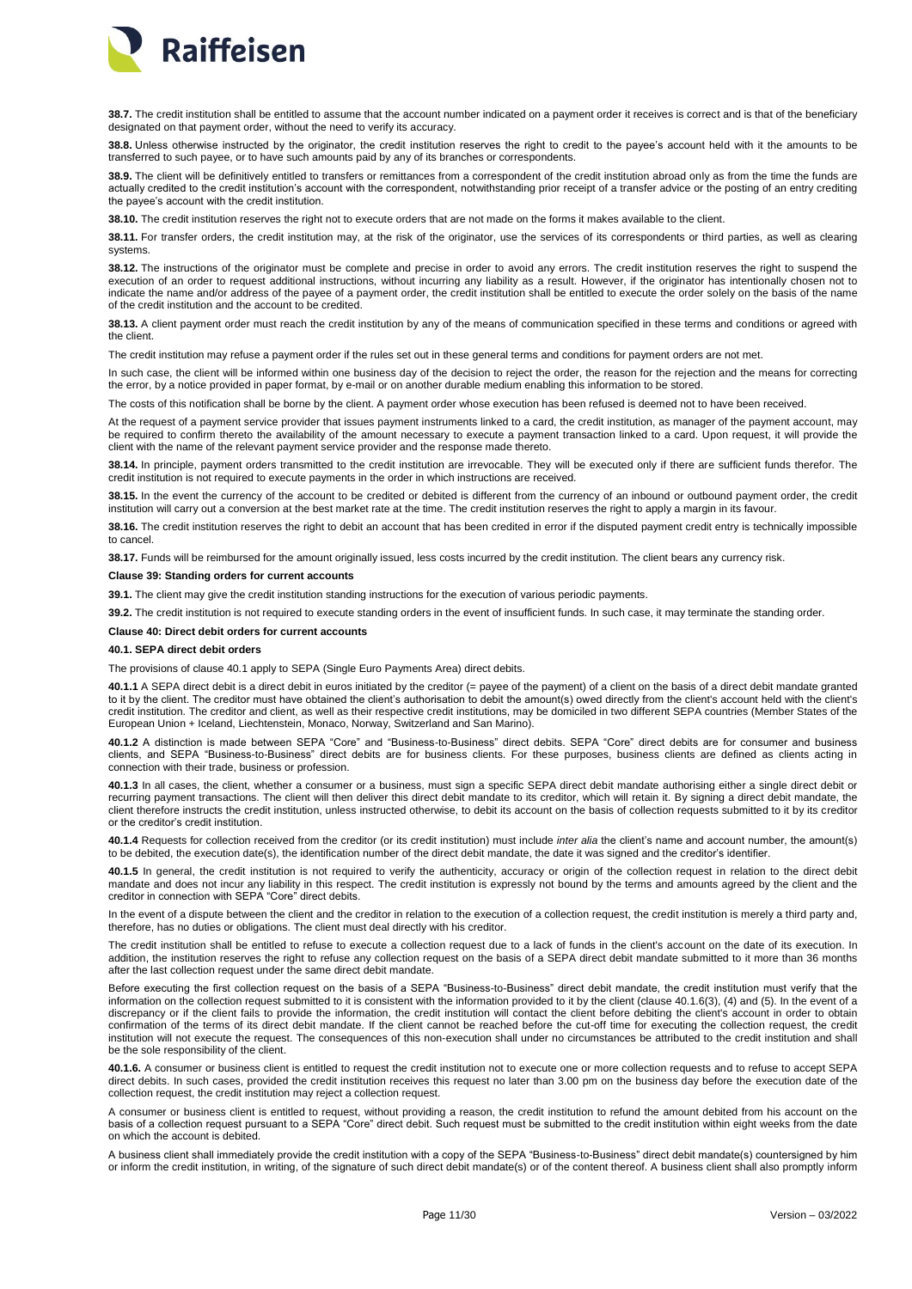

**38.7.** The credit institution shall be entitled to assume that the account number indicated on a payment order it receives is correct and is that of the beneficiary designated on that payment order, without the need to verify its accuracy.

**38.8.** Unless otherwise instructed by the originator, the credit institution reserves the right to credit to the payee's account held with it the amounts to be transferred to such payee, or to have such amounts paid by any of its branches or correspondents.

**38.9.** The client will be definitively entitled to transfers or remittances from a correspondent of the credit institution abroad only as from the time the funds are actually credited to the credit institution's account with the correspondent, notwithstanding prior receipt of a transfer advice or the posting of an entry crediting the payee's account with the credit institution.

**38.10.** The credit institution reserves the right not to execute orders that are not made on the forms it makes available to the client.

**38.11.** For transfer orders, the credit institution may, at the risk of the originator, use the services of its correspondents or third parties, as well as clearing systems.

**38.12.** The instructions of the originator must be complete and precise in order to avoid any errors. The credit institution reserves the right to suspend the execution of an order to request additional instructions, without incurring any liability as a result. However, if the originator has intentionally chosen not to indicate the name and/or address of the payee of a payment order, the credit institution shall be entitled to execute the order solely on the basis of the name of the credit institution and the account to be credited.

**38.13.** A client payment order must reach the credit institution by any of the means of communication specified in these terms and conditions or agreed with the client.

The credit institution may refuse a payment order if the rules set out in these general terms and conditions for payment orders are not met.

In such case, the client will be informed within one business day of the decision to reject the order, the reason for the rejection and the means for correcting the error, by a notice provided in paper format, by e-mail or on another durable medium enabling this information to be stored.

of this notification shall be borne by the client. A payment order whose execution has been refused is deemed not to have been received.

At the request of a payment service provider that issues payment instruments linked to a card, the credit institution, as manager of the payment account, may be required to confirm thereto the availability of the amount necessary to execute a payment transaction linked to a card. Upon request, it will provide the client with the name of the relevant payment service provider and the response made thereto.

**38.14.** In principle, payment orders transmitted to the credit institution are irrevocable. They will be executed only if there are sufficient funds therefor. The credit institution is not required to execute payments in the order in which instructions are received.

**38.15.** In the event the currency of the account to be credited or debited is different from the currency of an inbound or outbound payment order, the credit institution will carry out a conversion at the best market rate at the time. The credit institution reserves the right to apply a margin in its favour.

**38.16.** The credit institution reserves the right to debit an account that has been credited in error if the disputed payment credit entry is technically impossible to cancel.

**38.17.** Funds will be reimbursed for the amount originally issued, less costs incurred by the credit institution. The client bears any currency risk.

# <span id="page-10-0"></span>**Clause 39: Standing orders for current accounts**

**39.1.** The client may give the credit institution standing instructions for the execution of various periodic payments.

**39.2.** The credit institution is not required to execute standing orders in the event of insufficient funds. In such case, it may terminate the standing order.

# <span id="page-10-1"></span>**Clause 40: Direct debit orders for current accounts**

# **40.1. SEPA direct debit orders**

The provisions of clause 40.1 apply to SEPA (Single Euro Payments Area) direct debits.

**40.1.1** A SEPA direct debit is a direct debit in euros initiated by the creditor (= payee of the payment) of a client on the basis of a direct debit mandate granted to it by the client. The creditor must have obtained the client's authorisation to debit the amount(s) owed directly from the client's account held with the client's credit institution. The creditor and client, as well as their respective credit institutions, may be domiciled in two different SEPA countries (Member States of the European Union + Iceland, Liechtenstein, Monaco, Norway, Switzerland and San Marino).

**40.1.2** A distinction is made between SEPA "Core" and "Business-to-Business" direct debits. SEPA "Core" direct debits are for consumer and business clients, and SEPA "Business-to-Business" direct debits are for business clients. For these purposes, business clients are defined as clients acting in connection with their trade, business or profession.

**40.1.3** In all cases, the client, whether a consumer or a business, must sign a specific SEPA direct debit mandate authorising either a single direct debit or recurring payment transactions. The client will then deliver this direct debit mandate to its creditor, which will retain it. By signing a direct debit mandate, the client therefore instructs the credit institution, unless instructed otherwise, to debit its account on the basis of collection requests submitted to it by its creditor or the creditor's credit institution.

**40.1.4** Requests for collection received from the creditor (or its credit institution) must include *inter alia* the client's name and account number, the amount(s) to be debited, the execution date(s), the identification number of the direct debit mandate, the date it was signed and the creditor's identifier.

**40.1.5** In general, the credit institution is not required to verify the authenticity, accuracy or origin of the collection request in relation to the direct debit mandate and does not incur any liability in this respect. The credit institution is expressly not bound by the terms and amounts agreed by the client and the creditor in connection with SEPA "Core" direct debits.

In the event of a dispute between the client and the creditor in relation to the execution of a collection request, the credit institution is merely a third party and, therefore, has no duties or obligations. The client must deal directly with his creditor.

The credit institution shall be entitled to refuse to execute a collection request due to a lack of funds in the client's account on the date of its execution. In addition, the institution reserves the right to refuse any collection request on the basis of a SEPA direct debit mandate submitted to it more than 36 months after the last collection request under the same direct debit mandate.

Before executing the first collection request on the basis of a SEPA "Business-to-Business" direct debit mandate, the credit institution must verify that the information on the collection request submitted to it is consistent with the information provided to it by the client (clause 40.1.6(3), (4) and (5). In the event of a discrepancy or if the client fails to provide the information, the credit institution will contact the client before debiting the client's account in order to obtain confirmation of the terms of its direct debit mandate. If the client cannot be reached before the cut-off time for executing the collection request, the credit institution will not execute the request. The consequences of this non-execution shall under no circumstances be attributed to the credit institution and shall be the sole responsibility of the client.

**40.1.6.** A consumer or business client is entitled to request the credit institution not to execute one or more collection requests and to refuse to accept SEPA direct debits. In such cases, provided the credit institution receives this request no later than 3.00 pm on the business day before the execution date of the collection request, the credit institution may reject a collection request.

A consumer or business client is entitled to request, without providing a reason, the credit institution to refund the amount debited from his account on the basis of a collection request pursuant to a SEPA "Core" direct debit. Such request must be submitted to the credit institution within eight weeks from the date on which the account is debited.

A business client shall immediately provide the credit institution with a copy of the SEPA "Business-to-Business" direct debit mandate(s) countersigned by him or inform the credit institution, in writing, of the signature of such direct debit mandate(s) or of the content thereof. A business client shall also promptly inform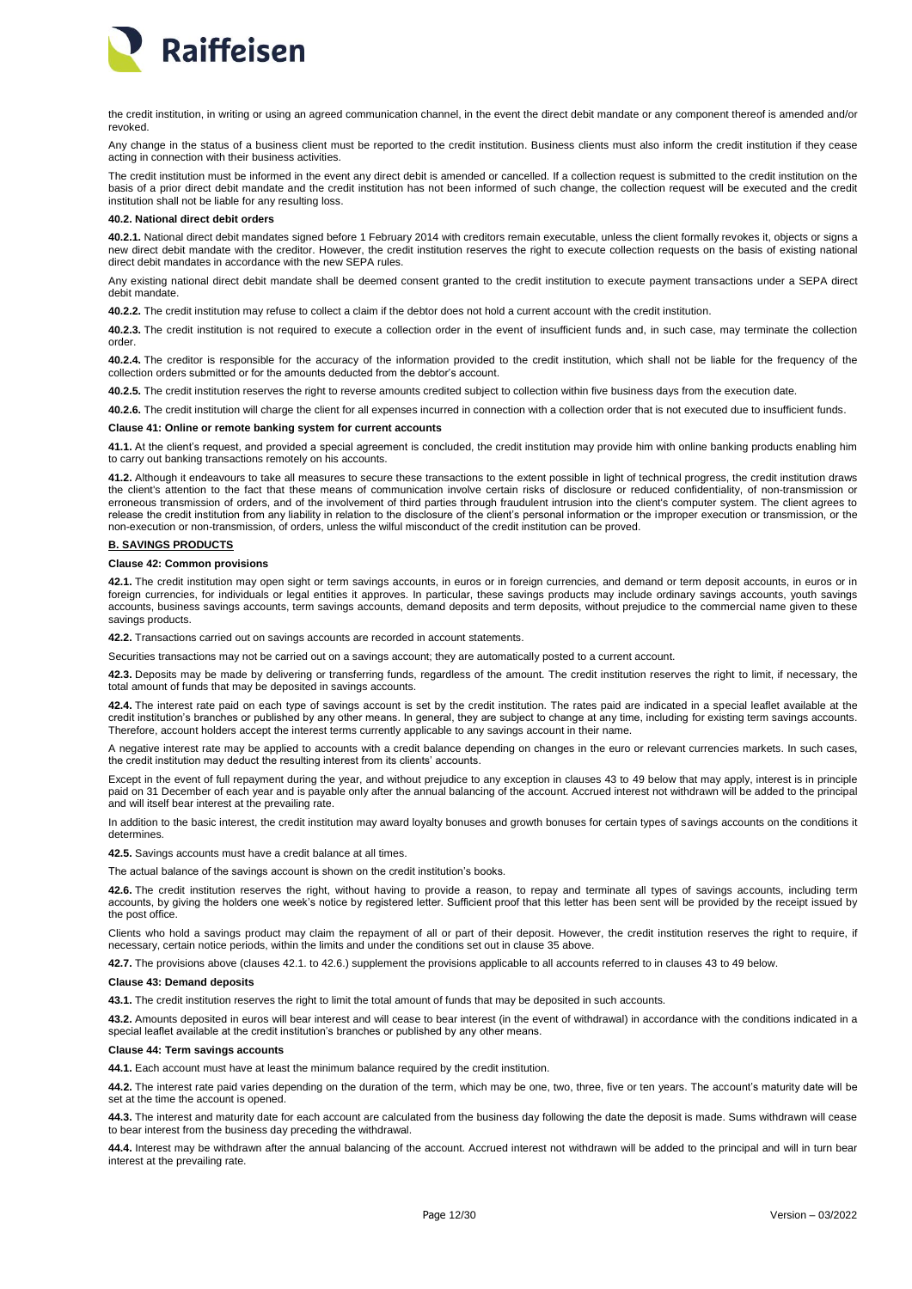

the credit institution, in writing or using an agreed communication channel, in the event the direct debit mandate or any component thereof is amended and/or revoked.

Any change in the status of a business client must be reported to the credit institution. Business clients must also inform the credit institution if they cease acting in connection with their business activities.

The credit institution must be informed in the event any direct debit is amended or cancelled. If a collection request is submitted to the credit institution on the basis of a prior direct debit mandate and the credit institution has not been informed of such change, the collection request will be executed and the credit institution shall not be liable for any resulting loss.

# **40.2. National direct debit orders**

**40.2.1.** National direct debit mandates signed before 1 February 2014 with creditors remain executable, unless the client formally revokes it, objects or signs a new direct debit mandate with the creditor. However, the credit institution reserves the right to execute collection requests on the basis of existing national direct debit mandates in accordance with the new SEPA rules.

Any existing national direct debit mandate shall be deemed consent granted to the credit institution to execute payment transactions under a SEPA direct debit mandate.

**40.2.2.** The credit institution may refuse to collect a claim if the debtor does not hold a current account with the credit institution.

**40.2.3.** The credit institution is not required to execute a collection order in the event of insufficient funds and, in such case, may terminate the collection order.

**40.2.4.** The creditor is responsible for the accuracy of the information provided to the credit institution, which shall not be liable for the frequency of the collection orders submitted or for the amounts deducted from the debtor's account.

**40.2.5.** The credit institution reserves the right to reverse amounts credited subject to collection within five business days from the execution date.

**40.2.6.** The credit institution will charge the client for all expenses incurred in connection with a collection order that is not executed due to insufficient funds.

#### <span id="page-11-0"></span>**Clause 41: Online or remote banking system for current accounts**

**41.1.** At the client's request, and provided a special agreement is concluded, the credit institution may provide him with online banking products enabling him to carry out banking transactions remotely on his accounts.

**41.2.** Although it endeavours to take all measures to secure these transactions to the extent possible in light of technical progress, the credit institution draws the client's attention to the fact that these means of communication involve certain risks of disclosure or reduced confidentiality, of non-transmission or erroneous transmission of orders, and of the involvement of third parties through fraudulent intrusion into the client's computer system. The client agrees to release the credit institution from any liability in relation to the disclosure of the client's personal information or the improper execution or transmission, or the non-execution or non-transmission, of orders, unless the wilful misconduct of the credit institution can be proved.

# <span id="page-11-1"></span>**B. SAVINGS PRODUCTS**

# <span id="page-11-2"></span>**Clause 42: Common provisions**

**42.1.** The credit institution may open sight or term savings accounts, in euros or in foreign currencies, and demand or term deposit accounts, in euros or in foreign currencies, for individuals or legal entities it approves. In particular, these savings products may include ordinary savings accounts, youth savings accounts, business savings accounts, term savings accounts, demand deposits and term deposits, without prejudice to the commercial name given to these savings products.

**42.2.** Transactions carried out on savings accounts are recorded in account statements.

Securities transactions may not be carried out on a savings account; they are automatically posted to a current account.

**42.3.** Deposits may be made by delivering or transferring funds, regardless of the amount. The credit institution reserves the right to limit, if necessary, the total amount of funds that may be deposited in savings accounts.

**42.4.** The interest rate paid on each type of savings account is set by the credit institution. The rates paid are indicated in a special leaflet available at the credit institution's branches or published by any other means. In general, they are subject to change at any time, including for existing term savings accounts. Therefore, account holders accept the interest terms currently applicable to any savings account in their name.

A negative interest rate may be applied to accounts with a credit balance depending on changes in the euro or relevant currencies markets. In such cases, the credit institution may deduct the resulting interest from its clients' accounts.

Except in the event of full repayment during the year, and without prejudice to any exception in clauses 43 to 49 below that may apply, interest is in principle paid on 31 December of each year and is payable only after the annual balancing of the account. Accrued interest not withdrawn will be added to the principal and will itself bear interest at the prevailing rate.

In addition to the basic interest, the credit institution may award loyalty bonuses and growth bonuses for certain types of savings accounts on the conditions it determines.

**42.5.** Savings accounts must have a credit balance at all times.

The actual balance of the savings account is shown on the credit institution's books.

**42.6.** The credit institution reserves the right, without having to provide a reason, to repay and terminate all types of savings accounts, including term accounts, by giving the holders one week's notice by registered letter. Sufficient proof that this letter has been sent will be provided by the receipt issued by the post office.

Clients who hold a savings product may claim the repayment of all or part of their deposit. However, the credit institution reserves the right to require, if necessary, certain notice periods, within the limits and under the conditions set out in clause 35 above.

**42.7.** The provisions above (clauses 42.1. to 42.6.) supplement the provisions applicable to all accounts referred to in clauses 43 to 49 below.

### <span id="page-11-3"></span>**Clause 43: Demand deposits**

**43.1.** The credit institution reserves the right to limit the total amount of funds that may be deposited in such accounts.

**43.2.** Amounts deposited in euros will bear interest and will cease to bear interest (in the event of withdrawal) in accordance with the conditions indicated in a special leaflet available at the credit institution's branches or published by any other means.

# <span id="page-11-4"></span>**Clause 44: Term savings accounts**

**44.1.** Each account must have at least the minimum balance required by the credit institution.

**44.2.** The interest rate paid varies depending on the duration of the term, which may be one, two, three, five or ten years. The account's maturity date will be set at the time the account is opened

**44.3.** The interest and maturity date for each account are calculated from the business day following the date the deposit is made. Sums withdrawn will cease to bear interest from the business day preceding the withdrawal.

**44.4.** Interest may be withdrawn after the annual balancing of the account. Accrued interest not withdrawn will be added to the principal and will in turn bear interest at the prevailing rate.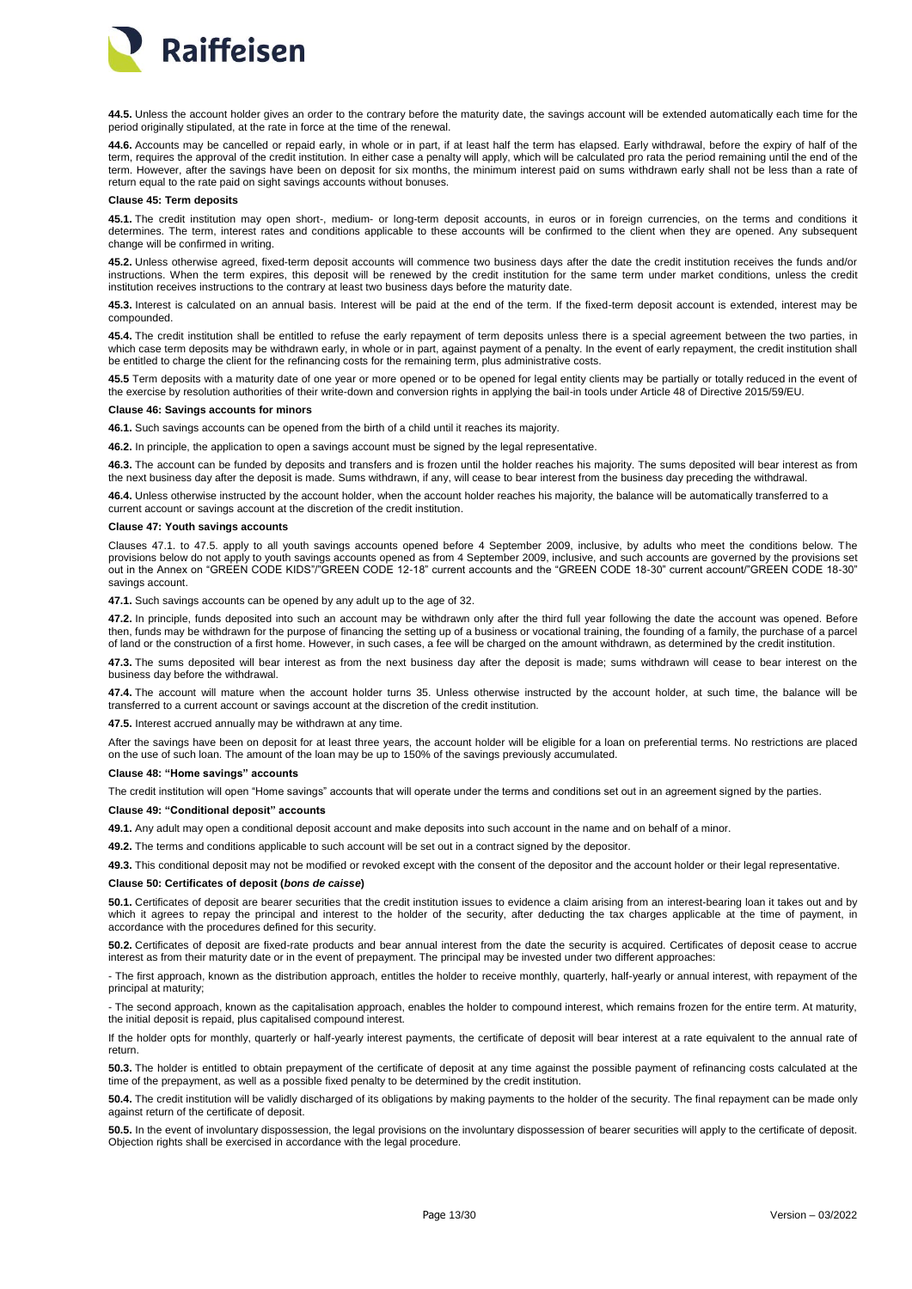

**44.5.** Unless the account holder gives an order to the contrary before the maturity date, the savings account will be extended automatically each time for the period originally stipulated, at the rate in force at the time of the renewal.

44.6. Accounts may be cancelled or repaid early, in whole or in part, if at least half the term has elapsed. Early withdrawal, before the expiry of half of the term, requires the approval of the credit institution. In either case a penalty will apply, which will be calculated pro rata the period remaining until the end of the term. However, after the savings have been on deposit for six months, the minimum interest paid on sums withdrawn early shall not be less than a rate of return equal to the rate paid on sight savings accounts without bonuses.

#### <span id="page-12-0"></span>**Clause 45: Term deposits**

**45.1.** The credit institution may open short-, medium- or long-term deposit accounts, in euros or in foreign currencies, on the terms and conditions it determines. The term, interest rates and conditions applicable to these accounts will be confirmed to the client when they are opened. Any subsequent change will be confirmed in writing.

**45.2.** Unless otherwise agreed, fixed-term deposit accounts will commence two business days after the date the credit institution receives the funds and/or instructions. When the term expires, this deposit will be renewed by the credit institution for the same term under market conditions, unless the credit institution receives instructions to the contrary at least two business days before the maturity date.

**45.3.** Interest is calculated on an annual basis. Interest will be paid at the end of the term. If the fixed-term deposit account is extended, interest may be compounded.

**45.4.** The credit institution shall be entitled to refuse the early repayment of term deposits unless there is a special agreement between the two parties, in which case term deposits may be withdrawn early, in whole or in part, against payment of a penalty. In the event of early repayment, the credit institution shall be entitled to charge the client for the refinancing costs for the remaining term, plus administrative costs.

45.5 Term deposits with a maturity date of one year or more opened or to be opened for legal entity clients may be partially or totally reduced in the event of the exercise by resolution authorities of their write-down and conversion rights in applying the bail-in tools under Article 48 of Directive 2015/59/EU.

# <span id="page-12-1"></span>**Clause 46: Savings accounts for minors**

**46.1.** Such savings accounts can be opened from the birth of a child until it reaches its majority.

**46.2.** In principle, the application to open a savings account must be signed by the legal representative.

**46.3.** The account can be funded by deposits and transfers and is frozen until the holder reaches his majority. The sums deposited will bear interest as from the next business day after the deposit is made. Sums withdrawn, if any, will cease to bear interest from the business day preceding the withdrawal.

**46.4.** Unless otherwise instructed by the account holder, when the account holder reaches his majority, the balance will be automatically transferred to a current account or savings account at the discretion of the credit institution.

## <span id="page-12-2"></span>**Clause 47: Youth savings accounts**

Clauses 47.1. to 47.5. apply to all youth savings accounts opened before 4 September 2009, inclusive, by adults who meet the conditions below. The provisions below do not apply to youth savings accounts opened as from 4 September 2009, inclusive, and such accounts are governed by the provisions set out in the Annex on "GREEN CODE KIDS"/"GREEN CODE 12-18" current accounts and the "GREEN CODE 18-30" current account/"GREEN CODE 18-30" savings account.

**47.1.** Such savings accounts can be opened by any adult up to the age of 32.

**47.2.** In principle, funds deposited into such an account may be withdrawn only after the third full year following the date the account was opened. Before then, funds may be withdrawn for the purpose of financing the setting up of a business or vocational training, the founding of a family, the purchase of a parcel of land or the construction of a first home. However, in such cases, a fee will be charged on the amount withdrawn, as determined by the credit institution.

**47.3.** The sums deposited will bear interest as from the next business day after the deposit is made; sums withdrawn will cease to bear interest on the business day before the withdrawal.

**47.4.** The account will mature when the account holder turns 35. Unless otherwise instructed by the account holder, at such time, the balance will be transferred to a current account or savings account at the discretion of the credit institution.

**47.5.** Interest accrued annually may be withdrawn at any time.

After the savings have been on deposit for at least three years, the account holder will be eligible for a loan on preferential terms. No restrictions are placed on the use of such loan. The amount of the loan may be up to 150% of the savings previously accumulated.

#### <span id="page-12-3"></span>**Clause 48: "Home savings" accounts**

The credit institution will open "Home savings" accounts that will operate under the terms and conditions set out in an agreement signed by the parties.

# <span id="page-12-4"></span>**Clause 49: "Conditional deposit" accounts**

**49.1.** Any adult may open a conditional deposit account and make deposits into such account in the name and on behalf of a minor.

**49.2.** The terms and conditions applicable to such account will be set out in a contract signed by the depositor.

**49.3.** This conditional deposit may not be modified or revoked except with the consent of the depositor and the account holder or their legal representative.

# <span id="page-12-5"></span>**Clause 50: Certificates of deposit (***bons de caisse***)**

**50.1.** Certificates of deposit are bearer securities that the credit institution issues to evidence a claim arising from an interest-bearing loan it takes out and by which it agrees to repay the principal and interest to the holder of the security, after deducting the tax charges applicable at the time of payment, in accordance with the procedures defined for this security.

**50.2.** Certificates of deposit are fixed-rate products and bear annual interest from the date the security is acquired. Certificates of deposit cease to accrue interest as from their maturity date or in the event of prepayment. The principal may be invested under two different approaches:

- The first approach, known as the distribution approach, entitles the holder to receive monthly, quarterly, half-yearly or annual interest, with repayment of the principal at maturity;

- The second approach, known as the capitalisation approach, enables the holder to compound interest, which remains frozen for the entire term. At maturity, the initial deposit is repaid, plus capitalised compound interest.

If the holder opts for monthly, quarterly or half-yearly interest payments, the certificate of deposit will bear interest at a rate equivalent to the annual rate of return.

**50.3.** The holder is entitled to obtain prepayment of the certificate of deposit at any time against the possible payment of refinancing costs calculated at the time of the prepayment, as well as a possible fixed penalty to be determined by the credit institution

**50.4.** The credit institution will be validly discharged of its obligations by making payments to the holder of the security. The final repayment can be made only against return of the certificate of deposit.

**50.5.** In the event of involuntary dispossession, the legal provisions on the involuntary dispossession of bearer securities will apply to the certificate of deposit. Objection rights shall be exercised in accordance with the legal procedure.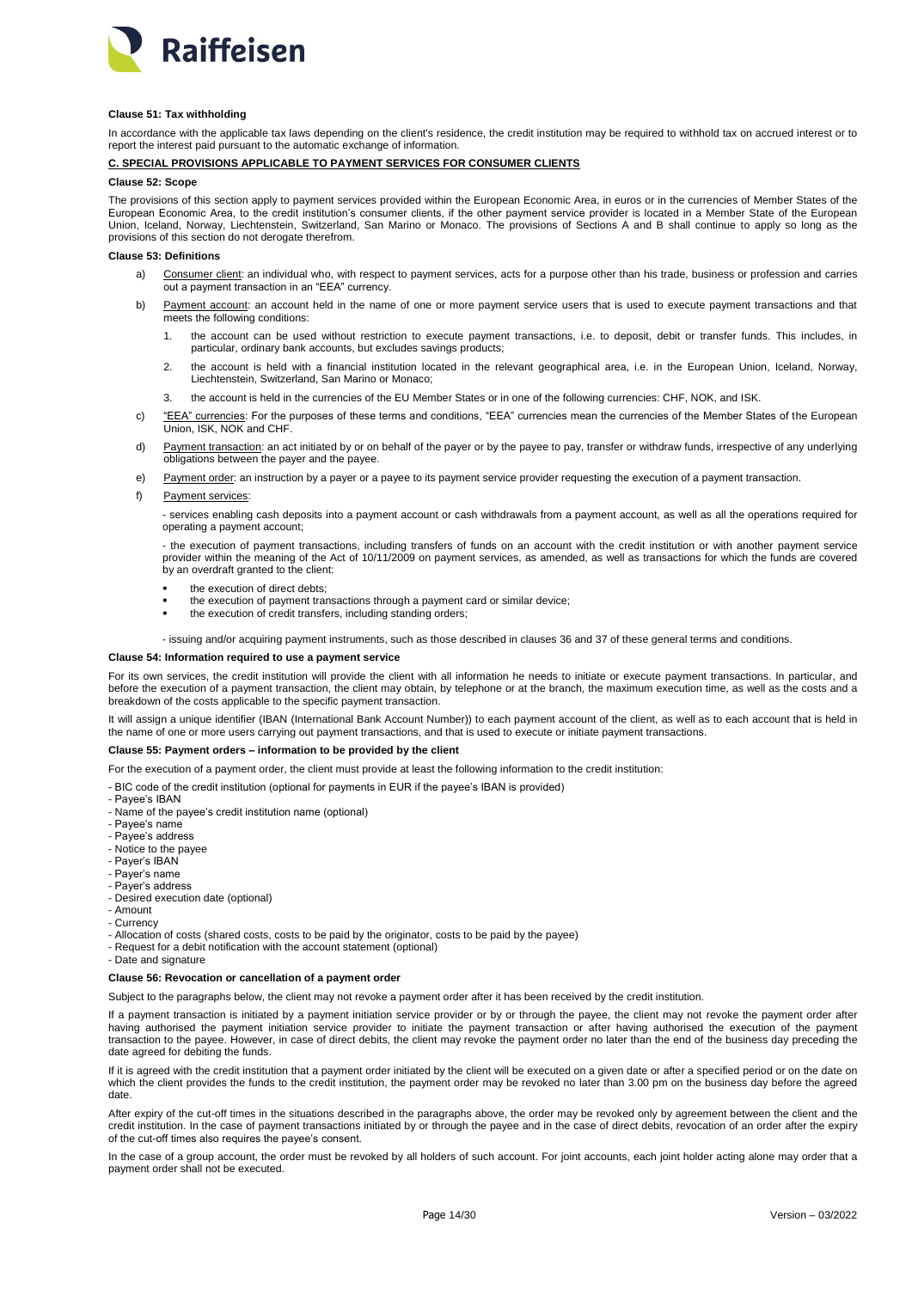

## <span id="page-13-0"></span>**Clause 51: Tax withholding**

In accordance with the applicable tax laws depending on the client's residence, the credit institution may be required to withhold tax on accrued interest or to report the interest paid pursuant to the automatic exchange of information.

# <span id="page-13-1"></span>**C. SPECIAL PROVISIONS APPLICABLE TO PAYMENT SERVICES FOR CONSUMER CLIENTS**

# <span id="page-13-2"></span>**Clause 52: Scope**

The provisions of this section apply to payment services provided within the European Economic Area, in euros or in the currencies of Member States of the European Economic Area, to the credit institution's consumer clients, if the other payment service provider is located in a Member State of the European Union, Iceland, Norway, Liechtenstein, Switzerland, San Marino or Monaco. The provisions of Sections A and B shall continue to apply so long as the provisions of this section do not derogate therefrom.

### <span id="page-13-3"></span>**Clause 53: Definitions**

- a) Consumer client: an individual who, with respect to payment services, acts for a purpose other than his trade, business or profession and carries out a payment transaction in an "EEA" currency.
- b) Payment account: an account held in the name of one or more payment service users that is used to execute payment transactions and that meets the following conditions:
	- 1. the account can be used without restriction to execute payment transactions, i.e. to deposit, debit or transfer funds. This includes, in particular, ordinary bank accounts, but excludes savings products;
	- 2. the account is held with a financial institution located in the relevant geographical area, i.e. in the European Union, Iceland, Norway, Liechtenstein, Switzerland, San Marino or Monaco;
	- 3. the account is held in the currencies of the EU Member States or in one of the following currencies: CHF, NOK, and ISK.
- c) "EEA" currencies: For the purposes of these terms and conditions, "EEA" currencies mean the currencies of the Member States of the European Union, ISK, NOK and CHF.
- d) Payment transaction: an act initiated by or on behalf of the payer or by the payee to pay, transfer or withdraw funds, irrespective of any underlying obligations between the payer and the payee.
- e) Payment order: an instruction by a payer or a payee to its payment service provider requesting the execution of a payment transaction.
- f) Payment services:

- services enabling cash deposits into a payment account or cash withdrawals from a payment account, as well as all the operations required for operating a payment account;

- the execution of payment transactions, including transfers of funds on an account with the credit institution or with another payment service provider within the meaning of the Act of 10/11/2009 on payment services, as amended, as well as transactions for which the funds are covered by an overdraft granted to the client:

- the execution of direct debts;
- the execution of payment transactions through a payment card or similar device;
- the execution of credit transfers, including standing orders;

- issuing and/or acquiring payment instruments, such as those described in clauses 36 and 37 of these general terms and conditions.

### <span id="page-13-4"></span>**Clause 54: Information required to use a payment service**

For its own services, the credit institution will provide the client with all information he needs to initiate or execute payment transactions. In particular, and before the execution of a payment transaction, the client may obtain, by telephone or at the branch, the maximum execution time, as well as the costs and a breakdown of the costs applicable to the specific payment transaction.

It will assign a unique identifier (IBAN (International Bank Account Number)) to each payment account of the client, as well as to each account that is held in the name of one or more users carrying out payment transactions, and that is used to execute or initiate payment transactions.

# <span id="page-13-5"></span>**Clause 55: Payment orders – information to be provided by the client**

For the execution of a payment order, the client must provide at least the following information to the credit institution:

- BIC code of the credit institution (optional for payments in EUR if the payee's IBAN is provided)

- Payee's IBAN
- Name of the payee's credit institution name (optional)
- Payee's name
- Payee's address
- Notice to the payee
- Payer's IBAN
- Payer's name
- Payer's address
- Desired execution date (optional)
- Amount - Currency
- Allocation of costs (shared costs, costs to be paid by the originator, costs to be paid by the payee)
- Request for a debit notification with the account statement (optional)
- Date and signature

# <span id="page-13-6"></span>**Clause 56: Revocation or cancellation of a payment order**

Subject to the paragraphs below, the client may not revoke a payment order after it has been received by the credit institution.

If a payment transaction is initiated by a payment initiation service provider or by or through the payee, the client may not revoke the payment order after having authorised the payment initiation service provider to initiate the payment transaction or after having authorised the execution of the payment transaction to the payee. However, in case of direct debits, the client may revoke the payment order no later than the end of the business day preceding the date agreed for debiting the funds.

If it is agreed with the credit institution that a payment order initiated by the client will be executed on a given date or after a specified period or on the date on which the client provides the funds to the credit institution, the payment order may be revoked no later than 3.00 pm on the business day before the agreed date.

After expiry of the cut-off times in the situations described in the paragraphs above, the order may be revoked only by agreement between the client and the credit institution. In the case of payment transactions initiated by or through the payee and in the case of direct debits, revocation of an order after the expiry of the cut-off times also requires the payee's consent.

In the case of a group account, the order must be revoked by all holders of such account. For joint accounts, each joint holder acting alone may order that a payment order shall not be executed.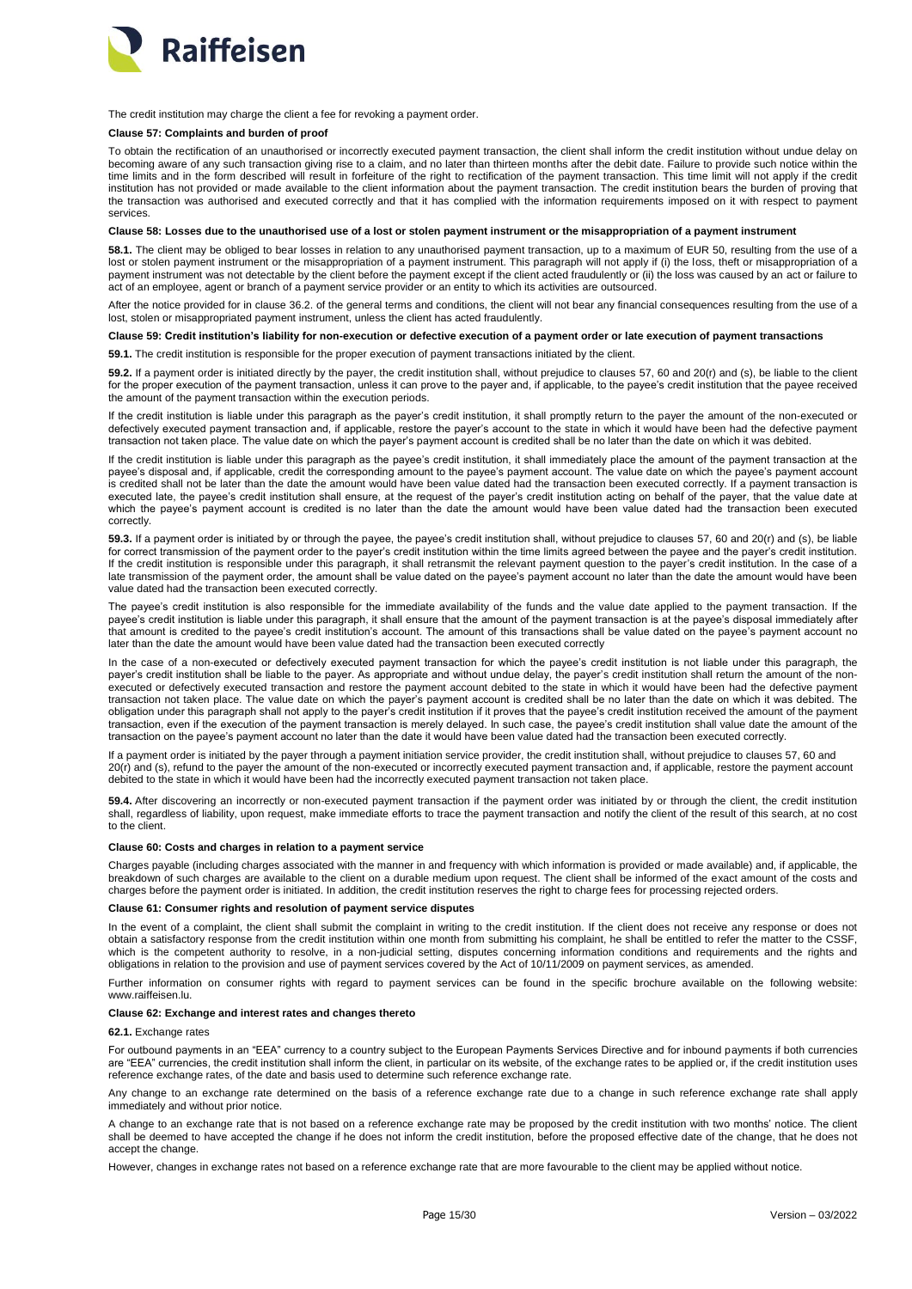

The credit institution may charge the client a fee for revoking a payment order.

# <span id="page-14-0"></span>**Clause 57: Complaints and burden of proof**

To obtain the rectification of an unauthorised or incorrectly executed payment transaction, the client shall inform the credit institution without undue delay on becoming aware of any such transaction giving rise to a claim, and no later than thirteen months after the debit date. Failure to provide such notice within the time limits and in the form described will result in forfeiture of the right to rectification of the payment transaction. This time limit will not apply if the credit institution has not provided or made available to the client information about the payment transaction. The credit institution bears the burden of proving that the transaction was authorised and executed correctly and that it has complied with the information requirements imposed on it with respect to payment services.

## <span id="page-14-1"></span>**Clause 58: Losses due to the unauthorised use of a lost or stolen payment instrument or the misappropriation of a payment instrument**

58.1. The client may be obliged to bear losses in relation to any unauthorised payment transaction, up to a maximum of EUR 50, resulting from the use of a lost or stolen payment instrument or the misappropriation of a payment instrument. This paragraph will not apply if (i) the loss, theft or misappropriation of a payment instrument was not detectable by the client before the payment except if the client acted fraudulently or (ii) the loss was caused by an act or failure to act of an employee, agent or branch of a payment service provider or an entity to which its activities are outsourced.

After the notice provided for in clause 36.2. of the general terms and conditions, the client will not bear any financial consequences resulting from the use of a lost, stolen or misappropriated payment instrument, unless the client has acted fraudulently.

#### <span id="page-14-2"></span>**Clause 59: Credit institution's liability for non-execution or defective execution of a payment order or late execution of payment transactions**

**59.1.** The credit institution is responsible for the proper execution of payment transactions initiated by the client.

**59.2.** If a payment order is initiated directly by the payer, the credit institution shall, without prejudice to clauses 57, 60 and 20(r) and (s), be liable to the client for the proper execution of the payment transaction, unless it can prove to the payer and, if applicable, to the payee's credit institution that the payee received the amount of the payment transaction within the execution periods.

If the credit institution is liable under this paragraph as the payer's credit institution, it shall promptly return to the payer the amount of the non-executed or defectively executed payment transaction and, if applicable, restore the payer's account to the state in which it would have been had the defective payment transaction not taken place. The value date on which the payer's payment account is credited shall be no later than the date on which it was debited.

If the credit institution is liable under this paragraph as the payee's credit institution, it shall immediately place the amount of the payment transaction at the payee's disposal and, if applicable, credit the corresponding amount to the payee's payment account. The value date on which the payee's payment account is credited shall not be later than the date the amount would have been value dated had the transaction been executed correctly. If a payment transaction is executed late, the payee's credit institution shall ensure, at the request of the payer's credit institution acting on behalf of the payer, that the value date at which the payee's payment account is credited is no later than the date the amount would have been value dated had the transaction been executed correctly.

**59.3.** If a payment order is initiated by or through the payee, the payee's credit institution shall, without prejudice to clauses 57, 60 and 20(r) and (s), be liable for correct transmission of the payment order to the payer's credit institution within the time limits agreed between the payee and the payer's credit institution. If the credit institution is responsible under this paragraph, it shall retransmit the relevant payment question to the payer's credit institution. In the case of a late transmission of the payment order, the amount shall be value dated on the payee's payment account no later than the date the amount would have been value dated had the transaction been executed correctly.

The payee's credit institution is also responsible for the immediate availability of the funds and the value date applied to the payment transaction. If the payee's credit institution is liable under this paragraph, it shall ensure that the amount of the payment transaction is at the payee's disposal immediately after that amount is credited to the payee's credit institution's account. The amount of this transactions shall be value dated on the payee's payment account no later than the date the amount would have been value dated had the transaction been executed correctly

In the case of a non-executed or defectively executed payment transaction for which the payee's credit institution is not liable under this paragraph, the payer's credit institution shall be liable to the payer. As appropriate and without undue delay, the payer's credit institution shall return the amount of the nonexecuted or defectively executed transaction and restore the payment account debited to the state in which it would have been had the defective payment transaction not taken place. The value date on which the payer's payment account is credited shall be no later than the date on which it was debited. The obligation under this paragraph shall not apply to the payer's credit institution if it proves that the payee's credit institution received the amount of the payment transaction, even if the execution of the payment transaction is merely delayed. In such case, the payee's credit institution shall value date the amount of the transaction on the payee's payment account no later than the date it would have been value dated had the transaction been executed correctly.

If a payment order is initiated by the payer through a payment initiation service provider, the credit institution shall, without prejudice to clauses 57, 60 and 20(r) and (s), refund to the payer the amount of the non-executed or incorrectly executed payment transaction and, if applicable, restore the payment account debited to the state in which it would have been had the incorrectly executed payment transaction not taken place.

**59.4.** After discovering an incorrectly or non-executed payment transaction if the payment order was initiated by or through the client, the credit institution shall, regardless of liability, upon request, make immediate efforts to trace the payment transaction and notify the client of the result of this search, at no cost to the client.

# <span id="page-14-3"></span>**Clause 60: Costs and charges in relation to a payment service**

Charges payable (including charges associated with the manner in and frequency with which information is provided or made available) and, if applicable, the breakdown of such charges are available to the client on a durable medium upon request. The client shall be informed of the exact amount of the costs and charges before the payment order is initiated. In addition, the credit institution reserves the right to charge fees for processing rejected orders.

## <span id="page-14-4"></span>**Clause 61: Consumer rights and resolution of payment service disputes**

In the event of a complaint, the client shall submit the complaint in writing to the credit institution. If the client does not receive any response or does not obtain a satisfactory response from the credit institution within one month from submitting his complaint, he shall be entitled to refer the matter to the CSSF, which is the competent authority to resolve, in a non-judicial setting, disputes concerning information conditions and requirements and the rights and obligations in relation to the provision and use of payment services covered by the Act of 10/11/2009 on payment services, as amended.

Further information on consumer rights with regard to payment services can be found in the specific brochure available on the following website: www.raiffeisen.lu.

# <span id="page-14-5"></span>**Clause 62: Exchange and interest rates and changes thereto**

# **62.1.** Exchange rates

For outbound payments in an "EEA" currency to a country subject to the European Payments Services Directive and for inbound payments if both currencies are "EEA" currencies, the credit institution shall inform the client, in particular on its website, of the exchange rates to be applied or, if the credit institution uses reference exchange rates, of the date and basis used to determine such reference exchange rate.

Any change to an exchange rate determined on the basis of a reference exchange rate due to a change in such reference exchange rate shall apply immediately and without prior notice.

A change to an exchange rate that is not based on a reference exchange rate may be proposed by the credit institution with two months' notice. The client shall be deemed to have accepted the change if he does not inform the credit institution, before the proposed effective date of the change, that he does not accept the change.

However, changes in exchange rates not based on a reference exchange rate that are more favourable to the client may be applied without notice.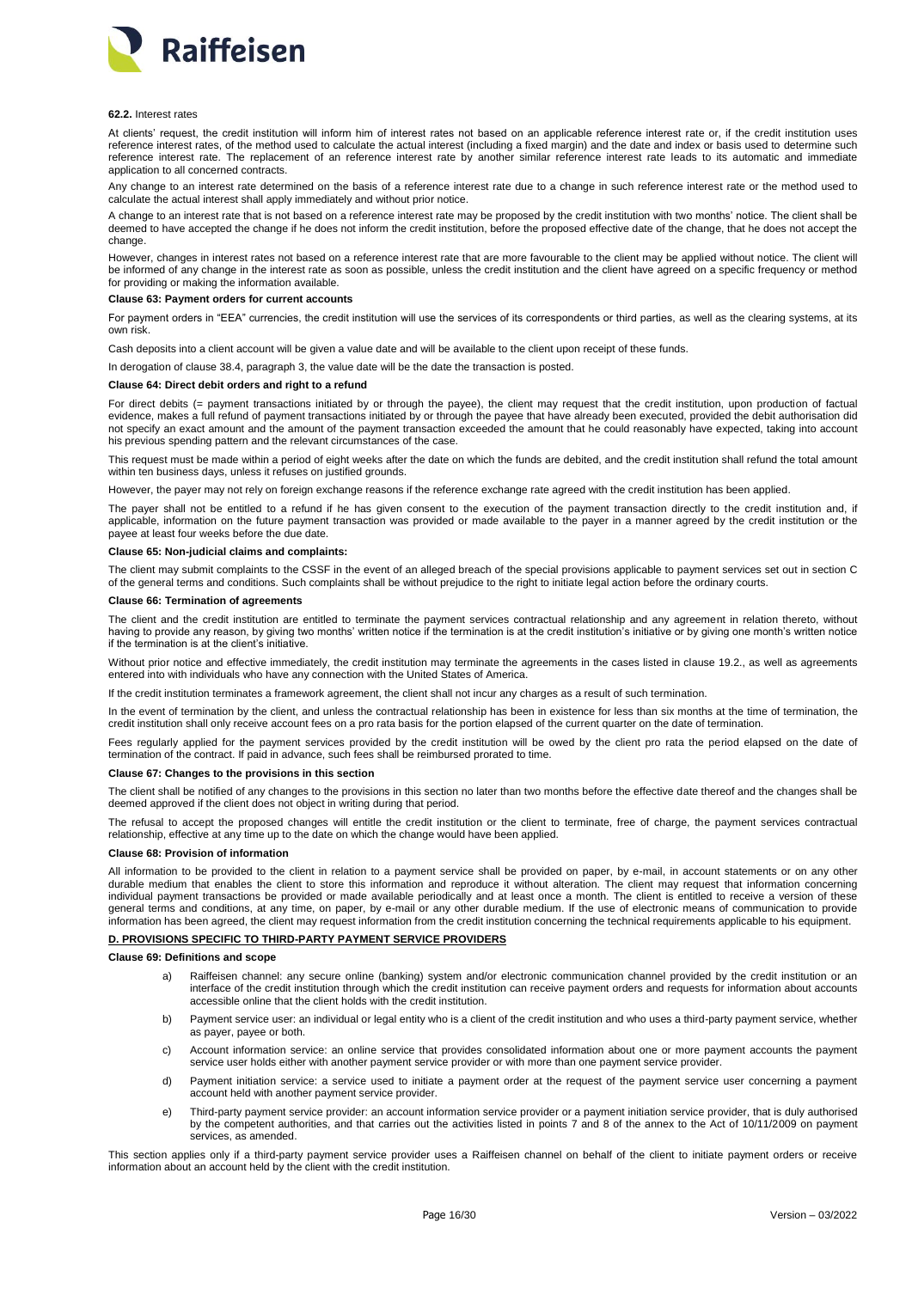

#### **62.2.** Interest rates

At clients' request, the credit institution will inform him of interest rates not based on an applicable reference interest rate or, if the credit institution uses reference interest rates, of the method used to calculate the actual interest (including a fixed margin) and the date and index or basis used to determine such reference interest rate. The replacement of an reference interest rate by another similar reference interest rate leads to its automatic and immediate application to all concerned contracts.

Any change to an interest rate determined on the basis of a reference interest rate due to a change in such reference interest rate or the method used to calculate the actual interest shall apply immediately and without prior notice.

A change to an interest rate that is not based on a reference interest rate may be proposed by the credit institution with two months' notice. The client shall be deemed to have accepted the change if he does not inform the credit institution, before the proposed effective date of the change, that he does not accept the change.

However, changes in interest rates not based on a reference interest rate that are more favourable to the client may be applied without notice. The client will be informed of any change in the interest rate as soon as possible, unless the credit institution and the client have agreed on a specific frequency or method for providing or making the information available.

### <span id="page-15-0"></span>**Clause 63: Payment orders for current accounts**

For payment orders in "EEA" currencies, the credit institution will use the services of its correspondents or third parties, as well as the clearing systems, at its own risk.

Cash deposits into a client account will be given a value date and will be available to the client upon receipt of these funds.

In derogation of clause 38.4, paragraph 3, the value date will be the date the transaction is posted.

### <span id="page-15-1"></span>**Clause 64: Direct debit orders and right to a refund**

For direct debits (= payment transactions initiated by or through the payee), the client may request that the credit institution, upon production of factual evidence, makes a full refund of payment transactions initiated by or through the payee that have already been executed, provided the debit authorisation did not specify an exact amount and the amount of the payment transaction exceeded the amount that he could reasonably have expected, taking into account his previous spending pattern and the relevant circumstances of the case.

This request must be made within a period of eight weeks after the date on which the funds are debited, and the credit institution shall refund the total amount within ten business days, unless it refuses on justified grounds.

However, the payer may not rely on foreign exchange reasons if the reference exchange rate agreed with the credit institution has been applied.

The payer shall not be entitled to a refund if he has given consent to the execution of the payment transaction directly to the credit institution and, if applicable, information on the future payment transaction was provided or made available to the payer in a manner agreed by the credit institution or the payee at least four weeks before the due date.

#### <span id="page-15-2"></span>**Clause 65: Non-judicial claims and complaints:**

The client may submit complaints to the CSSF in the event of an alleged breach of the special provisions applicable to payment services set out in section C of the general terms and conditions. Such complaints shall be without prejudice to the right to initiate legal action before the ordinary courts.

#### <span id="page-15-3"></span>**Clause 66: Termination of agreements**

The client and the credit institution are entitled to terminate the payment services contractual relationship and any agreement in relation thereto, without having to provide any reason, by giving two months' written notice if the termination is at the credit institution's initiative or by giving one month's written notice if the termination is at the client's initiative.

Without prior notice and effective immediately, the credit institution may terminate the agreements in the cases listed in clause 19.2., as well as agreements entered into with individuals who have any connection with the United States of America.

If the credit institution terminates a framework agreement, the client shall not incur any charges as a result of such termination.

In the event of termination by the client, and unless the contractual relationship has been in existence for less than six months at the time of termination, the credit institution shall only receive account fees on a pro rata basis for the portion elapsed of the current quarter on the date of termination.

Fees regularly applied for the payment services provided by the credit institution will be owed by the client pro rata the period elapsed on the date of termination of the contract. If paid in advance, such fees shall be reimbursed prorated to time.

# <span id="page-15-4"></span>**Clause 67: Changes to the provisions in this section**

The client shall be notified of any changes to the provisions in this section no later than two months before the effective date thereof and the changes shall be deemed approved if the client does not object in writing during that period.

The refusal to accept the proposed changes will entitle the credit institution or the client to terminate, free of charge, the payment services contractual relationship, effective at any time up to the date on which the change would have been applied.

### <span id="page-15-5"></span>**Clause 68: Provision of information**

All information to be provided to the client in relation to a payment service shall be provided on paper, by e-mail, in account statements or on any other durable medium that enables the client to store this information and reproduce it without alteration. The client may request that information concerning individual payment transactions be provided or made available periodically and at least once a month. The client is entitled to receive a version of these general terms and conditions, at any time, on paper, by e-mail or any other durable medium. If the use of electronic means of communication to provide information has been agreed, the client may request information from the credit institution concerning the technical requirements applicable to his equipment.

### <span id="page-15-6"></span>**D. PROVISIONS SPECIFIC TO THIRD-PARTY PAYMENT SERVICE PROVIDERS**

# <span id="page-15-7"></span>**Clause 69: Definitions and scope**

- a) Raiffeisen channel: any secure online (banking) system and/or electronic communication channel provided by the credit institution or an interface of the credit institution through which the credit institution can receive payment orders and requests for information about accounts accessible online that the client holds with the credit institution.
- b) Payment service user: an individual or legal entity who is a client of the credit institution and who uses a third-party payment service, whether as payer, payee or both.
- c) Account information service: an online service that provides consolidated information about one or more payment accounts the payment service user holds either with another payment service provider or with more than one payment service provider.
- d) Payment initiation service: a service used to initiate a payment order at the request of the payment service user concerning a payment account held with another payment service provider.
- e) Third-party payment service provider: an account information service provider or a payment initiation service provider, that is duly authorised by the competent authorities, and that carries out the activities listed in points 7 and 8 of the annex to the Act of 10/11/2009 on payment services, as amended.

This section applies only if a third-party payment service provider uses a Raiffeisen channel on behalf of the client to initiate payment orders or receive information about an account held by the client with the credit institution.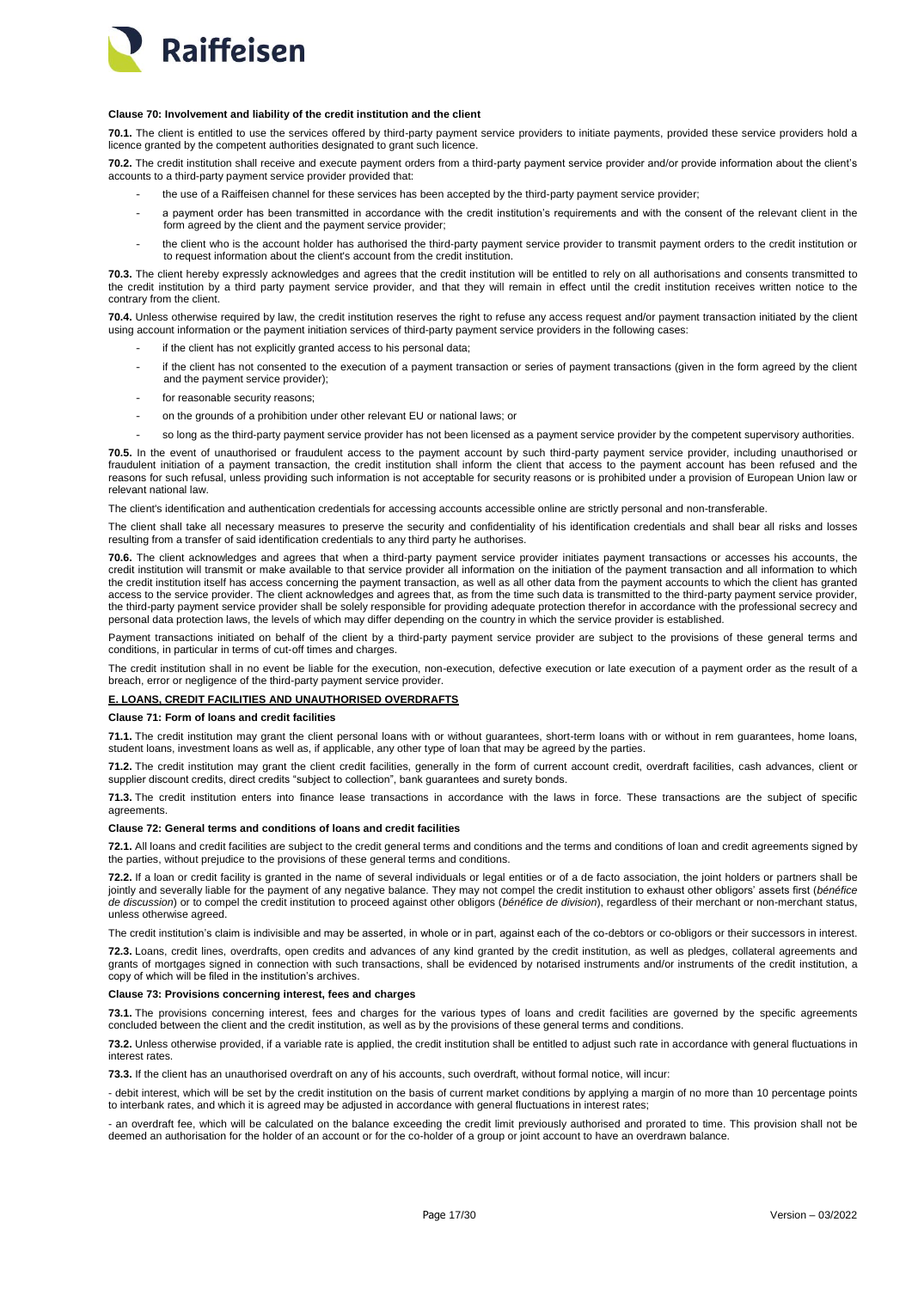

# <span id="page-16-0"></span>**Clause 70: Involvement and liability of the credit institution and the client**

**70.1.** The client is entitled to use the services offered by third-party payment service providers to initiate payments, provided these service providers hold a licence granted by the competent authorities designated to grant such licence.

**70.2.** The credit institution shall receive and execute payment orders from a third-party payment service provider and/or provide information about the client's accounts to a third-party payment service provider provided that:

- the use of a Raiffeisen channel for these services has been accepted by the third-party payment service provider;
- a payment order has been transmitted in accordance with the credit institution's requirements and with the consent of the relevant client in the form agreed by the client and the payment service provider;
- the client who is the account holder has authorised the third-party payment service provider to transmit payment orders to the credit institution or to request information about the client's account from the credit institution.

**70.3.** The client hereby expressly acknowledges and agrees that the credit institution will be entitled to rely on all authorisations and consents transmitted to the credit institution by a third party payment service provider, and that they will remain in effect until the credit institution receives written notice to the contrary from the client.

**70.4.** Unless otherwise required by law, the credit institution reserves the right to refuse any access request and/or payment transaction initiated by the client using account information or the payment initiation services of third-party payment service providers in the following cases:

- if the client has not explicitly granted access to his personal data;
- if the client has not consented to the execution of a payment transaction or series of payment transactions (given in the form agreed by the client and the payment service provider);
- for reasonable security reasons:
- on the grounds of a prohibition under other relevant EU or national laws; or
- so long as the third-party payment service provider has not been licensed as a payment service provider by the competent supervisory authorities.

**70.5.** In the event of unauthorised or fraudulent access to the payment account by such third-party payment service provider, including unauthorised or fraudulent initiation of a payment transaction, the credit institution shall inform the client that access to the payment account has been refused and the reasons for such refusal, unless providing such information is not acceptable for security reasons or is prohibited under a provision of European Union law or relevant national law.

The client's identification and authentication credentials for accessing accounts accessible online are strictly personal and non-transferable.

The client shall take all necessary measures to preserve the security and confidentiality of his identification credentials and shall bear all risks and losses resulting from a transfer of said identification credentials to any third party he authorises.

**70.6.** The client acknowledges and agrees that when a third-party payment service provider initiates payment transactions or accesses his accounts, the credit institution will transmit or make available to that service provider all information on the initiation of the payment transaction and all information to which the credit institution itself has access concerning the payment transaction, as well as all other data from the payment accounts to which the client has granted access to the service provider. The client acknowledges and agrees that, as from the time such data is transmitted to the third-party payment service provider, the third-party payment service provider shall be solely responsible for providing adequate protection therefor in accordance with the professional secrecy and personal data protection laws, the levels of which may differ depending on the country in which the service provider is established.

Payment transactions initiated on behalf of the client by a third-party payment service provider are subject to the provisions of these general terms and conditions, in particular in terms of cut-off times and charges.

The credit institution shall in no event be liable for the execution, non-execution, defective execution or late execution of a payment order as the result of a breach, error or negligence of the third-party payment service provider.

# <span id="page-16-1"></span>**E. LOANS, CREDIT FACILITIES AND UNAUTHORISED OVERDRAFTS**

<span id="page-16-2"></span>**Clause 71: Form of loans and credit facilities**

**71.1.** The credit institution may grant the client personal loans with or without guarantees, short-term loans with or without in rem guarantees, home loans, student loans, investment loans as well as, if applicable, any other type of loan that may be agreed by the parties.

**71.2.** The credit institution may grant the client credit facilities, generally in the form of current account credit, overdraft facilities, cash advances, client or supplier discount credits, direct credits "subject to collection", bank guarantees and surety bonds.

**71.3.** The credit institution enters into finance lease transactions in accordance with the laws in force. These transactions are the subject of specific agreements.

# <span id="page-16-3"></span>**Clause 72: General terms and conditions of loans and credit facilities**

**72.1.** All loans and credit facilities are subject to the credit general terms and conditions and the terms and conditions of loan and credit agreements signed by the parties, without prejudice to the provisions of these general terms and conditions.

**72.2.** If a loan or credit facility is granted in the name of several individuals or legal entities or of a de facto association, the joint holders or partners shall be jointly and severally liable for the payment of any negative balance. They may not compel the credit institution to exhaust other obligors' assets first (*bénéfice de discussion*) or to compel the credit institution to proceed against other obligors (*bénéfice de division*), regardless of their merchant or non-merchant status, unless otherwise agreed.

The credit institution's claim is indivisible and may be asserted, in whole or in part, against each of the co-debtors or co-obligors or their successors in interest.

**72.3.** Loans, credit lines, overdrafts, open credits and advances of any kind granted by the credit institution, as well as pledges, collateral agreements and grants of mortgages signed in connection with such transactions, shall be evidenced by notarised instruments and/or instruments of the credit institution, a copy of which will be filed in the institution's archives.

# <span id="page-16-4"></span>**Clause 73: Provisions concerning interest, fees and charges**

**73.1.** The provisions concerning interest, fees and charges for the various types of loans and credit facilities are governed by the specific agreements concluded between the client and the credit institution, as well as by the provisions of these general terms and conditions.

**73.2.** Unless otherwise provided, if a variable rate is applied, the credit institution shall be entitled to adjust such rate in accordance with general fluctuations in interest rates.

**73.3.** If the client has an unauthorised overdraft on any of his accounts, such overdraft, without formal notice, will incur:

- debit interest, which will be set by the credit institution on the basis of current market conditions by applying a margin of no more than 10 percentage points to interbank rates, and which it is agreed may be adjusted in accordance with general fluctuations in interest rates;

- an overdraft fee, which will be calculated on the balance exceeding the credit limit previously authorised and prorated to time. This provision shall not be deemed an authorisation for the holder of an account or for the co-holder of a group or joint account to have an overdrawn balance.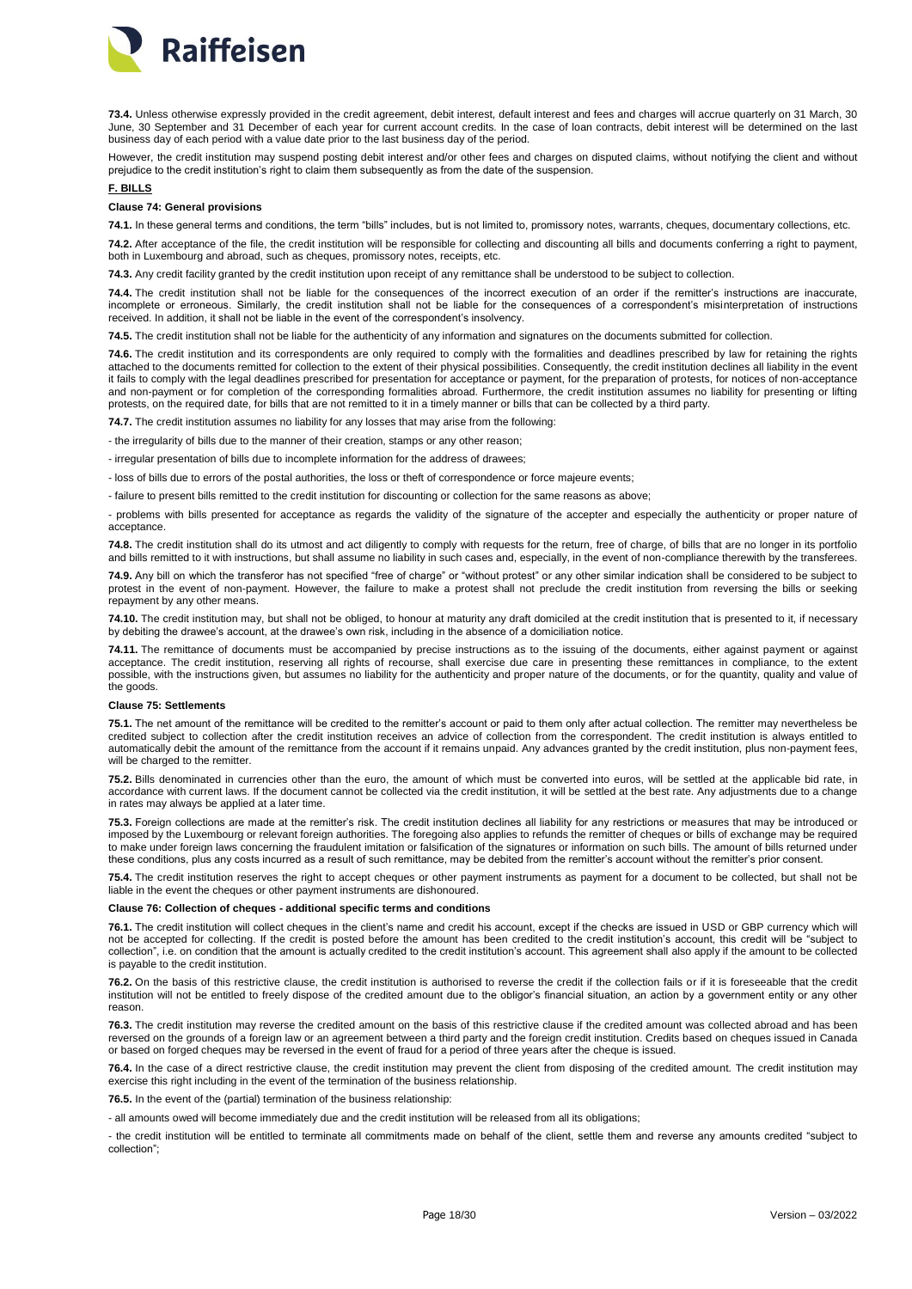

**73.4.** Unless otherwise expressly provided in the credit agreement, debit interest, default interest and fees and charges will accrue quarterly on 31 March, 30 June, 30 September and 31 December of each year for current account credits. In the case of loan contracts, debit interest will be determined on the last business day of each period with a value date prior to the last business day of the period.

However, the credit institution may suspend posting debit interest and/or other fees and charges on disputed claims, without notifying the client and without prejudice to the credit institution's right to claim them subsequently as from the date of the suspension.

### <span id="page-17-0"></span>**F. BILLS**

## <span id="page-17-1"></span>**Clause 74: General provisions**

**74.1.** In these general terms and conditions, the term "bills" includes, but is not limited to, promissory notes, warrants, cheques, documentary collections, etc.

**74.2.** After acceptance of the file, the credit institution will be responsible for collecting and discounting all bills and documents conferring a right to payment, both in Luxembourg and abroad, such as cheques, promissory notes, receipts, etc.

**74.3.** Any credit facility granted by the credit institution upon receipt of any remittance shall be understood to be subject to collection.

**74.4.** The credit institution shall not be liable for the consequences of the incorrect execution of an order if the remitter's instructions are inaccurate, incomplete or erroneous. Similarly, the credit institution shall not be liable for the consequences of a correspondent's misinterpretation of instructions received. In addition, it shall not be liable in the event of the correspondent's insolvency.

**74.5.** The credit institution shall not be liable for the authenticity of any information and signatures on the documents submitted for collection.

**74.6.** The credit institution and its correspondents are only required to comply with the formalities and deadlines prescribed by law for retaining the rights attached to the documents remitted for collection to the extent of their physical possibilities. Consequently, the credit institution declines all liability in the event it fails to comply with the legal deadlines prescribed for presentation for acceptance or payment, for the preparation of protests, for notices of non-acceptance and non-payment or for completion of the corresponding formalities abroad. Furthermore, the credit institution assumes no liability for presenting or lifting protests, on the required date, for bills that are not remitted to it in a timely manner or bills that can be collected by a third party.

**74.7.** The credit institution assumes no liability for any losses that may arise from the following:

- the irregularity of bills due to the manner of their creation, stamps or any other reason;

- irregular presentation of bills due to incomplete information for the address of drawees;

- loss of bills due to errors of the postal authorities, the loss or theft of correspondence or force majeure events;

- failure to present bills remitted to the credit institution for discounting or collection for the same reasons as above;

- problems with bills presented for acceptance as regards the validity of the signature of the accepter and especially the authenticity or proper nature of acceptance.

**74.8.** The credit institution shall do its utmost and act diligently to comply with requests for the return, free of charge, of bills that are no longer in its portfolio and bills remitted to it with instructions, but shall assume no liability in such cases and, especially, in the event of non-compliance therewith by the transferees.

**74.9.** Any bill on which the transferor has not specified "free of charge" or "without protest" or any other similar indication shall be considered to be subject to protest in the event of non-payment. However, the failure to make a protest shall not preclude the credit institution from reversing the bills or seeking repayment by any other means.

**74.10.** The credit institution may, but shall not be obliged, to honour at maturity any draft domiciled at the credit institution that is presented to it, if necessary by debiting the drawee's account, at the drawee's own risk, including in the absence of a domiciliation notice.

**74.11.** The remittance of documents must be accompanied by precise instructions as to the issuing of the documents, either against payment or against acceptance. The credit institution, reserving all rights of recourse, shall exercise due care in presenting these remittances in compliance, to the extent possible, with the instructions given, but assumes no liability for the authenticity and proper nature of the documents, or for the quantity, quality and value of the goods.

## <span id="page-17-2"></span>**Clause 75: Settlements**

**75.1.** The net amount of the remittance will be credited to the remitter's account or paid to them only after actual collection. The remitter may nevertheless be credited subject to collection after the credit institution receives an advice of collection from the correspondent. The credit institution is always entitled to automatically debit the amount of the remittance from the account if it remains unpaid. Any advances granted by the credit institution, plus non-payment fees, will be charged to the remitter.

**75.2.** Bills denominated in currencies other than the euro, the amount of which must be converted into euros, will be settled at the applicable bid rate, in accordance with current laws. If the document cannot be collected via the credit institution, it will be settled at the best rate. Any adjustments due to a change in rates may always be applied at a later time.

**75.3.** Foreign collections are made at the remitter's risk. The credit institution declines all liability for any restrictions or measures that may be introduced or imposed by the Luxembourg or relevant foreign authorities. The foregoing also applies to refunds the remitter of cheques or bills of exchange may be required to make under foreign laws concerning the fraudulent imitation or falsification of the signatures or information on such bills. The amount of bills returned under these conditions, plus any costs incurred as a result of such remittance, may be debited from the remitter's account without the remitter's prior consent.

**75.4.** The credit institution reserves the right to accept cheques or other payment instruments as payment for a document to be collected, but shall not be liable in the event the cheques or other payment instruments are dishonoured.

<span id="page-17-3"></span>**Clause 76: Collection of cheques - additional specific terms and conditions**

**76.1.** The credit institution will collect cheques in the client's name and credit his account, except if the checks are issued in USD or GBP currency which will not be accepted for collecting. If the credit is posted before the amount has been credited to the credit institution's account, this credit will be "subject to collection", i.e. on condition that the amount is actually credited to the credit institution's account. This agreement shall also apply if the amount to be collected is payable to the credit institution.

**76.2.** On the basis of this restrictive clause, the credit institution is authorised to reverse the credit if the collection fails or if it is foreseeable that the credit institution will not be entitled to freely dispose of the credited amount due to the obligor's financial situation, an action by a government entity or any other reason.

**76.3.** The credit institution may reverse the credited amount on the basis of this restrictive clause if the credited amount was collected abroad and has been reversed on the grounds of a foreign law or an agreement between a third party and the foreign credit institution. Credits based on cheques issued in Canada or based on forged cheques may be reversed in the event of fraud for a period of three years after the cheque is issued.

76.4. In the case of a direct restrictive clause, the credit institution may prevent the client from disposing of the credited amount. The credit institution may exercise this right including in the event of the termination of the business relationship.

**76.5.** In the event of the (partial) termination of the business relationship:

- all amounts owed will become immediately due and the credit institution will be released from all its obligations;

- the credit institution will be entitled to terminate all commitments made on behalf of the client, settle them and reverse any amounts credited "subject to collection";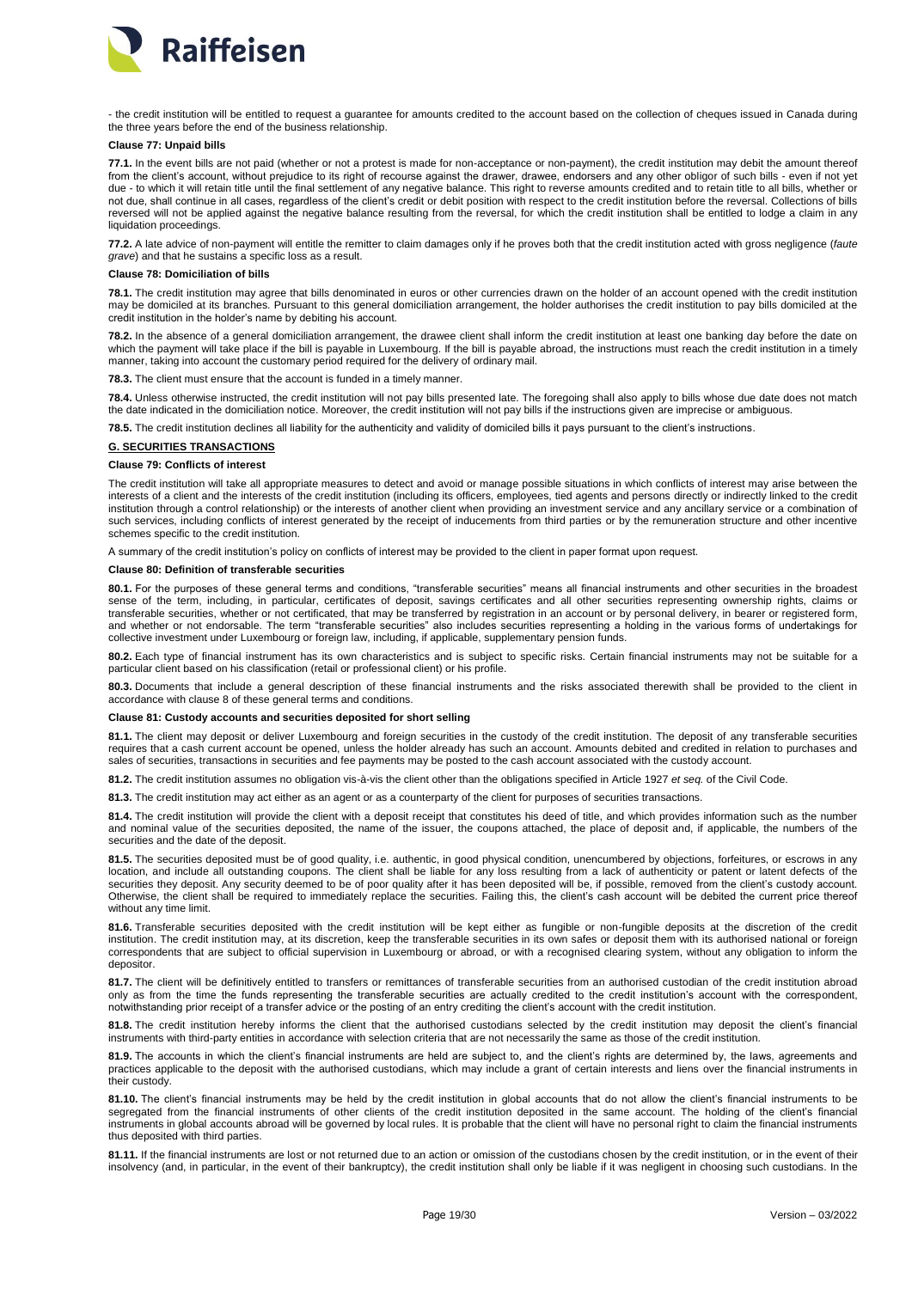

- the credit institution will be entitled to request a guarantee for amounts credited to the account based on the collection of cheques issued in Canada during the three years before the end of the business relationship.

#### <span id="page-18-0"></span>**Clause 77: Unpaid bills**

**77.1.** In the event bills are not paid (whether or not a protest is made for non-acceptance or non-payment), the credit institution may debit the amount thereof from the client's account, without prejudice to its right of recourse against the drawer, drawee, endorsers and any other obligor of such bills - even if not yet due - to which it will retain title until the final settlement of any negative balance. This right to reverse amounts credited and to retain title to all bills, whether or not due, shall continue in all cases, regardless of the client's credit or debit position with respect to the credit institution before the reversal. Collections of bills reversed will not be applied against the negative balance resulting from the reversal, for which the credit institution shall be entitled to lodge a claim in any liquidation proceedings.

**77.2.** A late advice of non-payment will entitle the remitter to claim damages only if he proves both that the credit institution acted with gross negligence (*faute grave*) and that he sustains a specific loss as a result.

# <span id="page-18-1"></span>**Clause 78: Domiciliation of bills**

**78.1.** The credit institution may agree that bills denominated in euros or other currencies drawn on the holder of an account opened with the credit institution may be domiciled at its branches. Pursuant to this general domiciliation arrangement, the holder authorises the credit institution to pay bills domiciled at the credit institution in the holder's name by debiting his account.

**78.2.** In the absence of a general domiciliation arrangement, the drawee client shall inform the credit institution at least one banking day before the date on which the payment will take place if the bill is payable in Luxembourg. If the bill is payable abroad, the instructions must reach the credit institution in a timely manner, taking into account the customary period required for the delivery of ordinary mail.

**78.3.** The client must ensure that the account is funded in a timely manner.

**78.4.** Unless otherwise instructed, the credit institution will not pay bills presented late. The foregoing shall also apply to bills whose due date does not match the date indicated in the domiciliation notice. Moreover, the credit institution will not pay bills if the instructions given are imprecise or ambiguous.

**78.5.** The credit institution declines all liability for the authenticity and validity of domiciled bills it pays pursuant to the client's instructions.

# <span id="page-18-2"></span>**G. SECURITIES TRANSACTIONS**

# <span id="page-18-3"></span>**Clause 79: Conflicts of interest**

The credit institution will take all appropriate measures to detect and avoid or manage possible situations in which conflicts of interest may arise between the interests of a client and the interests of the credit institution (including its officers, employees, tied agents and persons directly or indirectly linked to the credit institution through a control relationship) or the interests of another client when providing an investment service and any ancillary service or a combination of such services, including conflicts of interest generated by the receipt of inducements from third parties or by the remuneration structure and other incentive schemes specific to the credit institution.

A summary of the credit institution's policy on conflicts of interest may be provided to the client in paper format upon request.

## <span id="page-18-4"></span>**Clause 80: Definition of transferable securities**

**80.1.** For the purposes of these general terms and conditions, "transferable securities" means all financial instruments and other securities in the broadest sense of the term, including, in particular, certificates of deposit, savings certificates and all other securities representing ownership rights, claims or transferable securities, whether or not certificated, that may be transferred by registration in an account or by personal delivery, in bearer or registered form, and whether or not endorsable. The term "transferable securities" also includes securities representing a holding in the various forms of undertakings for collective investment under Luxembourg or foreign law, including, if applicable, supplementary pension funds.

**80.2.** Each type of financial instrument has its own characteristics and is subject to specific risks. Certain financial instruments may not be suitable for a particular client based on his classification (retail or professional client) or his profile.

**80.3.** Documents that include a general description of these financial instruments and the risks associated therewith shall be provided to the client in accordance with clause 8 of these general terms and conditions.

# <span id="page-18-5"></span>**Clause 81: Custody accounts and securities deposited for short selling**

**81.1.** The client may deposit or deliver Luxembourg and foreign securities in the custody of the credit institution. The deposit of any transferable securities requires that a cash current account be opened, unless the holder already has such an account. Amounts debited and credited in relation to purchases and sales of securities, transactions in securities and fee payments may be posted to the cash account associated with the custody account.

**81.2.** The credit institution assumes no obligation vis-à-vis the client other than the obligations specified in Article 1927 *et seq.* of the Civil Code.

**81.3.** The credit institution may act either as an agent or as a counterparty of the client for purposes of securities transactions.

**81.4.** The credit institution will provide the client with a deposit receipt that constitutes his deed of title, and which provides information such as the number and nominal value of the securities deposited, the name of the issuer, the coupons attached, the place of deposit and, if applicable, the numbers of the securities and the date of the deposit.

**81.5.** The securities deposited must be of good quality, i.e. authentic, in good physical condition, unencumbered by objections, forfeitures, or escrows in any location, and include all outstanding coupons. The client shall be liable for any loss resulting from a lack of authenticity or patent or latent defects of the securities they deposit. Any security deemed to be of poor quality after it has been deposited will be, if possible, removed from the client's custody account. Otherwise, the client shall be required to immediately replace the securities. Failing this, the client's cash account will be debited the current price thereof without any time limit.

**81.6.** Transferable securities deposited with the credit institution will be kept either as fungible or non-fungible deposits at the discretion of the credit institution. The credit institution may, at its discretion, keep the transferable securities in its own safes or deposit them with its authorised national or foreign correspondents that are subject to official supervision in Luxembourg or abroad, or with a recognised clearing system, without any obligation to inform the depositor.

**81.7.** The client will be definitively entitled to transfers or remittances of transferable securities from an authorised custodian of the credit institution abroad only as from the time the funds representing the transferable securities are actually credited to the credit institution's account with the correspondent, notwithstanding prior receipt of a transfer advice or the posting of an entry crediting the client's account with the credit institution.

**81.8.** The credit institution hereby informs the client that the authorised custodians selected by the credit institution may deposit the client's financial instruments with third-party entities in accordance with selection criteria that are not necessarily the same as those of the credit institution.

**81.9.** The accounts in which the client's financial instruments are held are subject to, and the client's rights are determined by, the laws, agreements and practices applicable to the deposit with the authorised custodians, which may include a grant of certain interests and liens over the financial instruments in their custody.

**81.10.** The client's financial instruments may be held by the credit institution in global accounts that do not allow the client's financial instruments to be segregated from the financial instruments of other clients of the credit institution deposited in the same account. The holding of the client's financial instruments in global accounts abroad will be governed by local rules. It is probable that the client will have no personal right to claim the financial instruments thus deposited with third parties.

**81.11.** If the financial instruments are lost or not returned due to an action or omission of the custodians chosen by the credit institution, or in the event of their insolvency (and, in particular, in the event of their bankruptcy), the credit institution shall only be liable if it was negligent in choosing such custodians. In the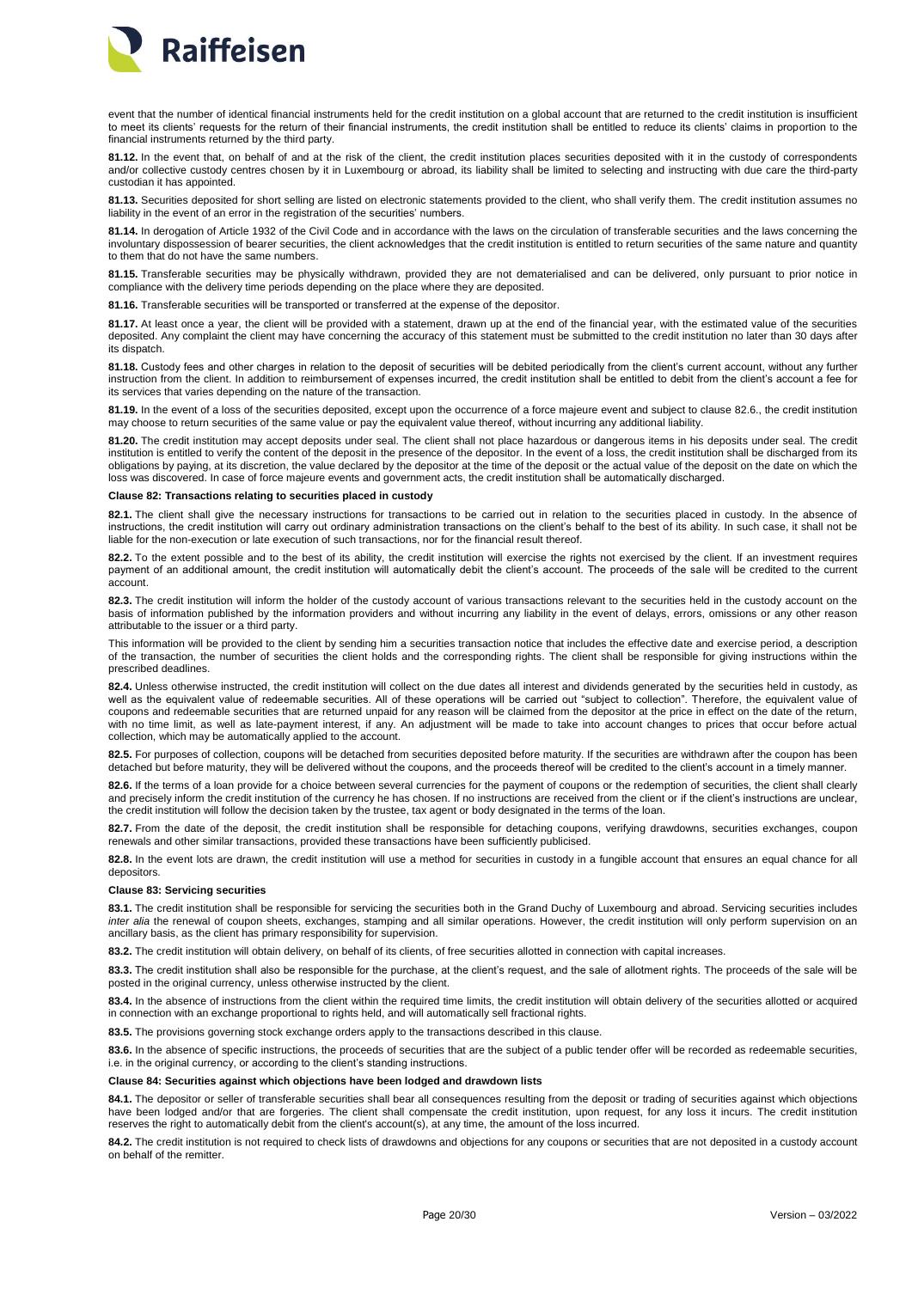

event that the number of identical financial instruments held for the credit institution on a global account that are returned to the credit institution is insufficient to meet its clients' requests for the return of their financial instruments, the credit institution shall be entitled to reduce its clients' claims in proportion to the financial instruments returned by the third party.

**81.12.** In the event that, on behalf of and at the risk of the client, the credit institution places securities deposited with it in the custody of correspondents and/or collective custody centres chosen by it in Luxembourg or abroad, its liability shall be limited to selecting and instructing with due care the third-party custodian it has appointed.

**81.13.** Securities deposited for short selling are listed on electronic statements provided to the client, who shall verify them. The credit institution assumes no liability in the event of an error in the registration of the securities' numbers.

**81.14.** In derogation of Article 1932 of the Civil Code and in accordance with the laws on the circulation of transferable securities and the laws concerning the involuntary dispossession of bearer securities, the client acknowledges that the credit institution is entitled to return securities of the same nature and quantity to them that do not have the same numbers.

**81.15.** Transferable securities may be physically withdrawn, provided they are not dematerialised and can be delivered, only pursuant to prior notice in compliance with the delivery time periods depending on the place where they are deposited.

**81.16.** Transferable securities will be transported or transferred at the expense of the depositor.

**81.17.** At least once a year, the client will be provided with a statement, drawn up at the end of the financial year, with the estimated value of the securities deposited. Any complaint the client may have concerning the accuracy of this statement must be submitted to the credit institution no later than 30 days after its dispatch.

**81.18.** Custody fees and other charges in relation to the deposit of securities will be debited periodically from the client's current account, without any further instruction from the client. In addition to reimbursement of expenses incurred, the credit institution shall be entitled to debit from the client's account a fee for its services that varies depending on the nature of the transaction.

**81.19.** In the event of a loss of the securities deposited, except upon the occurrence of a force majeure event and subject to clause 82.6., the credit institution may choose to return securities of the same value or pay the equivalent value thereof, without incurring any additional liability.

**81.20.** The credit institution may accept deposits under seal. The client shall not place hazardous or dangerous items in his deposits under seal. The credit institution is entitled to verify the content of the deposit in the presence of the depositor. In the event of a loss, the credit institution shall be discharged from its obligations by paying, at its discretion, the value declared by the depositor at the time of the deposit or the actual value of the deposit on the date on which the loss was discovered. In case of force majeure events and government acts, the credit institution shall be automatically discharged.

### <span id="page-19-0"></span>**Clause 82: Transactions relating to securities placed in custody**

**82.1.** The client shall give the necessary instructions for transactions to be carried out in relation to the securities placed in custody. In the absence of instructions, the credit institution will carry out ordinary administration transactions on the client's behalf to the best of its ability. In such case, it shall not be liable for the non-execution or late execution of such transactions, nor for the financial result thereof.

**82.2.** To the extent possible and to the best of its ability, the credit institution will exercise the rights not exercised by the client. If an investment requires payment of an additional amount, the credit institution will automatically debit the client's account. The proceeds of the sale will be credited to the current account.

**82.3.** The credit institution will inform the holder of the custody account of various transactions relevant to the securities held in the custody account on the basis of information published by the information providers and without incurring any liability in the event of delays, errors, omissions or any other reason attributable to the issuer or a third party.

This information will be provided to the client by sending him a securities transaction notice that includes the effective date and exercise period, a description of the transaction, the number of securities the client holds and the corresponding rights. The client shall be responsible for giving instructions within the prescribed deadlines.

**82.4.** Unless otherwise instructed, the credit institution will collect on the due dates all interest and dividends generated by the securities held in custody, as well as the equivalent value of redeemable securities. All of these operations will be carried out "subject to collection". Therefore, the equivalent value of coupons and redeemable securities that are returned unpaid for any reason will be claimed from the depositor at the price in effect on the date of the return, with no time limit, as well as late-payment interest, if any. An adjustment will be made to take into account changes to prices that occur before actual collection, which may be automatically applied to the account.

**82.5.** For purposes of collection, coupons will be detached from securities deposited before maturity. If the securities are withdrawn after the coupon has been detached but before maturity, they will be delivered without the coupons, and the proceeds thereof will be credited to the client's account in a timely manner.

**82.6.** If the terms of a loan provide for a choice between several currencies for the payment of coupons or the redemption of securities, the client shall clearly and precisely inform the credit institution of the currency he has chosen. If no instructions are received from the client or if the client's instructions are unclear, the credit institution will follow the decision taken by the trustee, tax agent or body designated in the terms of the loan.

**82.7.** From the date of the deposit, the credit institution shall be responsible for detaching coupons, verifying drawdowns, securities exchanges, coupon renewals and other similar transactions, provided these transactions have been sufficiently publicised.

**82.8.** In the event lots are drawn, the credit institution will use a method for securities in custody in a fungible account that ensures an equal chance for all depositors.

### <span id="page-19-1"></span>**Clause 83: Servicing securities**

**83.1.** The credit institution shall be responsible for servicing the securities both in the Grand Duchy of Luxembourg and abroad. Servicing securities includes *inter alia* the renewal of coupon sheets, exchanges, stamping and all similar operations. However, the credit institution will only perform supervision on an ancillary basis, as the client has primary responsibility for supervision.

83.2. The credit institution will obtain delivery, on behalf of its clients, of free securities allotted in connection with capital increases.

**83.3.** The credit institution shall also be responsible for the purchase, at the client's request, and the sale of allotment rights. The proceeds of the sale will be posted in the original currency, unless otherwise instructed by the client.

**83.4.** In the absence of instructions from the client within the required time limits, the credit institution will obtain delivery of the securities allotted or acquired in connection with an exchange proportional to rights held, and will automatically sell fractional rights.

**83.5.** The provisions governing stock exchange orders apply to the transactions described in this clause.

83.6. In the absence of specific instructions, the proceeds of securities that are the subject of a public tender offer will be recorded as redeemable securities i.e. in the original currency, or according to the client's standing instructions.

### <span id="page-19-2"></span>**Clause 84: Securities against which objections have been lodged and drawdown lists**

84.1. The depositor or seller of transferable securities shall bear all consequences resulting from the deposit or trading of securities against which objections have been lodged and/or that are forgeries. The client shall compensate the credit institution, upon request, for any loss it incurs. The credit institution reserves the right to automatically debit from the client's account(s), at any time, the amount of the loss incurred.

**84.2.** The credit institution is not required to check lists of drawdowns and objections for any coupons or securities that are not deposited in a custody account on behalf of the remitter.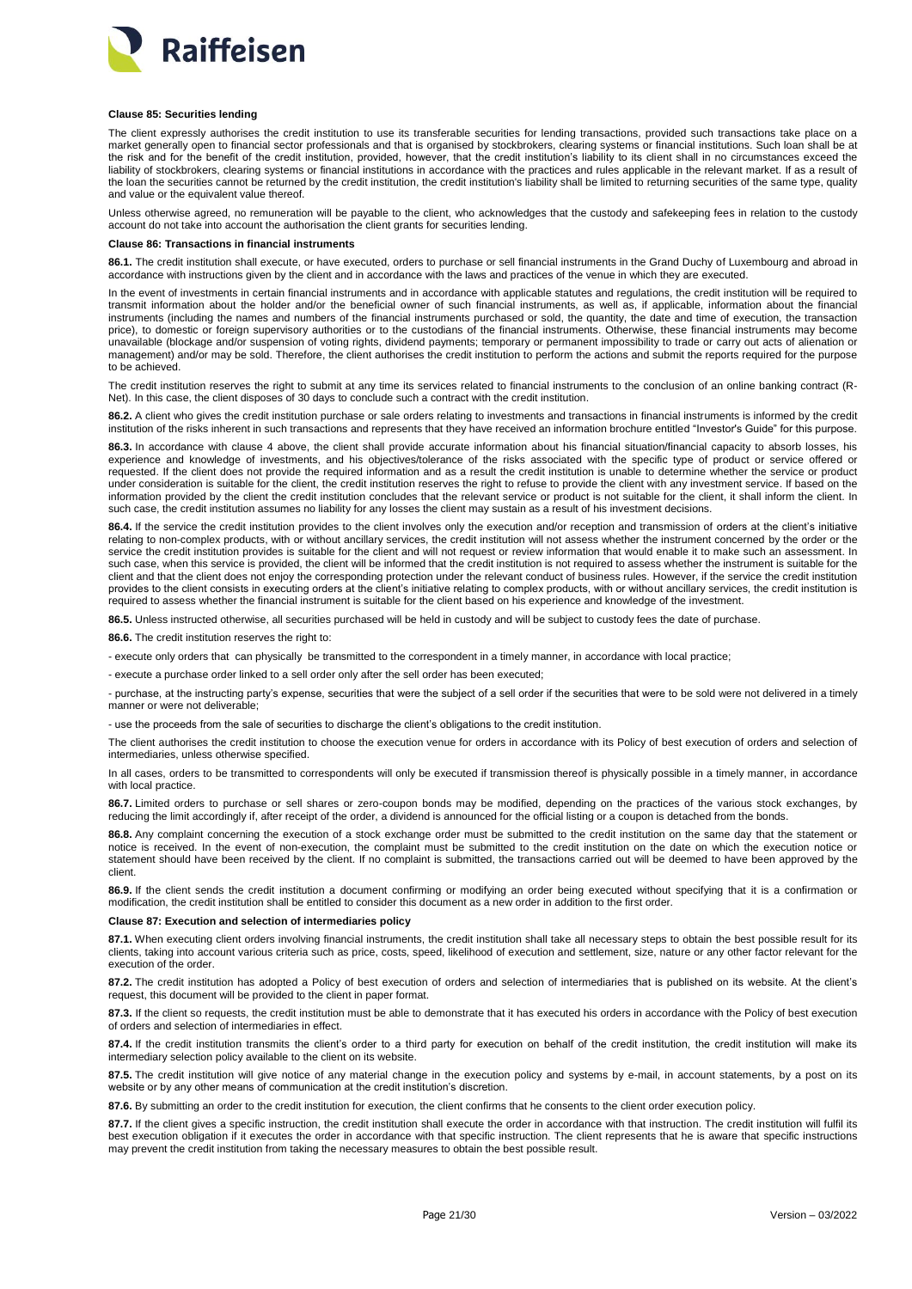

#### <span id="page-20-0"></span>**Clause 85: Securities lending**

The client expressly authorises the credit institution to use its transferable securities for lending transactions, provided such transactions take place on a market generally open to financial sector professionals and that is organised by stockbrokers, clearing systems or financial institutions. Such loan shall be at the risk and for the benefit of the credit institution, provided, however, that the credit institution's liability to its client shall in no circumstances exceed the liability of stockbrokers, clearing systems or financial institutions in accordance with the practices and rules applicable in the relevant market. If as a result of the loan the securities cannot be returned by the credit institution, the credit institution's liability shall be limited to returning securities of the same type, quality and value or the equivalent value thereof.

Unless otherwise agreed, no remuneration will be payable to the client, who acknowledges that the custody and safekeeping fees in relation to the custody account do not take into account the authorisation the client grants for securities lending.

#### <span id="page-20-1"></span>**Clause 86: Transactions in financial instruments**

**86.1.** The credit institution shall execute, or have executed, orders to purchase or sell financial instruments in the Grand Duchy of Luxembourg and abroad in accordance with instructions given by the client and in accordance with the laws and practices of the venue in which they are executed.

In the event of investments in certain financial instruments and in accordance with applicable statutes and requlations, the credit institution will be required to transmit information about the holder and/or the beneficial owner of such financial instruments, as well as, if applicable, information about the financial instruments (including the names and numbers of the financial instruments purchased or sold, the quantity, the date and time of execution, the transaction price), to domestic or foreign supervisory authorities or to the custodians of the financial instruments. Otherwise, these financial instruments may become unavailable (blockage and/or suspension of voting rights, dividend payments; temporary or permanent impossibility to trade or carry out acts of alienation or management) and/or may be sold. Therefore, the client authorises the credit institution to perform the actions and submit the reports required for the purpose to be achieved.

The credit institution reserves the right to submit at any time its services related to financial instruments to the conclusion of an online banking contract (R-Net). In this case, the client disposes of 30 days to conclude such a contract with the credit institution.

**86.2.** A client who gives the credit institution purchase or sale orders relating to investments and transactions in financial instruments is informed by the credit institution of the risks inherent in such transactions and represents that they have received an information brochure entitled "Investor's Guide" for this purpose.

**86.3.** In accordance with clause 4 above, the client shall provide accurate information about his financial situation/financial capacity to absorb losses, his experience and knowledge of investments, and his objectives/tolerance of the risks associated with the specific type of product or service offered or requested. If the client does not provide the required information and as a result the credit institution is unable to determine whether the service or product under consideration is suitable for the client, the credit institution reserves the right to refuse to provide the client with any investment service. If based on the information provided by the client the credit institution concludes that the relevant service or product is not suitable for the client, it shall inform the client. In such case, the credit institution assumes no liability for any losses the client may sustain as a result of his investment decisions.

**86.4.** If the service the credit institution provides to the client involves only the execution and/or reception and transmission of orders at the client's initiative relating to non-complex products, with or without ancillary services, the credit institution will not assess whether the instrument concerned by the order or the service the credit institution provides is suitable for the client and will not request or review information that would enable it to make such an assessment. In such case, when this service is provided, the client will be informed that the credit institution is not required to assess whether the instrument is suitable for the client and that the client does not enjoy the corresponding protection under the relevant conduct of business rules. However, if the service the credit institution provides to the client consists in executing orders at the client's initiative relating to complex products, with or without ancillary services, the credit institution is required to assess whether the financial instrument is suitable for the client based on his experience and knowledge of the investment.

**86.5.** Unless instructed otherwise, all securities purchased will be held in custody and will be subject to custody fees the date of purchase.

**86.6.** The credit institution reserves the right to:

- execute only orders that can physically be transmitted to the correspondent in a timely manner, in accordance with local practice;

- execute a purchase order linked to a sell order only after the sell order has been executed;

- purchase, at the instructing party's expense, securities that were the subject of a sell order if the securities that were to be sold were not delivered in a timely manner or were not deliverable;

- use the proceeds from the sale of securities to discharge the client's obligations to the credit institution.

The client authorises the credit institution to choose the execution venue for orders in accordance with its Policy of best execution of orders and selection of intermediaries, unless otherwise specified.

In all cases, orders to be transmitted to correspondents will only be executed if transmission thereof is physically possible in a timely manner, in accordance with local practice.

**86.7.** Limited orders to purchase or sell shares or zero-coupon bonds may be modified, depending on the practices of the various stock exchanges, by reducing the limit accordingly if, after receipt of the order, a dividend is announced for the official listing or a coupon is detached from the bonds.

**86.8.** Any complaint concerning the execution of a stock exchange order must be submitted to the credit institution on the same day that the statement or notice is received. In the event of non-execution, the complaint must be submitted to the credit institution on the date on which the execution notice or statement should have been received by the client. If no complaint is submitted, the transactions carried out will be deemed to have been approved by the client.

**86.9.** If the client sends the credit institution a document confirming or modifying an order being executed without specifying that it is a confirmation or modification, the credit institution shall be entitled to consider this document as a new order in addition to the first order.

#### <span id="page-20-2"></span>**Clause 87: Execution and selection of intermediaries policy**

**87.1.** When executing client orders involving financial instruments, the credit institution shall take all necessary steps to obtain the best possible result for its clients, taking into account various criteria such as price, costs, speed, likelihood of execution and settlement, size, nature or any other factor relevant for the execution of the order.

**87.2.** The credit institution has adopted a Policy of best execution of orders and selection of intermediaries that is published on its website. At the client's request, this document will be provided to the client in paper format.

**87.3.** If the client so requests, the credit institution must be able to demonstrate that it has executed his orders in accordance with the Policy of best execution of orders and selection of intermediaries in effect.

**87.4.** If the credit institution transmits the client's order to a third party for execution on behalf of the credit institution, the credit institution will make its intermediary selection policy available to the client on its website.

**87.5.** The credit institution will give notice of any material change in the execution policy and systems by e-mail, in account statements, by a post on its website or by any other means of communication at the credit institution's discretion.

**87.6.** By submitting an order to the credit institution for execution, the client confirms that he consents to the client order execution policy.

**87.7.** If the client gives a specific instruction, the credit institution shall execute the order in accordance with that instruction. The credit institution will fulfil its best execution obligation if it executes the order in accordance with that specific instruction. The client represents that he is aware that specific instructions may prevent the credit institution from taking the necessary measures to obtain the best possible result.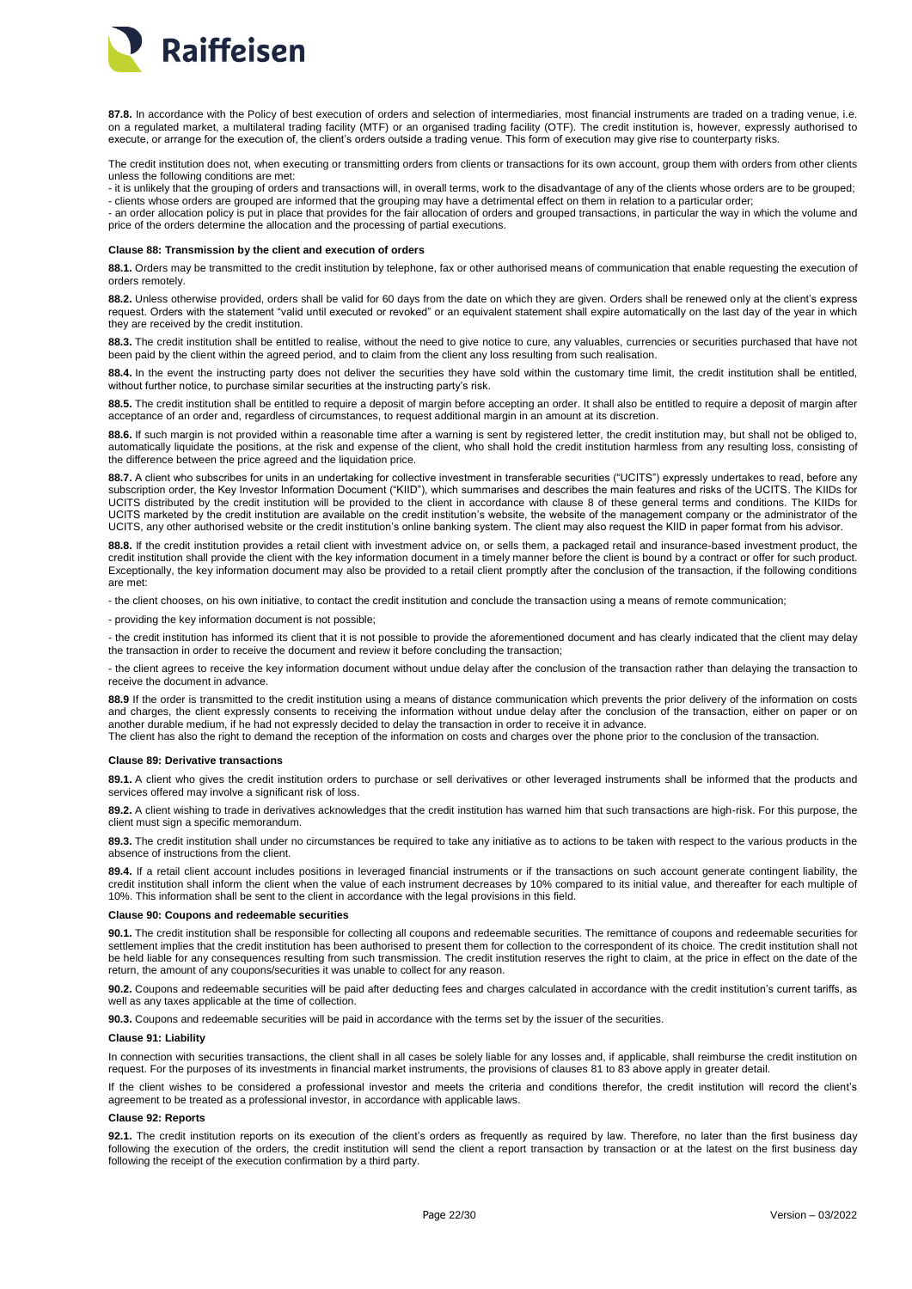

**87.8.** In accordance with the Policy of best execution of orders and selection of intermediaries, most financial instruments are traded on a trading venue, i.e. on a regulated market, a multilateral trading facility (MTF) or an organised trading facility (OTF). The credit institution is, however, expressly authorised to execute, or arrange for the execution of, the client's orders outside a trading venue. This form of execution may give rise to counterparty risks.

The credit institution does not, when executing or transmitting orders from clients or transactions for its own account, group them with orders from other clients unless the following conditions are met:

- it is unlikely that the grouping of orders and transactions will, in overall terms, work to the disadvantage of any of the clients whose orders are to be grouped; - clients whose orders are grouped are informed that the grouping may have a detrimental effect on them in relation to a particular order;

- an order allocation policy is put in place that provides for the fair allocation of orders and grouped transactions, in particular the way in which the volume and price of the orders determine the allocation and the processing of partial executions.

#### <span id="page-21-0"></span>**Clause 88: Transmission by the client and execution of orders**

**88.1.** Orders may be transmitted to the credit institution by telephone, fax or other authorised means of communication that enable requesting the execution of orders remotely.

**88.2.** Unless otherwise provided, orders shall be valid for 60 days from the date on which they are given. Orders shall be renewed only at the client's express request. Orders with the statement "valid until executed or revoked" or an equivalent statement shall expire automatically on the last day of the year in which they are received by the credit institution.

**88.3.** The credit institution shall be entitled to realise, without the need to give notice to cure, any valuables, currencies or securities purchased that have not been paid by the client within the agreed period, and to claim from the client any loss resulting from such realisation.

88.4. In the event the instructing party does not deliver the securities they have sold within the customary time limit, the credit institution shall be entitled, without further notice, to purchase similar securities at the instructing party's risk.

**88.5.** The credit institution shall be entitled to require a deposit of margin before accepting an order. It shall also be entitled to require a deposit of margin after acceptance of an order and, regardless of circumstances, to request additional margin in an amount at its discretion.

**88.6.** If such margin is not provided within a reasonable time after a warning is sent by registered letter, the credit institution may, but shall not be obliged to, automatically liquidate the positions, at the risk and expense of the client, who shall hold the credit institution harmless from any resulting loss, consisting of the difference between the price agreed and the liquidation price.

88.7. A client who subscribes for units in an undertaking for collective investment in transferable securities ("UCITS") expressly undertakes to read, before any subscription order, the Key Investor Information Document ("KIID"), which summarises and describes the main features and risks of the UCITS. The KIIDs for UCITS distributed by the credit institution will be provided to the client in accordance with clause 8 of these general terms and conditions. The KIIDs for UCITS marketed by the credit institution are available on the credit institution's website, the website of the management company or the administrator of the UCITS, any other authorised website or the credit institution's online banking system. The client may also request the KIID in paper format from his advisor.

**88.8.** If the credit institution provides a retail client with investment advice on, or sells them, a packaged retail and insurance-based investment product, the credit institution shall provide the client with the key information document in a timely manner before the client is bound by a contract or offer for such product. Exceptionally, the key information document may also be provided to a retail client promptly after the conclusion of the transaction, if the following conditions are met:

- the client chooses, on his own initiative, to contact the credit institution and conclude the transaction using a means of remote communication;

- providing the key information document is not possible;

- the credit institution has informed its client that it is not possible to provide the aforementioned document and has clearly indicated that the client may delay the transaction in order to receive the document and review it before concluding the transaction;

- the client agrees to receive the key information document without undue delay after the conclusion of the transaction rather than delaying the transaction to receive the document in advance.

88.9 If the order is transmitted to the credit institution using a means of distance communication which prevents the prior delivery of the information on costs and charges, the client expressly consents to receiving the information without undue delay after the conclusion of the transaction, either on paper or on another durable medium, if he had not expressly decided to delay the transaction in order to receive it in advance.

The client has also the right to demand the reception of the information on costs and charges over the phone prior to the conclusion of the transaction.

# <span id="page-21-1"></span>**Clause 89: Derivative transactions**

**89.1.** A client who gives the credit institution orders to purchase or sell derivatives or other leveraged instruments shall be informed that the products and services offered may involve a significant risk of loss.

**89.2.** A client wishing to trade in derivatives acknowledges that the credit institution has warned him that such transactions are high-risk. For this purpose, the client must sign a specific memorandum.

**89.3.** The credit institution shall under no circumstances be required to take any initiative as to actions to be taken with respect to the various products in the absence of instructions from the client.

**89.4.** If a retail client account includes positions in leveraged financial instruments or if the transactions on such account generate contingent liability, the credit institution shall inform the client when the value of each instrument decreases by 10% compared to its initial value, and thereafter for each multiple of 10%. This information shall be sent to the client in accordance with the legal provisions in this field.

#### <span id="page-21-2"></span>**Clause 90: Coupons and redeemable securities**

**90.1.** The credit institution shall be responsible for collecting all coupons and redeemable securities. The remittance of coupons and redeemable securities for settlement implies that the credit institution has been authorised to present them for collection to the correspondent of its choice. The credit institution shall not be held liable for any consequences resulting from such transmission. The credit institution reserves the right to claim, at the price in effect on the date of the return, the amount of any coupons/securities it was unable to collect for any reason.

**90.2.** Coupons and redeemable securities will be paid after deducting fees and charges calculated in accordance with the credit institution's current tariffs, as well as any taxes applicable at the time of collection.

**90.3.** Coupons and redeemable securities will be paid in accordance with the terms set by the issuer of the securities.

### <span id="page-21-3"></span>**Clause 91: Liability**

In connection with securities transactions, the client shall in all cases be solely liable for any losses and, if applicable, shall reimburse the credit institution on request. For the purposes of its investments in financial market instruments, the provisions of clauses 81 to 83 above apply in greater detail.

If the client wishes to be considered a professional investor and meets the criteria and conditions therefor, the credit institution will record the client's agreement to be treated as a professional investor, in accordance with applicable laws.

# <span id="page-21-4"></span>**Clause 92: Reports**

**92.1.** The credit institution reports on its execution of the client's orders as frequently as required by law. Therefore, no later than the first business day following the execution of the orders, the credit institution will send the client a report transaction by transaction or at the latest on the first business day following the receipt of the execution confirmation by a third party.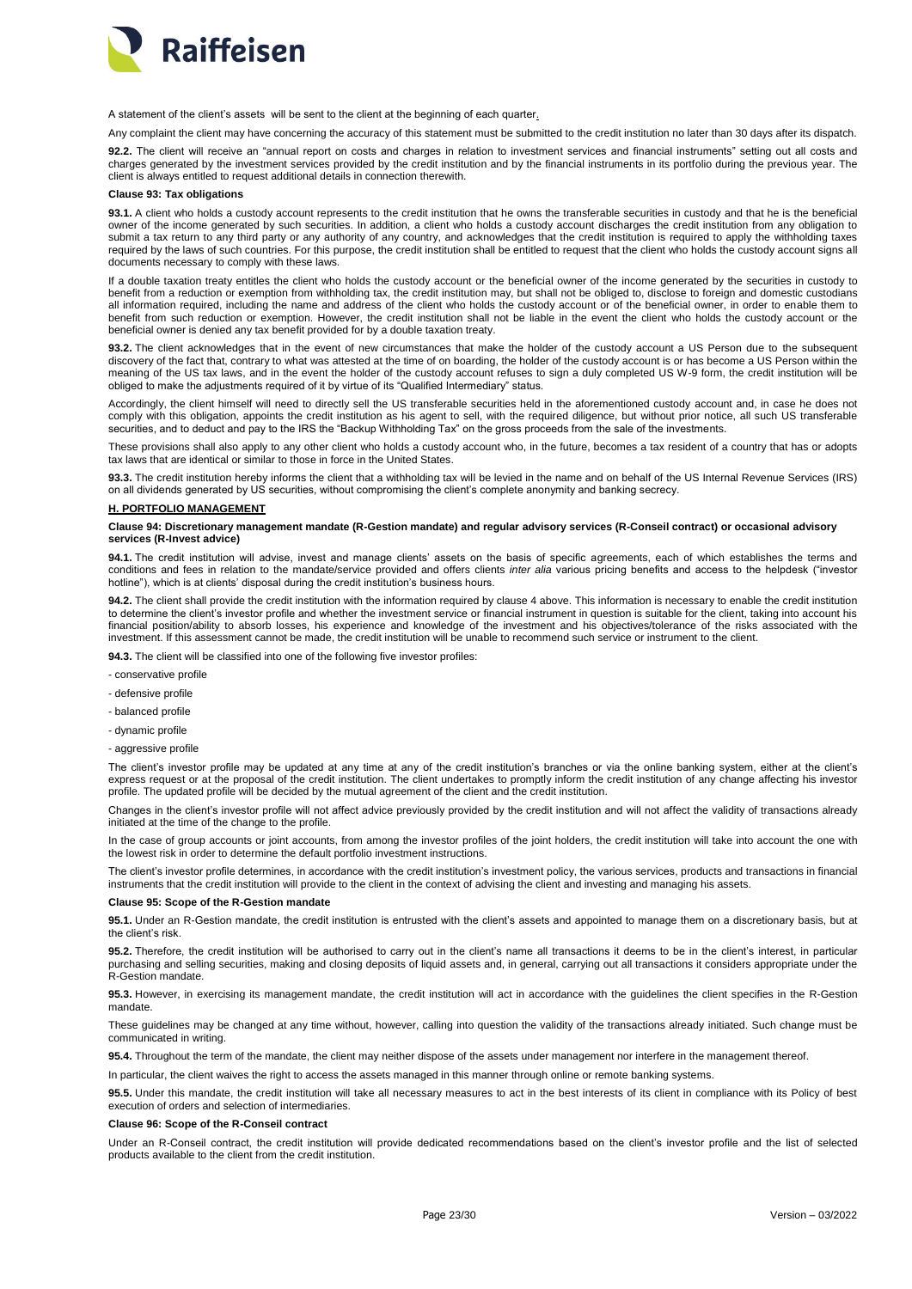

A statement of the client's assets will be sent to the client at the beginning of each quarter.

Any complaint the client may have concerning the accuracy of this statement must be submitted to the credit institution no later than 30 days after its dispatch.

**92.2.** The client will receive an "annual report on costs and charges in relation to investment services and financial instruments" setting out all costs and charges generated by the investment services provided by the credit institution and by the financial instruments in its portfolio during the previous year. The client is always entitled to request additional details in connection therewith.

### <span id="page-22-0"></span>**Clause 93: Tax obligations**

**93.1.** A client who holds a custody account represents to the credit institution that he owns the transferable securities in custody and that he is the beneficial owner of the income generated by such securities. In addition, a client who holds a custody account discharges the credit institution from any obligation to submit a tax return to any third party or any authority of any country, and acknowledges that the credit institution is required to apply the withholding taxes required by the laws of such countries. For this purpose, the credit institution shall be entitled to request that the client who holds the custody account signs all documents necessary to comply with these laws.

If a double taxation treaty entitles the client who holds the custody account or the beneficial owner of the income generated by the securities in custody to benefit from a reduction or exemption from withholding tax, the credit institution may, but shall not be obliged to, disclose to foreign and domestic custodians all information required, including the name and address of the client who holds the custody account or of the beneficial owner, in order to enable them to benefit from such reduction or exemption. However, the credit institution shall not be liable in the event the client who holds the custody account or the beneficial owner is denied any tax benefit provided for by a double taxation treaty.

**93.2.** The client acknowledges that in the event of new circumstances that make the holder of the custody account a US Person due to the subsequent discovery of the fact that, contrary to what was attested at the time of on boarding, the holder of the custody account is or has become a US Person within the meaning of the US tax laws, and in the event the holder of the custody account refuses to sign a duly completed US W-9 form, the credit institution will be obliged to make the adjustments required of it by virtue of its "Qualified Intermediary" status.

Accordingly, the client himself will need to directly sell the US transferable securities held in the aforementioned custody account and, in case he does not comply with this obligation, appoints the credit institution as his agent to sell, with the required diligence, but without prior notice, all such US transferable securities, and to deduct and pay to the IRS the "Backup Withholding Tax" on the gross proceeds from the sale of the investments.

These provisions shall also apply to any other client who holds a custody account who, in the future, becomes a tax resident of a country that has or adopts tax laws that are identical or similar to those in force in the United States.

**93.3.** The credit institution hereby informs the client that a withholding tax will be levied in the name and on behalf of the US Internal Revenue Services (IRS) on all dividends generated by US securities, without compromising the client's complete anonymity and banking secrecy.

#### <span id="page-22-1"></span>**H. PORTFOLIO MANAGEMENT**

#### <span id="page-22-2"></span>**Clause 94: Discretionary management mandate (R-Gestion mandate) and regular advisory services (R-Conseil contract) or occasional advisory services (R-Invest advice)**

**94.1.** The credit institution will advise, invest and manage clients' assets on the basis of specific agreements, each of which establishes the terms and conditions and fees in relation to the mandate/service provided and offers clients *inter alia* various pricing benefits and access to the helpdesk ("investor hotline"), which is at clients' disposal during the credit institution's business hours.

**94.2.** The client shall provide the credit institution with the information required by clause 4 above. This information is necessary to enable the credit institution to determine the client's investor profile and whether the investment service or financial instrument in question is suitable for the client, taking into account his financial position/ability to absorb losses, his experience and knowledge of the investment and his objectives/tolerance of the risks associated with the investment. If this assessment cannot be made, the credit institution will be unable to recommend such service or instrument to the client.

**94.3.** The client will be classified into one of the following five investor profiles:

- conservative profile
- defensive profile
- balanced profile
- dynamic profile
- aggressive profile

The client's investor profile may be updated at any time at any of the credit institution's branches or via the online banking system, either at the client's express request or at the proposal of the credit institution. The client undertakes to promptly inform the credit institution of any change affecting his investor profile. The updated profile will be decided by the mutual agreement of the client and the credit institution.

Changes in the client's investor profile will not affect advice previously provided by the credit institution and will not affect the validity of transactions already initiated at the time of the change to the profile.

In the case of group accounts or joint accounts, from among the investor profiles of the joint holders, the credit institution will take into account the one with the lowest risk in order to determine the default portfolio investment instructions.

The client's investor profile determines, in accordance with the credit institution's investment policy, the various services, products and transactions in financial instruments that the credit institution will provide to the client in the context of advising the client and investing and managing his assets.

## <span id="page-22-3"></span>**e 95: Scope of the R-Gestion mandat**

**95.1.** Under an R-Gestion mandate, the credit institution is entrusted with the client's assets and appointed to manage them on a discretionary basis, but at the client's risk.

**95.2.** Therefore, the credit institution will be authorised to carry out in the client's name all transactions it deems to be in the client's interest, in particular purchasing and selling securities, making and closing deposits of liquid assets and, in general, carrying out all transactions it considers appropriate under the R-Gestion mandate.

**95.3.** However, in exercising its management mandate, the credit institution will act in accordance with the guidelines the client specifies in the R-Gestion mandate.

These guidelines may be changed at any time without, however, calling into question the validity of the transactions already initiated. Such change must be communicated in writing.

**95.4.** Throughout the term of the mandate, the client may neither dispose of the assets under management nor interfere in the management thereof.

In particular, the client waives the right to access the assets managed in this manner through online or remote banking systems.

**95.5.** Under this mandate, the credit institution will take all necessary measures to act in the best interests of its client in compliance with its Policy of best execution of orders and selection of intermediaries.

#### <span id="page-22-4"></span>**Clause 96: Scope of the R-Conseil contract**

Under an R-Conseil contract, the credit institution will provide dedicated recommendations based on the client's investor profile and the list of selected products available to the client from the credit institution.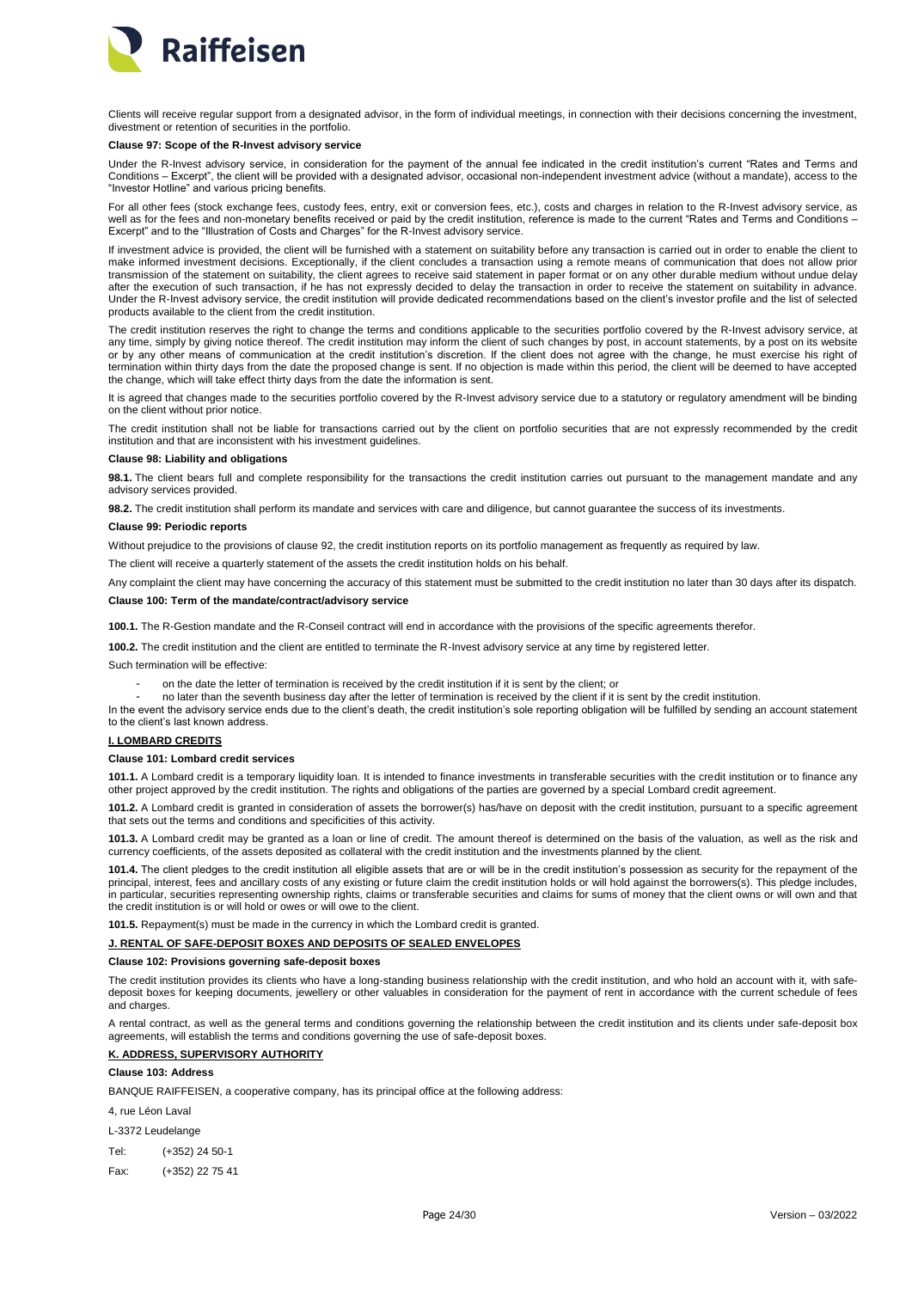

Clients will receive regular support from a designated advisor, in the form of individual meetings, in connection with their decisions concerning the investment, divestment or retention of securities in the portfolio.

#### <span id="page-23-0"></span>**97: Scope of the R-Invest advisory servic**

Under the R-Invest advisory service, in consideration for the payment of the annual fee indicated in the credit institution's current "Rates and Terms and Conditions – Excerpt", the client will be provided with a designated advisor, occasional non-independent investment advice (without a mandate), access to the "Investor Hotline" and various pricing benefits.

For all other fees (stock exchange fees, custody fees, entry, exit or conversion fees, etc.), costs and charges in relation to the R-Invest advisory service, as well as for the fees and non-monetary benefits received or paid by the credit institution, reference is made to the current "Rates and Terms and Conditions – Excerpt" and to the "Illustration of Costs and Charges" for the R-Invest advisory service.

If investment advice is provided, the client will be furnished with a statement on suitability before any transaction is carried out in order to enable the client to make informed investment decisions. Exceptionally, if the client concludes a transaction using a remote means of communication that does not allow prior transmission of the statement on suitability, the client agrees to receive said statement in paper format or on any other durable medium without undue delay after the execution of such transaction, if he has not expressly decided to delay the transaction in order to receive the statement on suitability in advance. Under the R-Invest advisory service, the credit institution will provide dedicated recommendations based on the client's investor profile and the list of selected products available to the client from the credit institution.

The credit institution reserves the right to change the terms and conditions applicable to the securities portfolio covered by the R-Invest advisory service, at any time, simply by giving notice thereof. The credit institution may inform the client of such changes by post, in account statements, by a post on its website or by any other means of communication at the credit institution's discretion. If the client does not agree with the change, he must exercise his right of termination within thirty days from the date the proposed change is sent. If no objection is made within this period, the client will be deemed to have accepted the change, which will take effect thirty days from the date the information is sent.

It is agreed that changes made to the securities portfolio covered by the R-Invest advisory service due to a statutory or regulatory amendment will be binding on the client without prior notice.

The credit institution shall not be liable for transactions carried out by the client on portfolio securities that are not expressly recommended by the credit institution and that are inconsistent with his investment guidelines.

# <span id="page-23-1"></span>**Clause 98: Liability and obligations**

**98.1.** The client bears full and complete responsibility for the transactions the credit institution carries out pursuant to the management mandate and any advisory services provided.

**98.2.** The credit institution shall perform its mandate and services with care and diligence, but cannot guarantee the success of its investments.

#### <span id="page-23-2"></span>**Clause 99: Periodic reports**

Without prejudice to the provisions of clause 92, the credit institution reports on its portfolio management as frequently as required by law.

The client will receive a quarterly statement of the assets the credit institution holds on his behalf.

Any complaint the client may have concerning the accuracy of this statement must be submitted to the credit institution no later than 30 days after its dispatch.

### <span id="page-23-3"></span>**Clause 100: Term of the mandate/contract/advisory service**

**100.1.** The R-Gestion mandate and the R-Conseil contract will end in accordance with the provisions of the specific agreements therefor.

**100.2.** The credit institution and the client are entitled to terminate the R-Invest advisory service at any time by registered letter.

Such termination will be effective:

- on the date the letter of termination is received by the credit institution if it is sent by the client; or
- no later than the seventh business day after the letter of termination is received by the client if it is sent by the credit institution.

In the event the advisory service ends due to the client's death, the credit institution's sole reporting obligation will be fulfilled by sending an account statement to the client's last known address.

# <span id="page-23-4"></span>**I. LOMBARD CREDITS**

# <span id="page-23-5"></span>**Clause 101: Lombard credit services**

**101.1.** A Lombard credit is a temporary liquidity loan. It is intended to finance investments in transferable securities with the credit institution or to finance any other project approved by the credit institution. The rights and obligations of the parties are governed by a special Lombard credit agreement.

**101.2.** A Lombard credit is granted in consideration of assets the borrower(s) has/have on deposit with the credit institution, pursuant to a specific agreement that sets out the terms and conditions and specificities of this activity.

**101.3.** A Lombard credit may be granted as a loan or line of credit. The amount thereof is determined on the basis of the valuation, as well as the risk and currency coefficients, of the assets deposited as collateral with the credit institution and the investments planned by the client.

**101.4.** The client pledges to the credit institution all eligible assets that are or will be in the credit institution's possession as security for the repayment of the principal, interest, fees and ancillary costs of any existing or future claim the credit institution holds or will hold against the borrowers(s). This pledge includes, in particular, securities representing ownership rights, claims or transferable securities and claims for sums of money that the client owns or will own and that the credit institution is or will hold or owes or will owe to the client.

**101.5.** Repayment(s) must be made in the currency in which the Lombard credit is granted.

# <span id="page-23-6"></span>**J. RENTAL OF SAFE-DEPOSIT BOXES AND DEPOSITS OF SEALED ENVELOPES**

#### <span id="page-23-7"></span>**Clause 102: Provisions governing safe-deposit boxes**

The credit institution provides its clients who have a long-standing business relationship with the credit institution, and who hold an account with it, with safedeposit boxes for keeping documents, jewellery or other valuables in consideration for the payment of rent in accordance with the current schedule of fees and charges

A rental contract, as well as the general terms and conditions governing the relationship between the credit institution and its clients under safe-deposit box agreements, will establish the terms and conditions governing the use of safe-deposit boxes.

# <span id="page-23-8"></span>**K. ADDRESS, SUPERVISORY AUTHORITY**

# <span id="page-23-9"></span>**Clause 103: Address**

BANQUE RAIFFEISEN, a cooperative company, has its principal office at the following address:

4 rue Léon Laval

### L-3372 Leudelange

Tel: (+352) 24 50-1

Fax: (+352) 22 75 41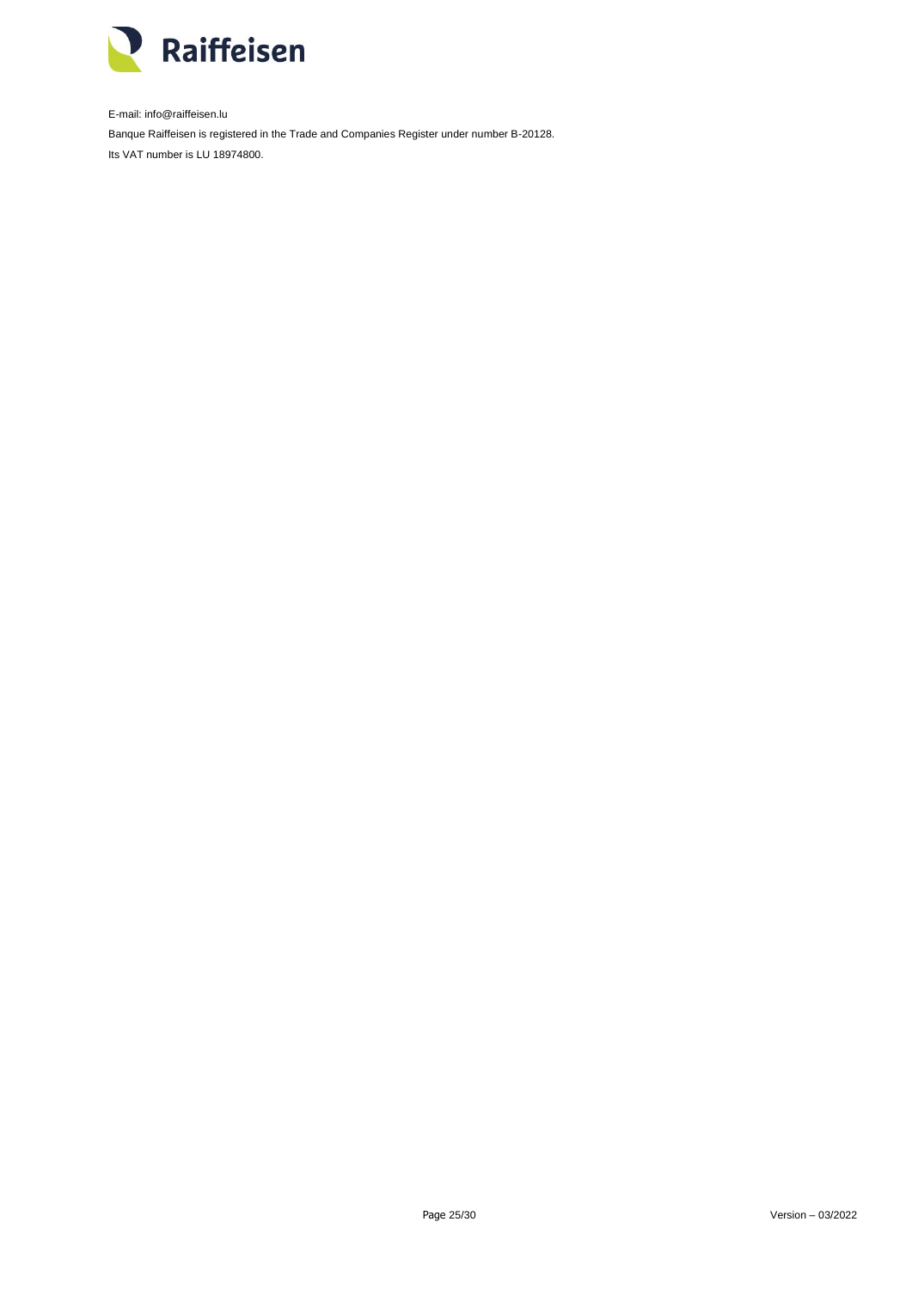

E-mail: info@raiffeisen.lu Banque Raiffeisen is registered in the Trade and Companies Register under number B-20128. Its VAT number is LU 18974800.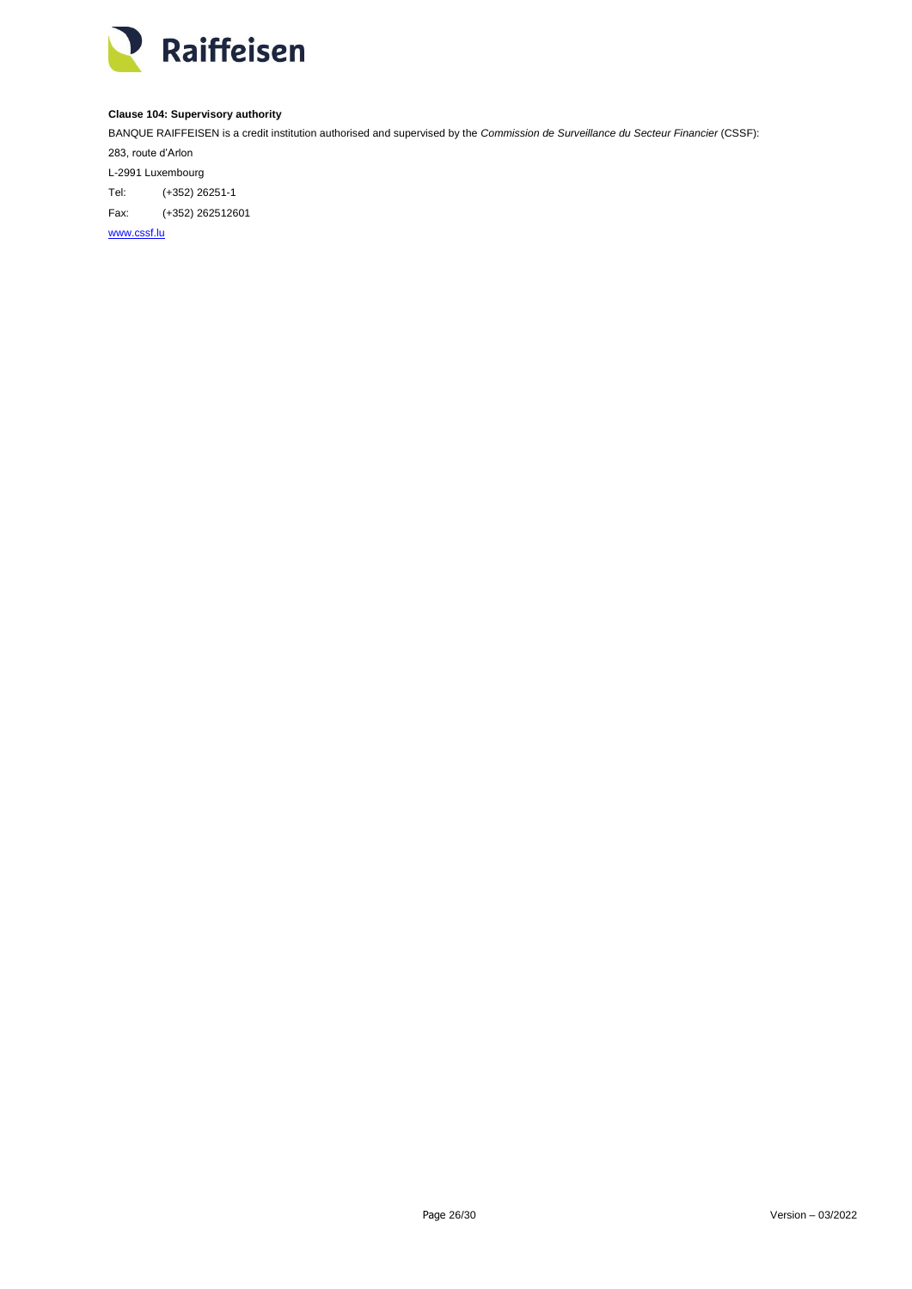

# <span id="page-25-0"></span>**Clause 104: Supervisory authority**

BANQUE RAIFFEISEN is a credit institution authorised and supervised by the *Commission de Surveillance du Secteur Financier* (CSSF):

283, route d'Arlon L-2991 Luxembourg Tel: (+352) 26251-1 Fax: (+352) 262512601

[www.cssf.lu](http://www.cssf.lu/)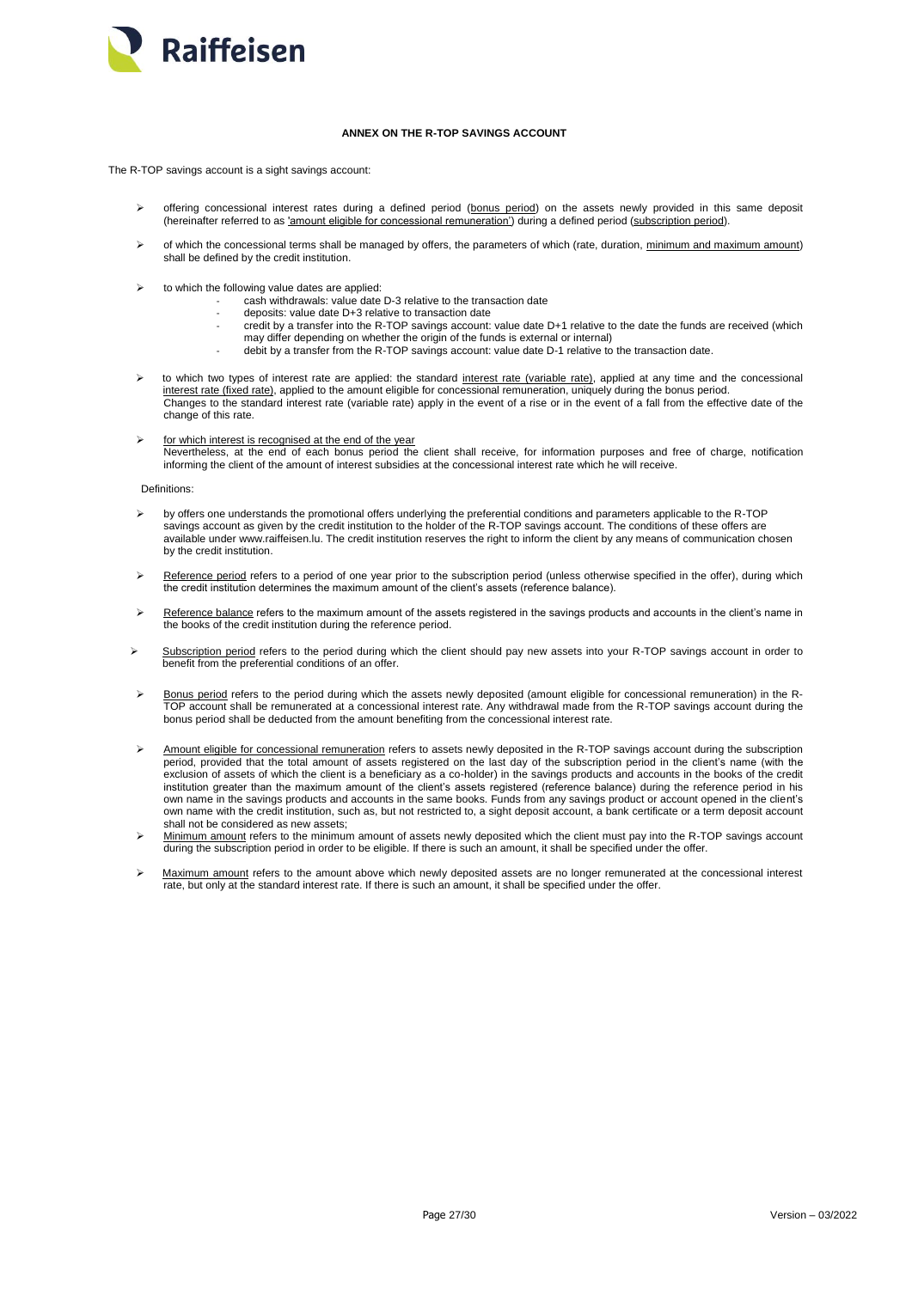

# **ANNEX ON THE R-TOP SAVINGS ACCOUNT**

<span id="page-26-0"></span>The R-TOP savings account is a sight savings account:

- ▶ offering concessional interest rates during a defined period (bonus period) on the assets newly provided in this same deposit (hereinafter referred to as 'amount eligible for concessional remuneration') during a defined period (subscription period).
- $\triangleright$  of which the concessional terms shall be managed by offers, the parameters of which (rate, duration, minimum and maximum amount) shall be defined by the credit institution.
- $\triangleright$  to which the following value dates are applied:
	- cash withdrawals: value date D-3 relative to the transaction date
	- deposits: value date D+3 relative to transaction date
	- credit by a transfer into the R-TOP savings account: value date D+1 relative to the date the funds are received (which may differ depending on whether the origin of the funds is external or internal)
	- debit by a transfer from the R-TOP savings account: value date D-1 relative to the transaction date.
- to which two types of interest rate are applied: the standard interest rate (variable rate), applied at any time and the concessional interest rate (fixed rate), applied to the amount eligible for concessional remuneration, uniquely during the bonus period. Changes to the standard interest rate (variable rate) apply in the event of a rise or in the event of a fall from the effective date of the change of this rate.
- $\triangleright$  for which interest is recognised at the end of the year Nevertheless, at the end of each bonus period the client shall receive, for information purposes and free of charge, notification informing the client of the amount of interest subsidies at the concessional interest rate which he will receive.

Definitions:

- by offers one understands the promotional offers underlying the preferential conditions and parameters applicable to the R-TOP savings account as given by the credit institution to the holder of the R-TOP savings account. The conditions of these offers are available under www.raiffeisen.lu. The credit institution reserves the right to inform the client by any means of communication chosen by the credit institution.
- Reference period refers to a period of one year prior to the subscription period (unless otherwise specified in the offer), during which the credit institution determines the maximum amount of the client's assets (reference balance).
- Reference balance refers to the maximum amount of the assets registered in the savings products and accounts in the client's name in the books of the credit institution during the reference period.
- $\triangleright$  Subscription period refers to the period during which the client should pay new assets into your R-TOP savings account in order to benefit from the preferential conditions of an offer.
- Bonus period refers to the period during which the assets newly deposited (amount eligible for concessional remuneration) in the R-TOP account shall be remunerated at a concessional interest rate. Any withdrawal made from the R-TOP savings account during the bonus period shall be deducted from the amount benefiting from the concessional interest rate.
- Amount eligible for concessional remuneration refers to assets newly deposited in the R-TOP savings account during the subscription period, provided that the total amount of assets registered on the last day of the subscription period in the client's name (with the exclusion of assets of which the client is a beneficiary as a co-holder) in the savings products and accounts in the books of the credit institution greater than the maximum amount of the client's assets registered (reference balance) during the reference period in his own name in the savings products and accounts in the same books. Funds from any savings product or account opened in the client's own name with the credit institution, such as, but not restricted to, a sight deposit account, a bank certificate or a term deposit account shall not be considered as new assets;
- > Minimum amount refers to the minimum amount of assets newly deposited which the client must pay into the R-TOP savings account during the subscription period in order to be eligible. If there is such an amount, it shall be specified under the offer.
- > Maximum amount refers to the amount above which newly deposited assets are no longer remunerated at the concessional interest rate, but only at the standard interest rate. If there is such an amount, it shall be specified under the offer.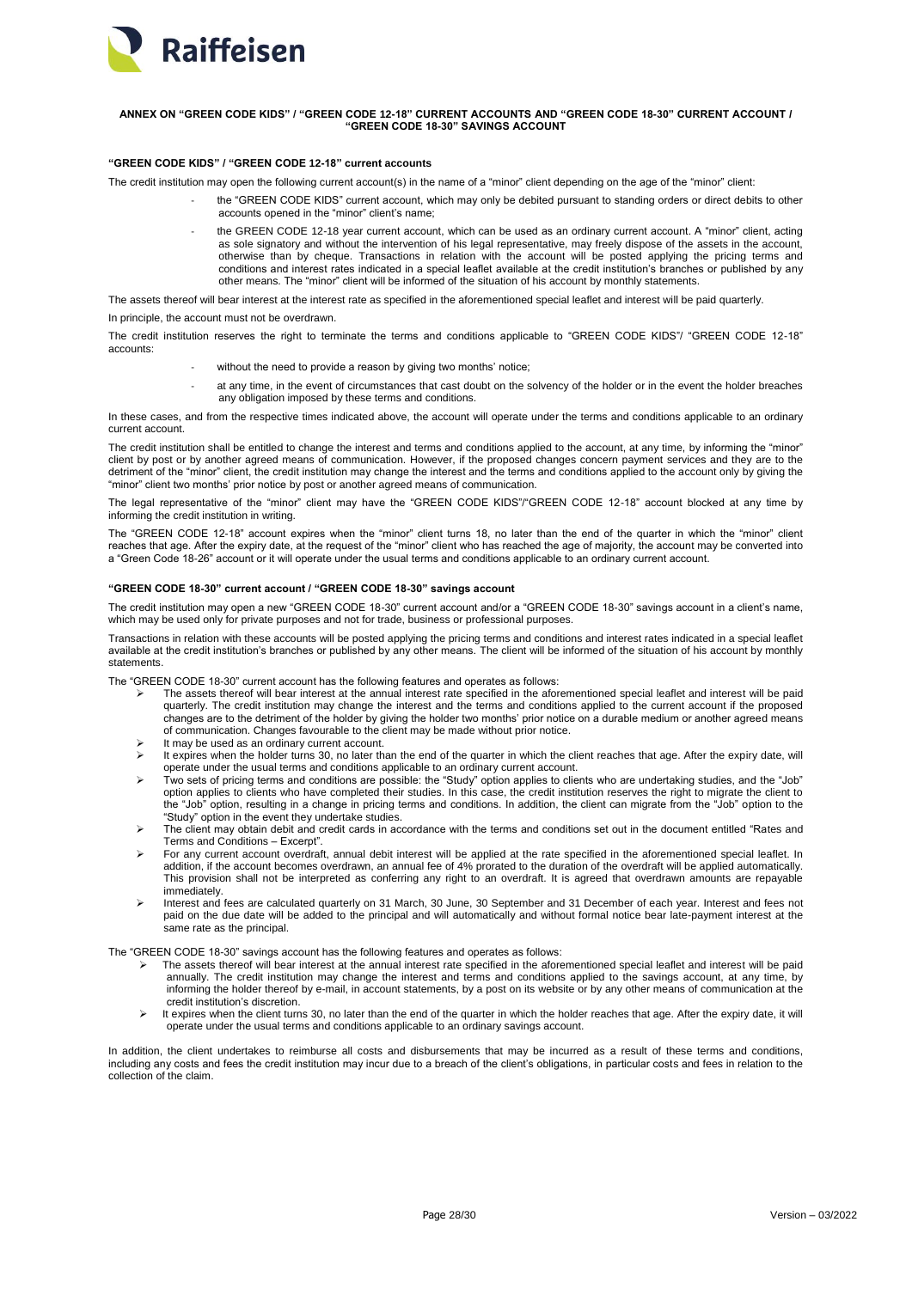

# <span id="page-27-0"></span>**ANNEX ON "GREEN CODE KIDS" / "GREEN CODE 12-18" CURRENT ACCOUNTS AND "GREEN CODE 18-30" CURRENT ACCOUNT / "GREEN CODE 18-30" SAVINGS ACCOUNT**

# **"GREEN CODE KIDS" / "GREEN CODE 12-18" current accounts**

The credit institution may open the following current account(s) in the name of a "minor" client depending on the age of the "minor" client:

- the "GREEN CODE KIDS" current account, which may only be debited pursuant to standing orders or direct debits to other accounts opened in the "minor" client's name;
	- the GREEN CODE 12-18 year current account, which can be used as an ordinary current account. A "minor" client, acting as sole signatory and without the intervention of his legal representative, may freely dispose of the assets in the account, otherwise than by cheque. Transactions in relation with the account will be posted applying the pricing terms and conditions and interest rates indicated in a special leaflet available at the credit institution's branches or published by any other means. The "minor" client will be informed of the situation of his account by monthly statements.

The assets thereof will bear interest at the interest rate as specified in the aforementioned special leaflet and interest will be paid quarterly.

In principle, the account must not be overdra

The credit institution reserves the right to terminate the terms and conditions applicable to "GREEN CODE KIDS"/ "GREEN CODE 12-18" accounts:

- without the need to provide a reason by giving two months' notice;
- at any time, in the event of circumstances that cast doubt on the solvency of the holder or in the event the holder breaches any obligation imposed by these terms and conditions.

In these cases, and from the respective times indicated above, the account will operate under the terms and conditions applicable to an ordinary current account.

The credit institution shall be entitled to change the interest and terms and conditions applied to the account, at any time, by informing the "minor" client by post or by another agreed means of communication. However, if the proposed changes concern payment services and they are to the detriment of the "minor" client, the credit institution may change the interest and the terms and conditions applied to the account only by giving the "minor" client two months' prior notice by post or another agreed means of communication.

The legal representative of the "minor" client may have the "GREEN CODE KIDS"/"GREEN CODE 12-18" account blocked at any time by informing the credit institution in writing.

The "GREEN CODE 12-18" account expires when the "minor" client turns 18, no later than the end of the quarter in which the "minor" client reaches that age. After the expiry date, at the request of the "minor" client who has reached the age of majority, the account may be converted into a "Green Code 18-26" account or it will operate under the usual terms and conditions applicable to an ordinary current account.

# **"GREEN CODE 18-30" current account / "GREEN CODE 18-30" savings account**

The credit institution may open a new "GREEN CODE 18-30" current account and/or a "GREEN CODE 18-30" savings account in a client's name, which may be used only for private purposes and not for trade, business or professional purposes.

Transactions in relation with these accounts will be posted applying the pricing terms and conditions and interest rates indicated in a special leaflet available at the credit institution's branches or published by any other means. The client will be informed of the situation of his account by monthly statements.

The "GREEN CODE 18-30" current account has the following features and operates as follows:

- The assets thereof will bear interest at the annual interest rate specified in the aforementioned special leaflet and interest will be paid quarterly. The credit institution may change the interest and the terms and conditions applied to the current account if the proposed changes are to the detriment of the holder by giving the holder two months' prior notice on a durable medium or another agreed means of communication. Changes favourable to the client may be made without prior notice.
- It may be used as an ordinary current account.
- It expires when the holder turns 30, no later than the end of the quarter in which the client reaches that age. After the expiry date, will operate under the usual terms and conditions applicable to an ordinary current account.
- Two sets of pricing terms and conditions are possible: the "Study" option applies to clients who are undertaking studies, and the "Job" option applies to clients who have completed their studies. In this case, the credit institution reserves the right to migrate the client to the "Job" option, resulting in a change in pricing terms and conditions. In addition, the client can migrate from the "Job" option to the "Study" option in the event they undertake studies.
- The client may obtain debit and credit cards in accordance with the terms and conditions set out in the document entitled "Rates and Terms and Conditions – Excerpt".
- For any current account overdraft, annual debit interest will be applied at the rate specified in the aforementioned special leaflet. In addition, if the account becomes overdrawn, an annual fee of 4% prorated to the duration of the overdraft will be applied automatically. This provision shall not be interpreted as conferring any right to an overdraft. It is agreed that overdrawn amounts are repayable immediately.
- Interest and fees are calculated quarterly on 31 March, 30 June, 30 September and 31 December of each year. Interest and fees not paid on the due date will be added to the principal and will automatically and without formal notice bear late-payment interest at the .<br>same rate as the principal.

The "GREEN CODE 18-30" savings account has the following features and operates as follows:

- The assets thereof will bear interest at the annual interest rate specified in the aforementioned special leaflet and interest will be paid annually. The credit institution may change the interest and terms and conditions applied to the savings account, at any time, by informing the holder thereof by e-mail, in account statements, by a post on its website or by any other means of communication at the credit institution's discretion.
- $\triangleright$  It expires when the client turns 30, no later than the end of the quarter in which the holder reaches that age. After the expiry date, it will operate under the usual terms and conditions applicable to an ordinary savings account.

In addition, the client undertakes to reimburse all costs and disbursements that may be incurred as a result of these terms and conditions, including any costs and fees the credit institution may incur due to a breach of the client's obligations, in particular costs and fees in relation to the collection of the claim.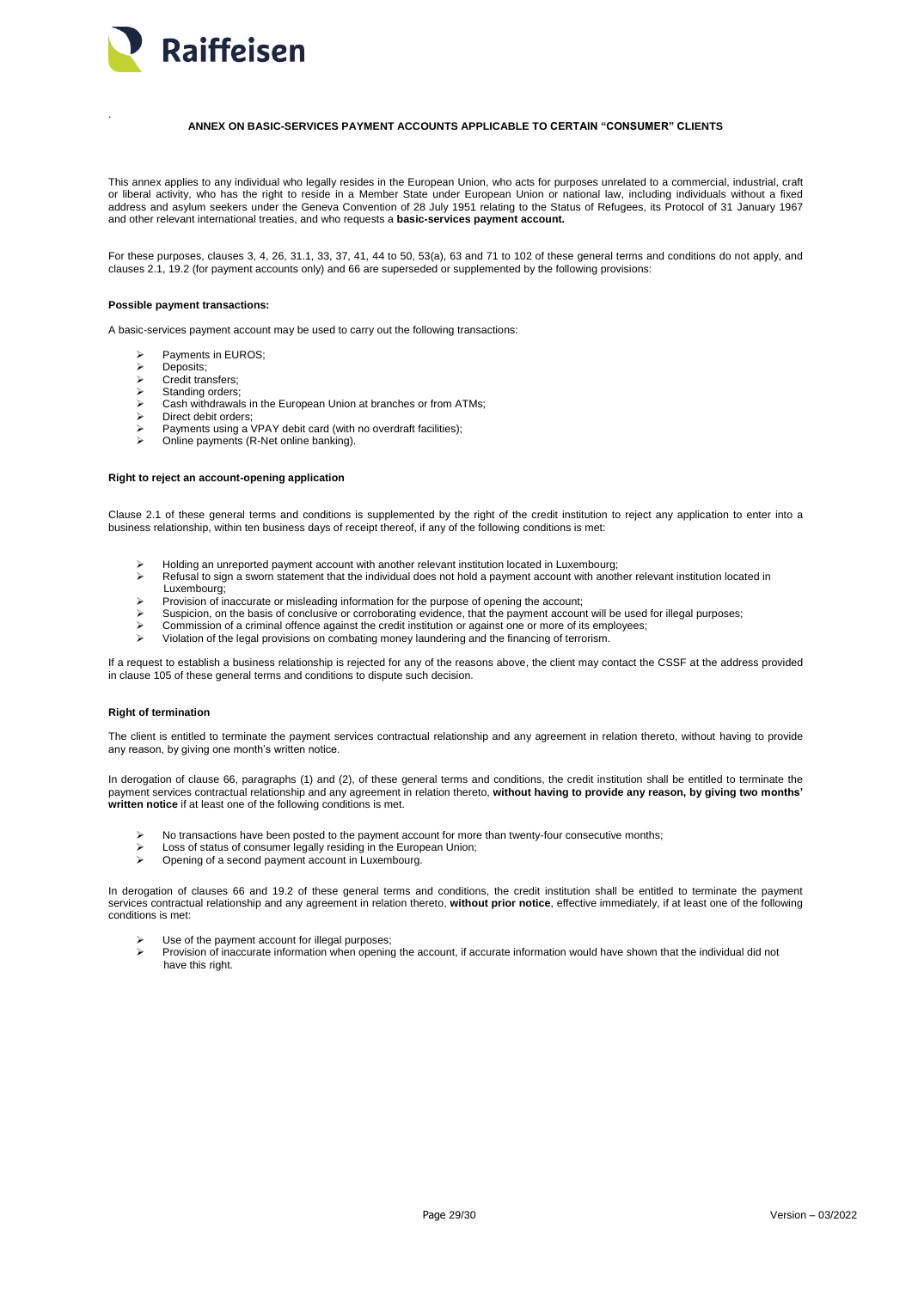

<span id="page-28-0"></span>.

# **ANNEX ON BASIC-SERVICES PAYMENT ACCOUNTS APPLICABLE TO CERTAIN "CONSUMER" CLIENTS**

This annex applies to any individual who legally resides in the European Union, who acts for purposes unrelated to a commercial, industrial, craft or liberal activity, who has the right to reside in a Member State under European Union or national law, including individuals without a fixed address and asylum seekers under the Geneva Convention of 28 July 1951 relating to the Status of Refugees, its Protocol of 31 January 1967 and other relevant international treaties, and who requests a **basic-services payment account.**

For these purposes, clauses 3, 4, 26, 31.1, 33, 37, 41, 44 to 50, 53(a), 63 and 71 to 102 of these general terms and conditions do not apply, and clauses 2.1, 19.2 (for payment accounts only) and 66 are superseded or supplemented by the following provisions:

#### **Possible payment transactions:**

A basic-services payment account may be used to carry out the following transactions:

- > Payments in EUROS:
- Deposits;
- $\triangleright$  Credit transfers:
- Standing orders;
- Cash withdrawals in the European Union at branches or from ATMs;
- Direct debit orders;
- Payments using a VPAY debit card (with no overdraft facilities);
- Online payments (R-Net online banking).

# **Right to reject an account-opening application**

Clause 2.1 of these general terms and conditions is supplemented by the right of the credit institution to reject any application to enter into a business relationship, within ten business days of receipt thereof, if any of the following conditions is met:

- $\triangleright$  Holding an unreported payment account with another relevant institution located in Luxembourg;
- Refusal to sign a sworn statement that the individual does not hold a payment account with another relevant institution located in Luxembourg;
- Provision of inaccurate or misleading information for the purpose of opening the account;
- Suspicion, on the basis of conclusive or corroborating evidence, that the payment account will be used for illegal purposes;
- Commission of a criminal offence against the credit institution or against one or more of its employees;
- Violation of the legal provisions on combating money laundering and the financing of terrorism.

If a request to establish a business relationship is rejected for any of the reasons above, the client may contact the CSSF at the address provided in clause 105 of these general terms and conditions to dispute such decision.

# **Right of termination**

The client is entitled to terminate the payment services contractual relationship and any agreement in relation thereto, without having to provide any reason, by giving one month's written notice.

In derogation of clause 66, paragraphs (1) and (2), of these general terms and conditions, the credit institution shall be entitled to terminate the<br>payment services contractual relationship and any agreement in relation t **written notice** if at least one of the following conditions is met.

- > No transactions have been posted to the payment account for more than twenty-four consecutive months:
- Loss of status of consumer legally residing in the European Union;
- Opening of a second payment account in Luxembourg.

In derogation of clauses 66 and 19.2 of these general terms and conditions, the credit institution shall be entitled to terminate the payment services contractual relationship and any agreement in relation thereto, **without prior notice**, effective immediately, if at least one of the following conditions is met:

- $\triangleright$  Use of the payment account for illegal purposes;<br>Provision of inaccurate information when opening
- Provision of inaccurate information when opening the account, if accurate information would have shown that the individual did not have this right.